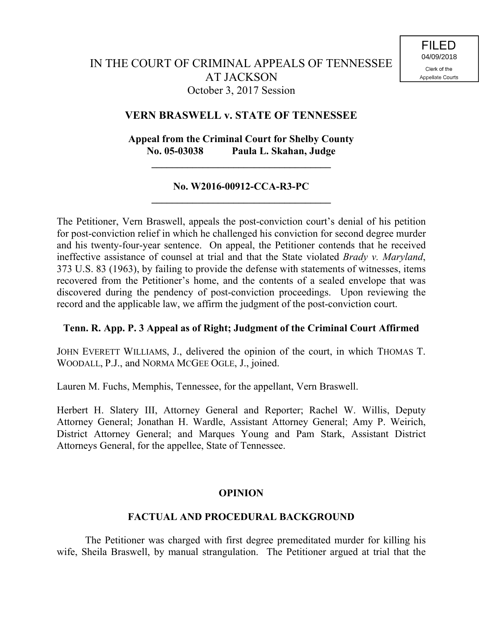### **VERN BRASWELL v. STATE OF TENNESSEE**

# **Appeal from the Criminal Court for Shelby County No. 05-03038 Paula L. Skahan, Judge**

**\_\_\_\_\_\_\_\_\_\_\_\_\_\_\_\_\_\_\_\_\_\_\_\_\_\_\_\_\_\_\_\_\_\_\_**

### **No. W2016-00912-CCA-R3-PC \_\_\_\_\_\_\_\_\_\_\_\_\_\_\_\_\_\_\_\_\_\_\_\_\_\_\_\_\_\_\_\_\_\_\_**

The Petitioner, Vern Braswell, appeals the post-conviction court's denial of his petition for post-conviction relief in which he challenged his conviction for second degree murder and his twenty-four-year sentence. On appeal, the Petitioner contends that he received ineffective assistance of counsel at trial and that the State violated *Brady v. Maryland*, 373 U.S. 83 (1963), by failing to provide the defense with statements of witnesses, items recovered from the Petitioner's home, and the contents of a sealed envelope that was discovered during the pendency of post-conviction proceedings. Upon reviewing the record and the applicable law, we affirm the judgment of the post-conviction court.

#### **Tenn. R. App. P. 3 Appeal as of Right; Judgment of the Criminal Court Affirmed**

JOHN EVERETT WILLIAMS, J., delivered the opinion of the court, in which THOMAS T. WOODALL, P.J., and NORMA MCGEE OGLE, J., joined.

Lauren M. Fuchs, Memphis, Tennessee, for the appellant, Vern Braswell.

Herbert H. Slatery III, Attorney General and Reporter; Rachel W. Willis, Deputy Attorney General; Jonathan H. Wardle, Assistant Attorney General; Amy P. Weirich, District Attorney General; and Marques Young and Pam Stark, Assistant District Attorneys General, for the appellee, State of Tennessee.

#### **OPINION**

#### **FACTUAL AND PROCEDURAL BACKGROUND**

The Petitioner was charged with first degree premeditated murder for killing his wife, Sheila Braswell, by manual strangulation. The Petitioner argued at trial that the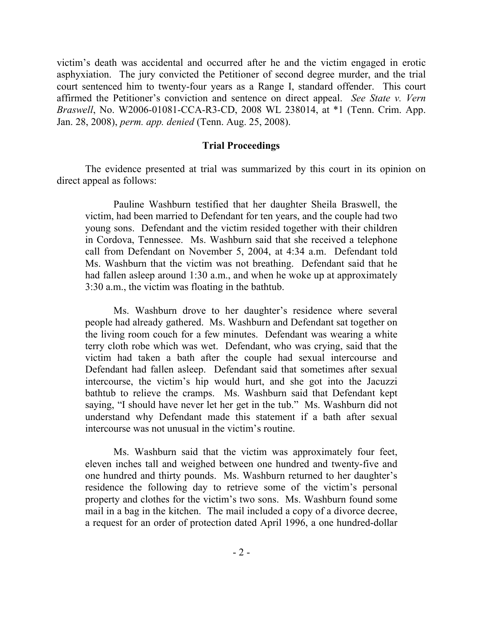victim's death was accidental and occurred after he and the victim engaged in erotic asphyxiation. The jury convicted the Petitioner of second degree murder, and the trial court sentenced him to twenty-four years as a Range I, standard offender. This court affirmed the Petitioner's conviction and sentence on direct appeal. *See State v. Vern Braswell*, No. W2006-01081-CCA-R3-CD, 2008 WL 238014, at \*1 (Tenn. Crim. App. Jan. 28, 2008), *perm. app. denied* (Tenn. Aug. 25, 2008).

#### **Trial Proceedings**

The evidence presented at trial was summarized by this court in its opinion on direct appeal as follows:

Pauline Washburn testified that her daughter Sheila Braswell, the victim, had been married to Defendant for ten years, and the couple had two young sons. Defendant and the victim resided together with their children in Cordova, Tennessee. Ms. Washburn said that she received a telephone call from Defendant on November 5, 2004, at 4:34 a.m. Defendant told Ms. Washburn that the victim was not breathing. Defendant said that he had fallen asleep around 1:30 a.m., and when he woke up at approximately 3:30 a.m., the victim was floating in the bathtub.

Ms. Washburn drove to her daughter's residence where several people had already gathered. Ms. Washburn and Defendant sat together on the living room couch for a few minutes. Defendant was wearing a white terry cloth robe which was wet. Defendant, who was crying, said that the victim had taken a bath after the couple had sexual intercourse and Defendant had fallen asleep. Defendant said that sometimes after sexual intercourse, the victim's hip would hurt, and she got into the Jacuzzi bathtub to relieve the cramps. Ms. Washburn said that Defendant kept saying, "I should have never let her get in the tub." Ms. Washburn did not understand why Defendant made this statement if a bath after sexual intercourse was not unusual in the victim's routine.

Ms. Washburn said that the victim was approximately four feet, eleven inches tall and weighed between one hundred and twenty-five and one hundred and thirty pounds. Ms. Washburn returned to her daughter's residence the following day to retrieve some of the victim's personal property and clothes for the victim's two sons. Ms. Washburn found some mail in a bag in the kitchen. The mail included a copy of a divorce decree, a request for an order of protection dated April 1996, a one hundred-dollar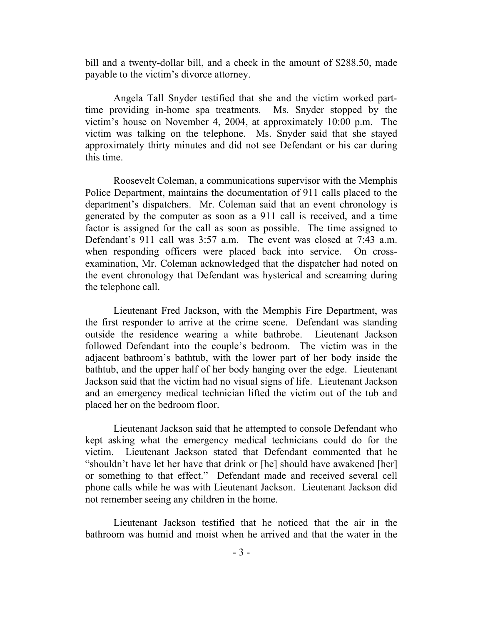bill and a twenty-dollar bill, and a check in the amount of \$288.50, made payable to the victim's divorce attorney.

Angela Tall Snyder testified that she and the victim worked parttime providing in-home spa treatments. Ms. Snyder stopped by the victim's house on November 4, 2004, at approximately 10:00 p.m. The victim was talking on the telephone. Ms. Snyder said that she stayed approximately thirty minutes and did not see Defendant or his car during this time.

Roosevelt Coleman, a communications supervisor with the Memphis Police Department, maintains the documentation of 911 calls placed to the department's dispatchers. Mr. Coleman said that an event chronology is generated by the computer as soon as a 911 call is received, and a time factor is assigned for the call as soon as possible. The time assigned to Defendant's 911 call was 3:57 a.m. The event was closed at 7:43 a.m. when responding officers were placed back into service. On crossexamination, Mr. Coleman acknowledged that the dispatcher had noted on the event chronology that Defendant was hysterical and screaming during the telephone call.

Lieutenant Fred Jackson, with the Memphis Fire Department, was the first responder to arrive at the crime scene. Defendant was standing outside the residence wearing a white bathrobe. Lieutenant Jackson followed Defendant into the couple's bedroom. The victim was in the adjacent bathroom's bathtub, with the lower part of her body inside the bathtub, and the upper half of her body hanging over the edge. Lieutenant Jackson said that the victim had no visual signs of life. Lieutenant Jackson and an emergency medical technician lifted the victim out of the tub and placed her on the bedroom floor.

Lieutenant Jackson said that he attempted to console Defendant who kept asking what the emergency medical technicians could do for the victim. Lieutenant Jackson stated that Defendant commented that he "shouldn't have let her have that drink or [he] should have awakened [her] or something to that effect." Defendant made and received several cell phone calls while he was with Lieutenant Jackson. Lieutenant Jackson did not remember seeing any children in the home.

Lieutenant Jackson testified that he noticed that the air in the bathroom was humid and moist when he arrived and that the water in the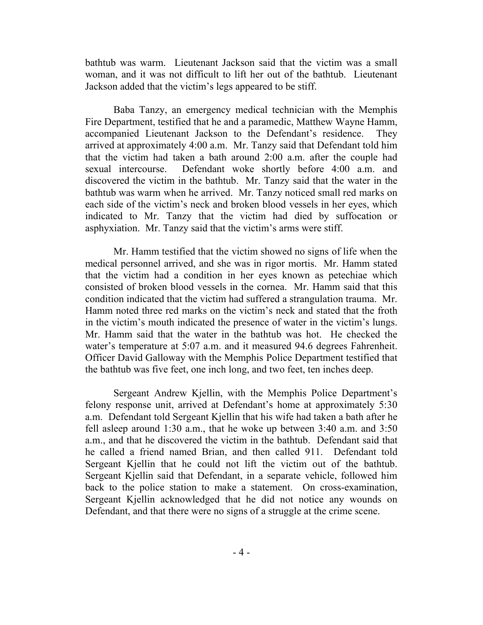bathtub was warm. Lieutenant Jackson said that the victim was a small woman, and it was not difficult to lift her out of the bathtub. Lieutenant Jackson added that the victim's legs appeared to be stiff.

Baba Tanzy, an emergency medical technician with the Memphis Fire Department, testified that he and a paramedic, Matthew Wayne Hamm, accompanied Lieutenant Jackson to the Defendant's residence. They arrived at approximately 4:00 a.m. Mr. Tanzy said that Defendant told him that the victim had taken a bath around 2:00 a.m. after the couple had sexual intercourse. Defendant woke shortly before 4:00 a.m. and discovered the victim in the bathtub. Mr. Tanzy said that the water in the bathtub was warm when he arrived. Mr. Tanzy noticed small red marks on each side of the victim's neck and broken blood vessels in her eyes, which indicated to Mr. Tanzy that the victim had died by suffocation or asphyxiation. Mr. Tanzy said that the victim's arms were stiff.

Mr. Hamm testified that the victim showed no signs of life when the medical personnel arrived, and she was in rigor mortis. Mr. Hamm stated that the victim had a condition in her eyes known as petechiae which consisted of broken blood vessels in the cornea. Mr. Hamm said that this condition indicated that the victim had suffered a strangulation trauma. Mr. Hamm noted three red marks on the victim's neck and stated that the froth in the victim's mouth indicated the presence of water in the victim's lungs. Mr. Hamm said that the water in the bathtub was hot. He checked the water's temperature at 5:07 a.m. and it measured 94.6 degrees Fahrenheit. Officer David Galloway with the Memphis Police Department testified that the bathtub was five feet, one inch long, and two feet, ten inches deep.

Sergeant Andrew Kjellin, with the Memphis Police Department's felony response unit, arrived at Defendant's home at approximately 5:30 a.m. Defendant told Sergeant Kjellin that his wife had taken a bath after he fell asleep around 1:30 a.m., that he woke up between 3:40 a.m. and 3:50 a.m., and that he discovered the victim in the bathtub. Defendant said that he called a friend named Brian, and then called 911. Defendant told Sergeant Kjellin that he could not lift the victim out of the bathtub. Sergeant Kjellin said that Defendant, in a separate vehicle, followed him back to the police station to make a statement. On cross-examination, Sergeant Kjellin acknowledged that he did not notice any wounds on Defendant, and that there were no signs of a struggle at the crime scene.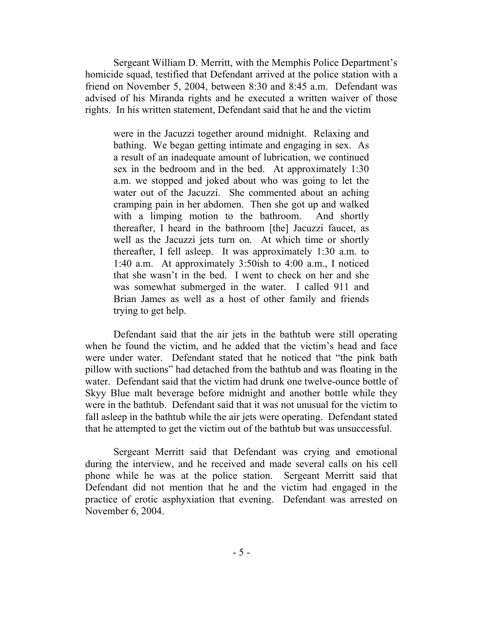Sergeant William D. Merritt, with the Memphis Police Department's homicide squad, testified that Defendant arrived at the police station with a friend on November 5, 2004, between 8:30 and 8:45 a.m. Defendant was advised of his Miranda rights and he executed a written waiver of those rights. In his written statement, Defendant said that he and the victim

were in the Jacuzzi together around midnight. Relaxing and bathing. We began getting intimate and engaging in sex. As a result of an inadequate amount of lubrication, we continued sex in the bedroom and in the bed. At approximately 1:30 a.m. we stopped and joked about who was going to let the water out of the Jacuzzi. She commented about an aching cramping pain in her abdomen. Then she got up and walked with a limping motion to the bathroom. And shortly thereafter, I heard in the bathroom [the] Jacuzzi faucet, as well as the Jacuzzi jets turn on. At which time or shortly thereafter, I fell asleep. It was approximately 1:30 a.m. to 1:40 a.m. At approximately 3:50ish to 4:00 a.m., I noticed that she wasn't in the bed. I went to check on her and she was somewhat submerged in the water. I called 911 and Brian James as well as a host of other family and friends trying to get help.

Defendant said that the air jets in the bathtub were still operating when he found the victim, and he added that the victim's head and face were under water. Defendant stated that he noticed that "the pink bath" pillow with suctions" had detached from the bathtub and was floating in the water. Defendant said that the victim had drunk one twelve-ounce bottle of Skyy Blue malt beverage before midnight and another bottle while they were in the bathtub. Defendant said that it was not unusual for the victim to fall asleep in the bathtub while the air jets were operating. Defendant stated that he attempted to get the victim out of the bathtub but was unsuccessful.

Sergeant Merritt said that Defendant was crying and emotional during the interview, and he received and made several calls on his cell phone while he was at the police station. Sergeant Merritt said that Defendant did not mention that he and the victim had engaged in the practice of erotic asphyxiation that evening. Defendant was arrested on November 6, 2004.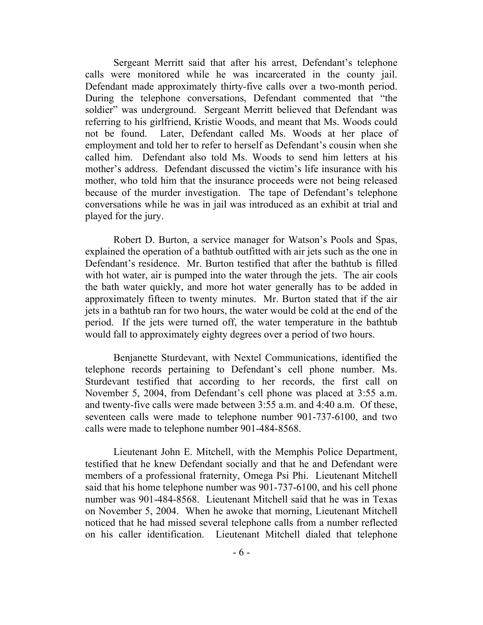Sergeant Merritt said that after his arrest, Defendant's telephone calls were monitored while he was incarcerated in the county jail. Defendant made approximately thirty-five calls over a two-month period. During the telephone conversations, Defendant commented that "the soldier" was underground. Sergeant Merritt believed that Defendant was referring to his girlfriend, Kristie Woods, and meant that Ms. Woods could not be found. Later, Defendant called Ms. Woods at her place of employment and told her to refer to herself as Defendant's cousin when she called him. Defendant also told Ms. Woods to send him letters at his mother's address. Defendant discussed the victim's life insurance with his mother, who told him that the insurance proceeds were not being released because of the murder investigation. The tape of Defendant's telephone conversations while he was in jail was introduced as an exhibit at trial and played for the jury.

Robert D. Burton, a service manager for Watson's Pools and Spas, explained the operation of a bathtub outfitted with air jets such as the one in Defendant's residence. Mr. Burton testified that after the bathtub is filled with hot water, air is pumped into the water through the jets. The air cools the bath water quickly, and more hot water generally has to be added in approximately fifteen to twenty minutes. Mr. Burton stated that if the air jets in a bathtub ran for two hours, the water would be cold at the end of the period. If the jets were turned off, the water temperature in the bathtub would fall to approximately eighty degrees over a period of two hours.

Benjanette Sturdevant, with Nextel Communications, identified the telephone records pertaining to Defendant's cell phone number. Ms. Sturdevant testified that according to her records, the first call on November 5, 2004, from Defendant's cell phone was placed at 3:55 a.m. and twenty-five calls were made between 3:55 a.m. and 4:40 a.m. Of these, seventeen calls were made to telephone number 901-737-6100, and two calls were made to telephone number 901-484-8568.

Lieutenant John E. Mitchell, with the Memphis Police Department, testified that he knew Defendant socially and that he and Defendant were members of a professional fraternity, Omega Psi Phi. Lieutenant Mitchell said that his home telephone number was 901-737-6100, and his cell phone number was 901-484-8568. Lieutenant Mitchell said that he was in Texas on November 5, 2004. When he awoke that morning, Lieutenant Mitchell noticed that he had missed several telephone calls from a number reflected on his caller identification. Lieutenant Mitchell dialed that telephone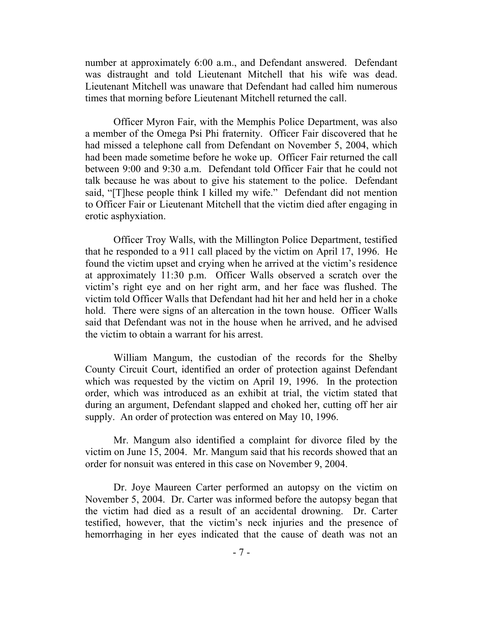number at approximately 6:00 a.m., and Defendant answered. Defendant was distraught and told Lieutenant Mitchell that his wife was dead. Lieutenant Mitchell was unaware that Defendant had called him numerous times that morning before Lieutenant Mitchell returned the call.

Officer Myron Fair, with the Memphis Police Department, was also a member of the Omega Psi Phi fraternity. Officer Fair discovered that he had missed a telephone call from Defendant on November 5, 2004, which had been made sometime before he woke up. Officer Fair returned the call between 9:00 and 9:30 a.m. Defendant told Officer Fair that he could not talk because he was about to give his statement to the police. Defendant said, "[T]hese people think I killed my wife." Defendant did not mention to Officer Fair or Lieutenant Mitchell that the victim died after engaging in erotic asphyxiation.

Officer Troy Walls, with the Millington Police Department, testified that he responded to a 911 call placed by the victim on April 17, 1996. He found the victim upset and crying when he arrived at the victim's residence at approximately 11:30 p.m. Officer Walls observed a scratch over the victim's right eye and on her right arm, and her face was flushed. The victim told Officer Walls that Defendant had hit her and held her in a choke hold. There were signs of an altercation in the town house. Officer Walls said that Defendant was not in the house when he arrived, and he advised the victim to obtain a warrant for his arrest.

William Mangum, the custodian of the records for the Shelby County Circuit Court, identified an order of protection against Defendant which was requested by the victim on April 19, 1996. In the protection order, which was introduced as an exhibit at trial, the victim stated that during an argument, Defendant slapped and choked her, cutting off her air supply. An order of protection was entered on May 10, 1996.

Mr. Mangum also identified a complaint for divorce filed by the victim on June 15, 2004. Mr. Mangum said that his records showed that an order for nonsuit was entered in this case on November 9, 2004.

Dr. Joye Maureen Carter performed an autopsy on the victim on November 5, 2004. Dr. Carter was informed before the autopsy began that the victim had died as a result of an accidental drowning. Dr. Carter testified, however, that the victim's neck injuries and the presence of hemorrhaging in her eyes indicated that the cause of death was not an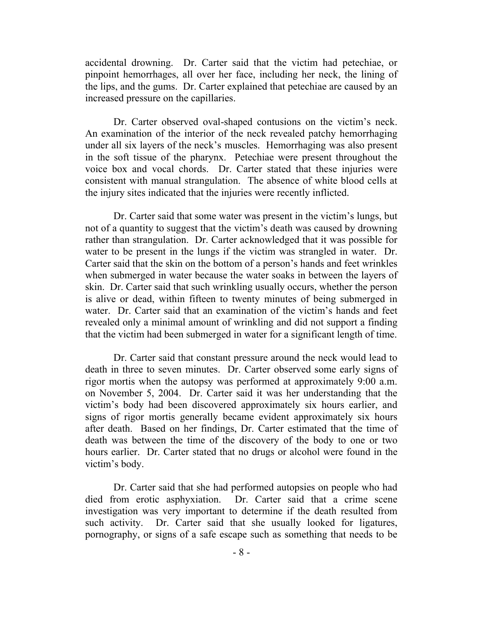accidental drowning. Dr. Carter said that the victim had petechiae, or pinpoint hemorrhages, all over her face, including her neck, the lining of the lips, and the gums. Dr. Carter explained that petechiae are caused by an increased pressure on the capillaries.

Dr. Carter observed oval-shaped contusions on the victim's neck. An examination of the interior of the neck revealed patchy hemorrhaging under all six layers of the neck's muscles. Hemorrhaging was also present in the soft tissue of the pharynx. Petechiae were present throughout the voice box and vocal chords. Dr. Carter stated that these injuries were consistent with manual strangulation. The absence of white blood cells at the injury sites indicated that the injuries were recently inflicted.

Dr. Carter said that some water was present in the victim's lungs, but not of a quantity to suggest that the victim's death was caused by drowning rather than strangulation. Dr. Carter acknowledged that it was possible for water to be present in the lungs if the victim was strangled in water. Dr. Carter said that the skin on the bottom of a person's hands and feet wrinkles when submerged in water because the water soaks in between the layers of skin. Dr. Carter said that such wrinkling usually occurs, whether the person is alive or dead, within fifteen to twenty minutes of being submerged in water. Dr. Carter said that an examination of the victim's hands and feet revealed only a minimal amount of wrinkling and did not support a finding that the victim had been submerged in water for a significant length of time.

Dr. Carter said that constant pressure around the neck would lead to death in three to seven minutes. Dr. Carter observed some early signs of rigor mortis when the autopsy was performed at approximately 9:00 a.m. on November 5, 2004. Dr. Carter said it was her understanding that the victim's body had been discovered approximately six hours earlier, and signs of rigor mortis generally became evident approximately six hours after death. Based on her findings, Dr. Carter estimated that the time of death was between the time of the discovery of the body to one or two hours earlier. Dr. Carter stated that no drugs or alcohol were found in the victim's body.

Dr. Carter said that she had performed autopsies on people who had died from erotic asphyxiation. Dr. Carter said that a crime scene investigation was very important to determine if the death resulted from such activity. Dr. Carter said that she usually looked for ligatures, pornography, or signs of a safe escape such as something that needs to be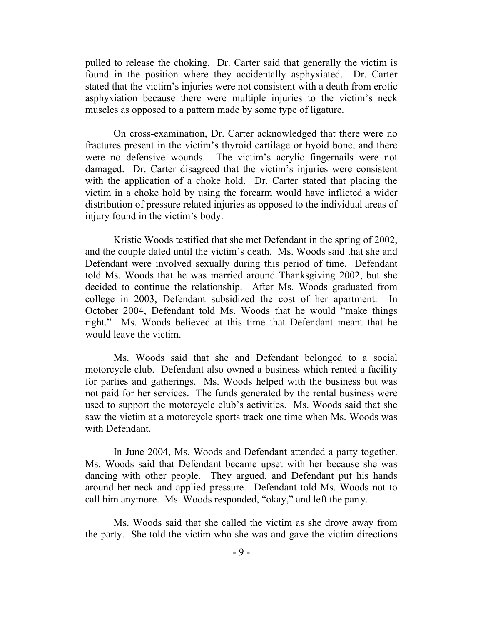pulled to release the choking. Dr. Carter said that generally the victim is found in the position where they accidentally asphyxiated. Dr. Carter stated that the victim's injuries were not consistent with a death from erotic asphyxiation because there were multiple injuries to the victim's neck muscles as opposed to a pattern made by some type of ligature.

On cross-examination, Dr. Carter acknowledged that there were no fractures present in the victim's thyroid cartilage or hyoid bone, and there were no defensive wounds. The victim's acrylic fingernails were not damaged. Dr. Carter disagreed that the victim's injuries were consistent with the application of a choke hold. Dr. Carter stated that placing the victim in a choke hold by using the forearm would have inflicted a wider distribution of pressure related injuries as opposed to the individual areas of injury found in the victim's body.

Kristie Woods testified that she met Defendant in the spring of 2002, and the couple dated until the victim's death. Ms. Woods said that she and Defendant were involved sexually during this period of time. Defendant told Ms. Woods that he was married around Thanksgiving 2002, but she decided to continue the relationship. After Ms. Woods graduated from college in 2003, Defendant subsidized the cost of her apartment. In October 2004, Defendant told Ms. Woods that he would "make things right." Ms. Woods believed at this time that Defendant meant that he would leave the victim.

Ms. Woods said that she and Defendant belonged to a social motorcycle club. Defendant also owned a business which rented a facility for parties and gatherings. Ms. Woods helped with the business but was not paid for her services. The funds generated by the rental business were used to support the motorcycle club's activities. Ms. Woods said that she saw the victim at a motorcycle sports track one time when Ms. Woods was with Defendant.

In June 2004, Ms. Woods and Defendant attended a party together. Ms. Woods said that Defendant became upset with her because she was dancing with other people. They argued, and Defendant put his hands around her neck and applied pressure. Defendant told Ms. Woods not to call him anymore. Ms. Woods responded, "okay," and left the party.

Ms. Woods said that she called the victim as she drove away from the party. She told the victim who she was and gave the victim directions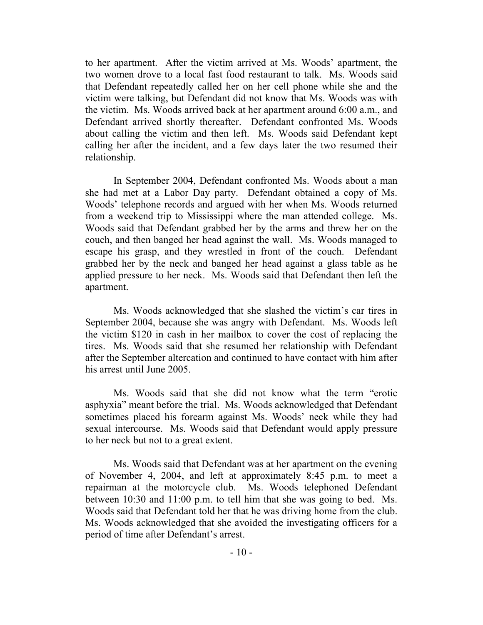to her apartment. After the victim arrived at Ms. Woods' apartment, the two women drove to a local fast food restaurant to talk. Ms. Woods said that Defendant repeatedly called her on her cell phone while she and the victim were talking, but Defendant did not know that Ms. Woods was with the victim. Ms. Woods arrived back at her apartment around 6:00 a.m., and Defendant arrived shortly thereafter. Defendant confronted Ms. Woods about calling the victim and then left. Ms. Woods said Defendant kept calling her after the incident, and a few days later the two resumed their relationship.

In September 2004, Defendant confronted Ms. Woods about a man she had met at a Labor Day party. Defendant obtained a copy of Ms. Woods' telephone records and argued with her when Ms. Woods returned from a weekend trip to Mississippi where the man attended college. Ms. Woods said that Defendant grabbed her by the arms and threw her on the couch, and then banged her head against the wall. Ms. Woods managed to escape his grasp, and they wrestled in front of the couch. Defendant grabbed her by the neck and banged her head against a glass table as he applied pressure to her neck. Ms. Woods said that Defendant then left the apartment.

Ms. Woods acknowledged that she slashed the victim's car tires in September 2004, because she was angry with Defendant. Ms. Woods left the victim \$120 in cash in her mailbox to cover the cost of replacing the tires. Ms. Woods said that she resumed her relationship with Defendant after the September altercation and continued to have contact with him after his arrest until June 2005.

Ms. Woods said that she did not know what the term "erotic asphyxia" meant before the trial. Ms. Woods acknowledged that Defendant sometimes placed his forearm against Ms. Woods' neck while they had sexual intercourse. Ms. Woods said that Defendant would apply pressure to her neck but not to a great extent.

Ms. Woods said that Defendant was at her apartment on the evening of November 4, 2004, and left at approximately 8:45 p.m. to meet a repairman at the motorcycle club. Ms. Woods telephoned Defendant between 10:30 and 11:00 p.m. to tell him that she was going to bed. Ms. Woods said that Defendant told her that he was driving home from the club. Ms. Woods acknowledged that she avoided the investigating officers for a period of time after Defendant's arrest.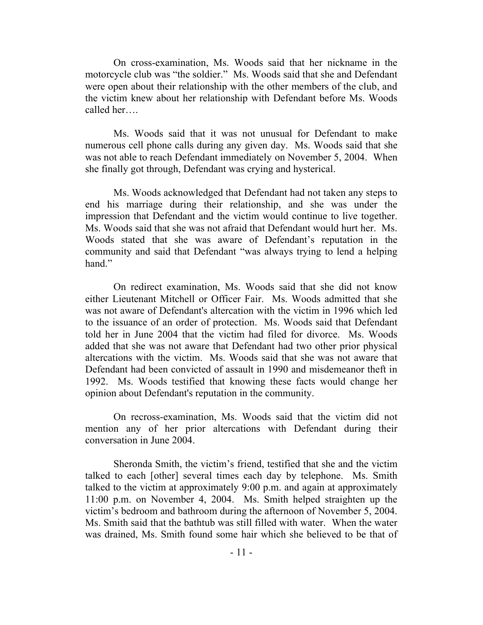On cross-examination, Ms. Woods said that her nickname in the motorcycle club was "the soldier." Ms. Woods said that she and Defendant were open about their relationship with the other members of the club, and the victim knew about her relationship with Defendant before Ms. Woods called her….

Ms. Woods said that it was not unusual for Defendant to make numerous cell phone calls during any given day. Ms. Woods said that she was not able to reach Defendant immediately on November 5, 2004. When she finally got through, Defendant was crying and hysterical.

Ms. Woods acknowledged that Defendant had not taken any steps to end his marriage during their relationship, and she was under the impression that Defendant and the victim would continue to live together. Ms. Woods said that she was not afraid that Defendant would hurt her. Ms. Woods stated that she was aware of Defendant's reputation in the community and said that Defendant "was always trying to lend a helping hand."

On redirect examination, Ms. Woods said that she did not know either Lieutenant Mitchell or Officer Fair. Ms. Woods admitted that she was not aware of Defendant's altercation with the victim in 1996 which led to the issuance of an order of protection. Ms. Woods said that Defendant told her in June 2004 that the victim had filed for divorce. Ms. Woods added that she was not aware that Defendant had two other prior physical altercations with the victim. Ms. Woods said that she was not aware that Defendant had been convicted of assault in 1990 and misdemeanor theft in 1992. Ms. Woods testified that knowing these facts would change her opinion about Defendant's reputation in the community.

On recross-examination, Ms. Woods said that the victim did not mention any of her prior altercations with Defendant during their conversation in June 2004.

Sheronda Smith, the victim's friend, testified that she and the victim talked to each [other] several times each day by telephone. Ms. Smith talked to the victim at approximately 9:00 p.m. and again at approximately 11:00 p.m. on November 4, 2004. Ms. Smith helped straighten up the victim's bedroom and bathroom during the afternoon of November 5, 2004. Ms. Smith said that the bathtub was still filled with water. When the water was drained, Ms. Smith found some hair which she believed to be that of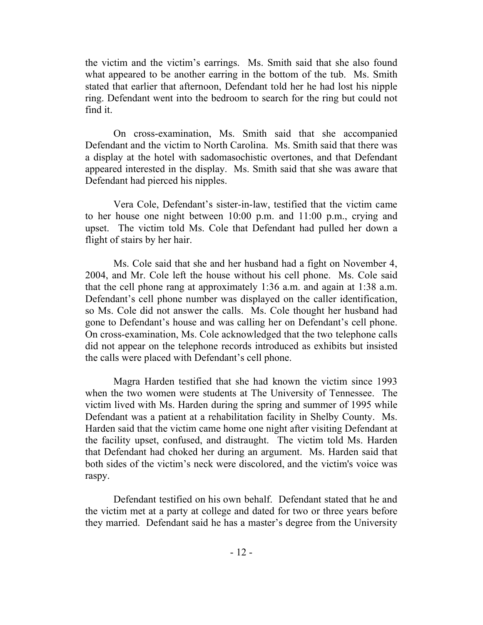the victim and the victim's earrings. Ms. Smith said that she also found what appeared to be another earring in the bottom of the tub. Ms. Smith stated that earlier that afternoon, Defendant told her he had lost his nipple ring. Defendant went into the bedroom to search for the ring but could not find it.

On cross-examination, Ms. Smith said that she accompanied Defendant and the victim to North Carolina. Ms. Smith said that there was a display at the hotel with sadomasochistic overtones, and that Defendant appeared interested in the display. Ms. Smith said that she was aware that Defendant had pierced his nipples.

Vera Cole, Defendant's sister-in-law, testified that the victim came to her house one night between 10:00 p.m. and 11:00 p.m., crying and upset. The victim told Ms. Cole that Defendant had pulled her down a flight of stairs by her hair.

Ms. Cole said that she and her husband had a fight on November 4, 2004, and Mr. Cole left the house without his cell phone. Ms. Cole said that the cell phone rang at approximately 1:36 a.m. and again at 1:38 a.m. Defendant's cell phone number was displayed on the caller identification, so Ms. Cole did not answer the calls. Ms. Cole thought her husband had gone to Defendant's house and was calling her on Defendant's cell phone. On cross-examination, Ms. Cole acknowledged that the two telephone calls did not appear on the telephone records introduced as exhibits but insisted the calls were placed with Defendant's cell phone.

Magra Harden testified that she had known the victim since 1993 when the two women were students at The University of Tennessee. The victim lived with Ms. Harden during the spring and summer of 1995 while Defendant was a patient at a rehabilitation facility in Shelby County. Ms. Harden said that the victim came home one night after visiting Defendant at the facility upset, confused, and distraught. The victim told Ms. Harden that Defendant had choked her during an argument. Ms. Harden said that both sides of the victim's neck were discolored, and the victim's voice was raspy.

Defendant testified on his own behalf. Defendant stated that he and the victim met at a party at college and dated for two or three years before they married. Defendant said he has a master's degree from the University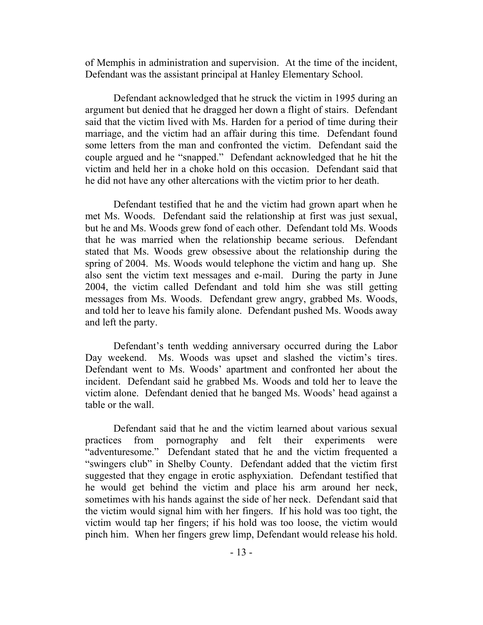of Memphis in administration and supervision. At the time of the incident, Defendant was the assistant principal at Hanley Elementary School.

Defendant acknowledged that he struck the victim in 1995 during an argument but denied that he dragged her down a flight of stairs. Defendant said that the victim lived with Ms. Harden for a period of time during their marriage, and the victim had an affair during this time. Defendant found some letters from the man and confronted the victim. Defendant said the couple argued and he "snapped." Defendant acknowledged that he hit the victim and held her in a choke hold on this occasion. Defendant said that he did not have any other altercations with the victim prior to her death.

Defendant testified that he and the victim had grown apart when he met Ms. Woods. Defendant said the relationship at first was just sexual, but he and Ms. Woods grew fond of each other. Defendant told Ms. Woods that he was married when the relationship became serious. Defendant stated that Ms. Woods grew obsessive about the relationship during the spring of 2004. Ms. Woods would telephone the victim and hang up. She also sent the victim text messages and e-mail. During the party in June 2004, the victim called Defendant and told him she was still getting messages from Ms. Woods. Defendant grew angry, grabbed Ms. Woods, and told her to leave his family alone. Defendant pushed Ms. Woods away and left the party.

Defendant's tenth wedding anniversary occurred during the Labor Day weekend. Ms. Woods was upset and slashed the victim's tires. Defendant went to Ms. Woods' apartment and confronted her about the incident. Defendant said he grabbed Ms. Woods and told her to leave the victim alone. Defendant denied that he banged Ms. Woods' head against a table or the wall.

Defendant said that he and the victim learned about various sexual practices from pornography and felt their experiments were "adventuresome." Defendant stated that he and the victim frequented a "swingers club" in Shelby County. Defendant added that the victim first suggested that they engage in erotic asphyxiation. Defendant testified that he would get behind the victim and place his arm around her neck, sometimes with his hands against the side of her neck. Defendant said that the victim would signal him with her fingers. If his hold was too tight, the victim would tap her fingers; if his hold was too loose, the victim would pinch him. When her fingers grew limp, Defendant would release his hold.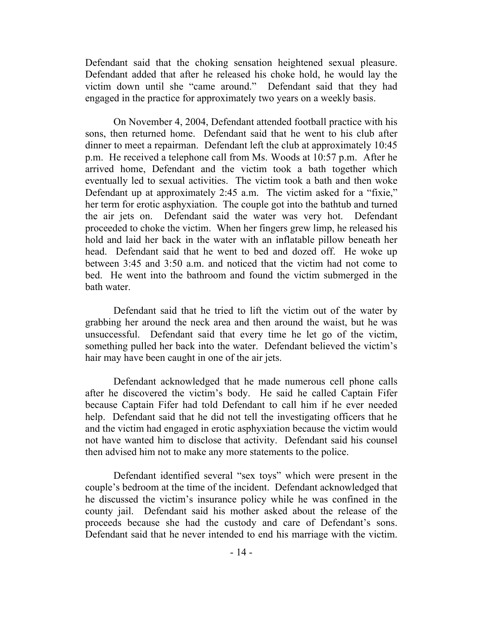Defendant said that the choking sensation heightened sexual pleasure. Defendant added that after he released his choke hold, he would lay the victim down until she "came around." Defendant said that they had engaged in the practice for approximately two years on a weekly basis.

On November 4, 2004, Defendant attended football practice with his sons, then returned home. Defendant said that he went to his club after dinner to meet a repairman. Defendant left the club at approximately 10:45 p.m. He received a telephone call from Ms. Woods at 10:57 p.m. After he arrived home, Defendant and the victim took a bath together which eventually led to sexual activities. The victim took a bath and then woke Defendant up at approximately 2:45 a.m. The victim asked for a "fixie," her term for erotic asphyxiation. The couple got into the bathtub and turned the air jets on. Defendant said the water was very hot. Defendant proceeded to choke the victim. When her fingers grew limp, he released his hold and laid her back in the water with an inflatable pillow beneath her head. Defendant said that he went to bed and dozed off. He woke up between 3:45 and 3:50 a.m. and noticed that the victim had not come to bed. He went into the bathroom and found the victim submerged in the bath water.

Defendant said that he tried to lift the victim out of the water by grabbing her around the neck area and then around the waist, but he was unsuccessful. Defendant said that every time he let go of the victim, something pulled her back into the water. Defendant believed the victim's hair may have been caught in one of the air jets.

Defendant acknowledged that he made numerous cell phone calls after he discovered the victim's body. He said he called Captain Fifer because Captain Fifer had told Defendant to call him if he ever needed help. Defendant said that he did not tell the investigating officers that he and the victim had engaged in erotic asphyxiation because the victim would not have wanted him to disclose that activity. Defendant said his counsel then advised him not to make any more statements to the police.

Defendant identified several "sex toys" which were present in the couple's bedroom at the time of the incident. Defendant acknowledged that he discussed the victim's insurance policy while he was confined in the county jail. Defendant said his mother asked about the release of the proceeds because she had the custody and care of Defendant's sons. Defendant said that he never intended to end his marriage with the victim.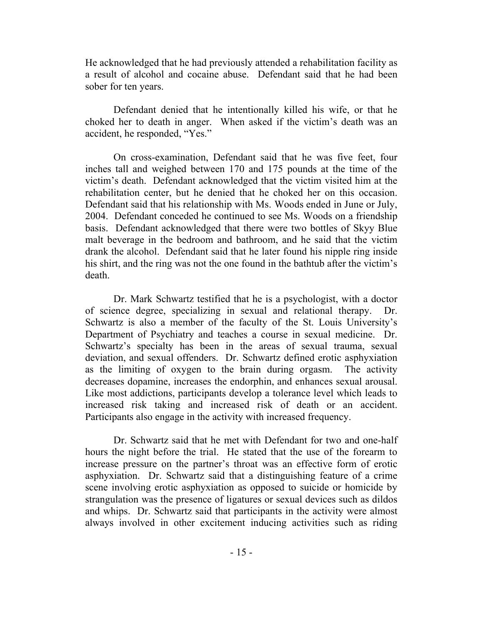He acknowledged that he had previously attended a rehabilitation facility as a result of alcohol and cocaine abuse. Defendant said that he had been sober for ten years.

Defendant denied that he intentionally killed his wife, or that he choked her to death in anger. When asked if the victim's death was an accident, he responded, "Yes."

On cross-examination, Defendant said that he was five feet, four inches tall and weighed between 170 and 175 pounds at the time of the victim's death. Defendant acknowledged that the victim visited him at the rehabilitation center, but he denied that he choked her on this occasion. Defendant said that his relationship with Ms. Woods ended in June or July, 2004. Defendant conceded he continued to see Ms. Woods on a friendship basis. Defendant acknowledged that there were two bottles of Skyy Blue malt beverage in the bedroom and bathroom, and he said that the victim drank the alcohol. Defendant said that he later found his nipple ring inside his shirt, and the ring was not the one found in the bathtub after the victim's death.

Dr. Mark Schwartz testified that he is a psychologist, with a doctor of science degree, specializing in sexual and relational therapy. Dr. Schwartz is also a member of the faculty of the St. Louis University's Department of Psychiatry and teaches a course in sexual medicine. Dr. Schwartz's specialty has been in the areas of sexual trauma, sexual deviation, and sexual offenders. Dr. Schwartz defined erotic asphyxiation as the limiting of oxygen to the brain during orgasm. The activity decreases dopamine, increases the endorphin, and enhances sexual arousal. Like most addictions, participants develop a tolerance level which leads to increased risk taking and increased risk of death or an accident. Participants also engage in the activity with increased frequency.

Dr. Schwartz said that he met with Defendant for two and one-half hours the night before the trial. He stated that the use of the forearm to increase pressure on the partner's throat was an effective form of erotic asphyxiation. Dr. Schwartz said that a distinguishing feature of a crime scene involving erotic asphyxiation as opposed to suicide or homicide by strangulation was the presence of ligatures or sexual devices such as dildos and whips. Dr. Schwartz said that participants in the activity were almost always involved in other excitement inducing activities such as riding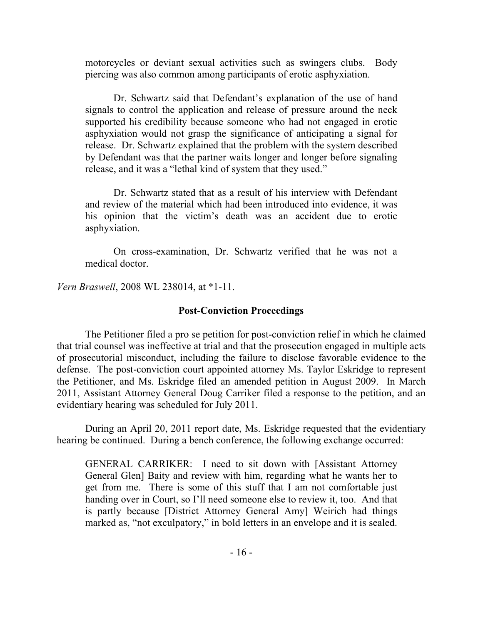motorcycles or deviant sexual activities such as swingers clubs. Body piercing was also common among participants of erotic asphyxiation.

Dr. Schwartz said that Defendant's explanation of the use of hand signals to control the application and release of pressure around the neck supported his credibility because someone who had not engaged in erotic asphyxiation would not grasp the significance of anticipating a signal for release. Dr. Schwartz explained that the problem with the system described by Defendant was that the partner waits longer and longer before signaling release, and it was a "lethal kind of system that they used."

Dr. Schwartz stated that as a result of his interview with Defendant and review of the material which had been introduced into evidence, it was his opinion that the victim's death was an accident due to erotic asphyxiation.

On cross-examination, Dr. Schwartz verified that he was not a medical doctor.

*Vern Braswell*, 2008 WL 238014, at \*1-11.

## **Post-Conviction Proceedings**

The Petitioner filed a pro se petition for post-conviction relief in which he claimed that trial counsel was ineffective at trial and that the prosecution engaged in multiple acts of prosecutorial misconduct, including the failure to disclose favorable evidence to the defense. The post-conviction court appointed attorney Ms. Taylor Eskridge to represent the Petitioner, and Ms. Eskridge filed an amended petition in August 2009. In March 2011, Assistant Attorney General Doug Carriker filed a response to the petition, and an evidentiary hearing was scheduled for July 2011.

During an April 20, 2011 report date, Ms. Eskridge requested that the evidentiary hearing be continued. During a bench conference, the following exchange occurred:

GENERAL CARRIKER: I need to sit down with [Assistant Attorney General Glen] Baity and review with him, regarding what he wants her to get from me. There is some of this stuff that I am not comfortable just handing over in Court, so I'll need someone else to review it, too. And that is partly because [District Attorney General Amy] Weirich had things marked as, "not exculpatory," in bold letters in an envelope and it is sealed.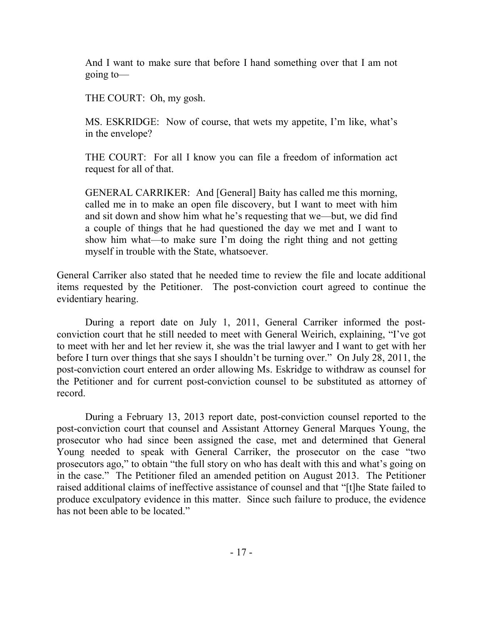And I want to make sure that before I hand something over that I am not going to—

THE COURT: Oh, my gosh.

MS. ESKRIDGE: Now of course, that wets my appetite, I'm like, what's in the envelope?

THE COURT: For all I know you can file a freedom of information act request for all of that.

GENERAL CARRIKER:And [General] Baity has called me this morning, called me in to make an open file discovery, but I want to meet with him and sit down and show him what he's requesting that we—but, we did find a couple of things that he had questioned the day we met and I want to show him what—to make sure I'm doing the right thing and not getting myself in trouble with the State, whatsoever.

General Carriker also stated that he needed time to review the file and locate additional items requested by the Petitioner. The post-conviction court agreed to continue the evidentiary hearing.

During a report date on July 1, 2011, General Carriker informed the postconviction court that he still needed to meet with General Weirich, explaining, "I've got to meet with her and let her review it, she was the trial lawyer and I want to get with her before I turn over things that she says I shouldn't be turning over." On July 28, 2011, the post-conviction court entered an order allowing Ms. Eskridge to withdraw as counsel for the Petitioner and for current post-conviction counsel to be substituted as attorney of record.

During a February 13, 2013 report date, post-conviction counsel reported to the post-conviction court that counsel and Assistant Attorney General Marques Young, the prosecutor who had since been assigned the case, met and determined that General Young needed to speak with General Carriker, the prosecutor on the case "two prosecutors ago," to obtain "the full story on who has dealt with this and what's going on in the case." The Petitioner filed an amended petition on August 2013. The Petitioner raised additional claims of ineffective assistance of counsel and that "[t]he State failed to produce exculpatory evidence in this matter. Since such failure to produce, the evidence has not been able to be located."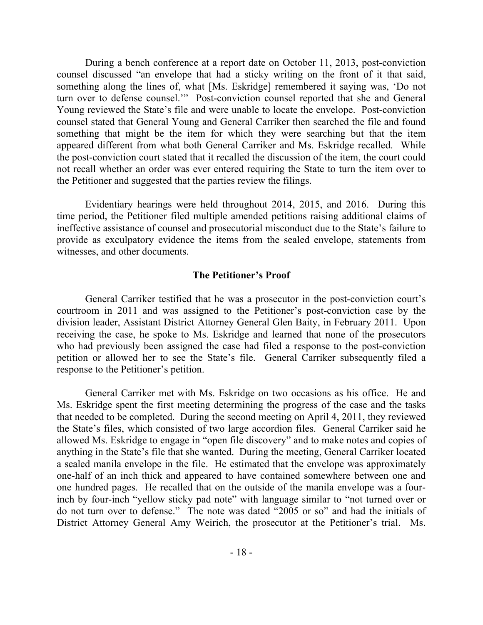During a bench conference at a report date on October 11, 2013, post-conviction counsel discussed "an envelope that had a sticky writing on the front of it that said, something along the lines of, what [Ms. Eskridge] remembered it saying was, 'Do not turn over to defense counsel." Post-conviction counsel reported that she and General Young reviewed the State's file and were unable to locate the envelope. Post-conviction counsel stated that General Young and General Carriker then searched the file and found something that might be the item for which they were searching but that the item appeared different from what both General Carriker and Ms. Eskridge recalled. While the post-conviction court stated that it recalled the discussion of the item, the court could not recall whether an order was ever entered requiring the State to turn the item over to the Petitioner and suggested that the parties review the filings.

Evidentiary hearings were held throughout 2014, 2015, and 2016. During this time period, the Petitioner filed multiple amended petitions raising additional claims of ineffective assistance of counsel and prosecutorial misconduct due to the State's failure to provide as exculpatory evidence the items from the sealed envelope, statements from witnesses, and other documents.

#### **The Petitioner's Proof**

General Carriker testified that he was a prosecutor in the post-conviction court's courtroom in 2011 and was assigned to the Petitioner's post-conviction case by the division leader, Assistant District Attorney General Glen Baity, in February 2011. Upon receiving the case, he spoke to Ms. Eskridge and learned that none of the prosecutors who had previously been assigned the case had filed a response to the post-conviction petition or allowed her to see the State's file. General Carriker subsequently filed a response to the Petitioner's petition.

General Carriker met with Ms. Eskridge on two occasions as his office. He and Ms. Eskridge spent the first meeting determining the progress of the case and the tasks that needed to be completed. During the second meeting on April 4, 2011, they reviewed the State's files, which consisted of two large accordion files. General Carriker said he allowed Ms. Eskridge to engage in "open file discovery" and to make notes and copies of anything in the State's file that she wanted. During the meeting, General Carriker located a sealed manila envelope in the file. He estimated that the envelope was approximately one-half of an inch thick and appeared to have contained somewhere between one and one hundred pages. He recalled that on the outside of the manila envelope was a fourinch by four-inch "yellow sticky pad note" with language similar to "not turned over or do not turn over to defense." The note was dated "2005 or so" and had the initials of District Attorney General Amy Weirich, the prosecutor at the Petitioner's trial. Ms.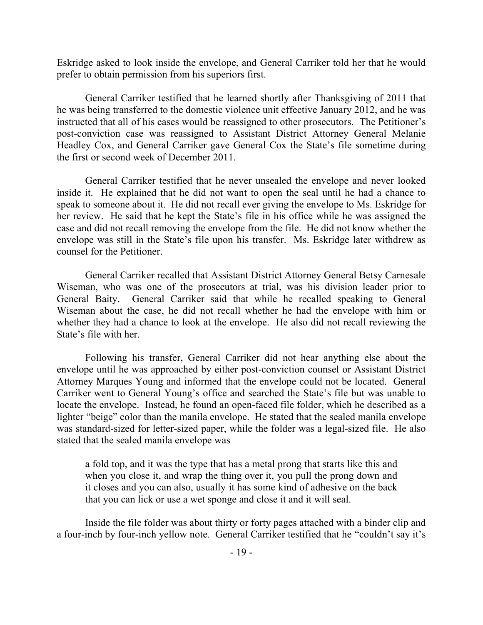Eskridge asked to look inside the envelope, and General Carriker told her that he would prefer to obtain permission from his superiors first.

General Carriker testified that he learned shortly after Thanksgiving of 2011 that he was being transferred to the domestic violence unit effective January 2012, and he was instructed that all of his cases would be reassigned to other prosecutors. The Petitioner's post-conviction case was reassigned to Assistant District Attorney General Melanie Headley Cox, and General Carriker gave General Cox the State's file sometime during the first or second week of December 2011.

General Carriker testified that he never unsealed the envelope and never looked inside it. He explained that he did not want to open the seal until he had a chance to speak to someone about it. He did not recall ever giving the envelope to Ms. Eskridge for her review. He said that he kept the State's file in his office while he was assigned the case and did not recall removing the envelope from the file. He did not know whether the envelope was still in the State's file upon his transfer. Ms. Eskridge later withdrew as counsel for the Petitioner.

General Carriker recalled that Assistant District Attorney General Betsy Carnesale Wiseman, who was one of the prosecutors at trial, was his division leader prior to General Baity. General Carriker said that while he recalled speaking to General Wiseman about the case, he did not recall whether he had the envelope with him or whether they had a chance to look at the envelope. He also did not recall reviewing the State's file with her.

Following his transfer, General Carriker did not hear anything else about the envelope until he was approached by either post-conviction counsel or Assistant District Attorney Marques Young and informed that the envelope could not be located. General Carriker went to General Young's office and searched the State's file but was unable to locate the envelope. Instead, he found an open-faced file folder, which he described as a lighter "beige" color than the manila envelope. He stated that the sealed manila envelope was standard-sized for letter-sized paper, while the folder was a legal-sized file. He also stated that the sealed manila envelope was

a fold top, and it was the type that has a metal prong that starts like this and when you close it, and wrap the thing over it, you pull the prong down and it closes and you can also, usually it has some kind of adhesive on the back that you can lick or use a wet sponge and close it and it will seal.

Inside the file folder was about thirty or forty pages attached with a binder clip and a four-inch by four-inch yellow note. General Carriker testified that he "couldn't say it's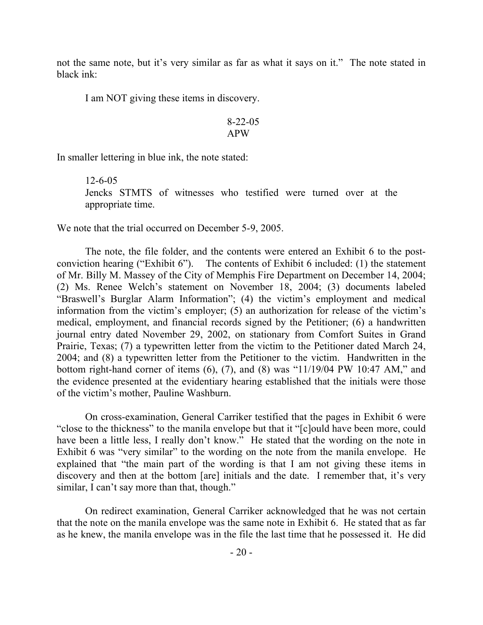not the same note, but it's very similar as far as what it says on it." The note stated in black ink:

I am NOT giving these items in discovery.

$$
8-22-05
$$
APW

In smaller lettering in blue ink, the note stated:

12-6-05 Jencks STMTS of witnesses who testified were turned over at the appropriate time.

We note that the trial occurred on December 5-9, 2005.

The note, the file folder, and the contents were entered an Exhibit 6 to the postconviction hearing ("Exhibit 6"). The contents of Exhibit 6 included: (1) the statement of Mr. Billy M. Massey of the City of Memphis Fire Department on December 14, 2004; (2) Ms. Renee Welch's statement on November 18, 2004; (3) documents labeled "Braswell's Burglar Alarm Information"; (4) the victim's employment and medical information from the victim's employer; (5) an authorization for release of the victim's medical, employment, and financial records signed by the Petitioner; (6) a handwritten journal entry dated November 29, 2002, on stationary from Comfort Suites in Grand Prairie, Texas; (7) a typewritten letter from the victim to the Petitioner dated March 24, 2004; and (8) a typewritten letter from the Petitioner to the victim. Handwritten in the bottom right-hand corner of items  $(6)$ ,  $(7)$ , and  $(8)$  was "11/19/04 PW 10:47 AM," and the evidence presented at the evidentiary hearing established that the initials were those of the victim's mother, Pauline Washburn.

On cross-examination, General Carriker testified that the pages in Exhibit 6 were "close to the thickness" to the manila envelope but that it "[c]ould have been more, could have been a little less, I really don't know." He stated that the wording on the note in Exhibit 6 was "very similar" to the wording on the note from the manila envelope. He explained that "the main part of the wording is that I am not giving these items in discovery and then at the bottom [are] initials and the date. I remember that, it's very similar, I can't say more than that, though."

On redirect examination, General Carriker acknowledged that he was not certain that the note on the manila envelope was the same note in Exhibit 6. He stated that as far as he knew, the manila envelope was in the file the last time that he possessed it. He did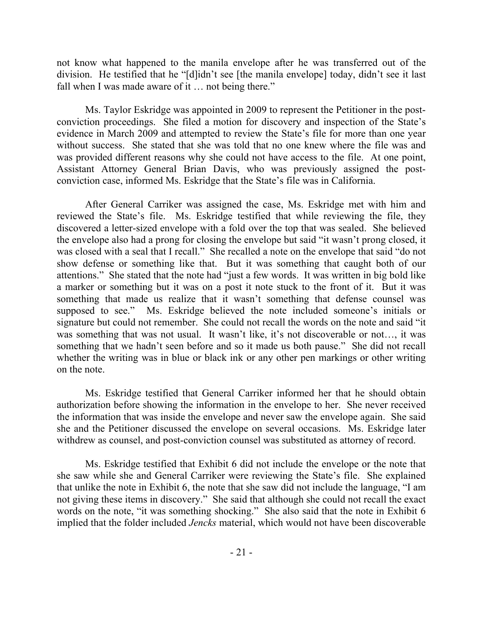not know what happened to the manila envelope after he was transferred out of the division. He testified that he "[d]idn't see [the manila envelope] today, didn't see it last fall when I was made aware of it ... not being there."

Ms. Taylor Eskridge was appointed in 2009 to represent the Petitioner in the postconviction proceedings. She filed a motion for discovery and inspection of the State's evidence in March 2009 and attempted to review the State's file for more than one year without success. She stated that she was told that no one knew where the file was and was provided different reasons why she could not have access to the file. At one point, Assistant Attorney General Brian Davis, who was previously assigned the postconviction case, informed Ms. Eskridge that the State's file was in California.

After General Carriker was assigned the case, Ms. Eskridge met with him and reviewed the State's file. Ms. Eskridge testified that while reviewing the file, they discovered a letter-sized envelope with a fold over the top that was sealed. She believed the envelope also had a prong for closing the envelope but said "it wasn't prong closed, it was closed with a seal that I recall." She recalled a note on the envelope that said "do not show defense or something like that. But it was something that caught both of our attentions." She stated that the note had "just a few words. It was written in big bold like a marker or something but it was on a post it note stuck to the front of it. But it was something that made us realize that it wasn't something that defense counsel was supposed to see." Ms. Eskridge believed the note included someone's initials or signature but could not remember. She could not recall the words on the note and said "it was something that was not usual. It wasn't like, it's not discoverable or not..., it was something that we hadn't seen before and so it made us both pause." She did not recall whether the writing was in blue or black ink or any other pen markings or other writing on the note.

Ms. Eskridge testified that General Carriker informed her that he should obtain authorization before showing the information in the envelope to her. She never received the information that was inside the envelope and never saw the envelope again. She said she and the Petitioner discussed the envelope on several occasions. Ms. Eskridge later withdrew as counsel, and post-conviction counsel was substituted as attorney of record.

Ms. Eskridge testified that Exhibit 6 did not include the envelope or the note that she saw while she and General Carriker were reviewing the State's file. She explained that unlike the note in Exhibit 6, the note that she saw did not include the language, "I am not giving these items in discovery." She said that although she could not recall the exact words on the note, "it was something shocking." She also said that the note in Exhibit 6 implied that the folder included *Jencks* material, which would not have been discoverable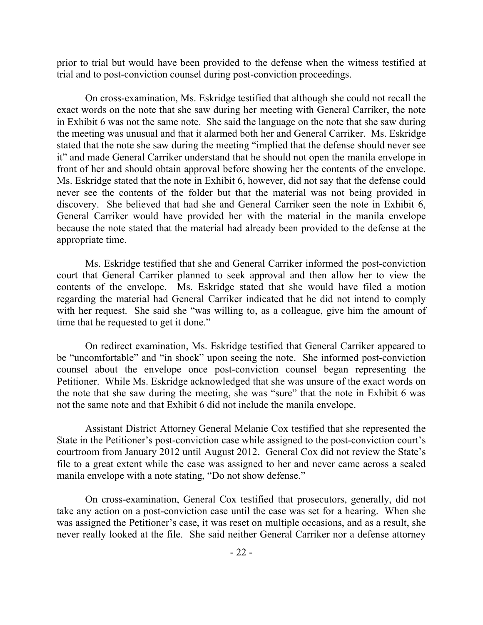prior to trial but would have been provided to the defense when the witness testified at trial and to post-conviction counsel during post-conviction proceedings.

On cross-examination, Ms. Eskridge testified that although she could not recall the exact words on the note that she saw during her meeting with General Carriker, the note in Exhibit 6 was not the same note. She said the language on the note that she saw during the meeting was unusual and that it alarmed both her and General Carriker. Ms. Eskridge stated that the note she saw during the meeting "implied that the defense should never see it" and made General Carriker understand that he should not open the manila envelope in front of her and should obtain approval before showing her the contents of the envelope. Ms. Eskridge stated that the note in Exhibit 6, however, did not say that the defense could never see the contents of the folder but that the material was not being provided in discovery. She believed that had she and General Carriker seen the note in Exhibit 6, General Carriker would have provided her with the material in the manila envelope because the note stated that the material had already been provided to the defense at the appropriate time.

Ms. Eskridge testified that she and General Carriker informed the post-conviction court that General Carriker planned to seek approval and then allow her to view the contents of the envelope. Ms. Eskridge stated that she would have filed a motion regarding the material had General Carriker indicated that he did not intend to comply with her request. She said she "was willing to, as a colleague, give him the amount of time that he requested to get it done."

On redirect examination, Ms. Eskridge testified that General Carriker appeared to be "uncomfortable" and "in shock" upon seeing the note. She informed post-conviction counsel about the envelope once post-conviction counsel began representing the Petitioner. While Ms. Eskridge acknowledged that she was unsure of the exact words on the note that she saw during the meeting, she was "sure" that the note in Exhibit 6 was not the same note and that Exhibit 6 did not include the manila envelope.

Assistant District Attorney General Melanie Cox testified that she represented the State in the Petitioner's post-conviction case while assigned to the post-conviction court's courtroom from January 2012 until August 2012. General Cox did not review the State's file to a great extent while the case was assigned to her and never came across a sealed manila envelope with a note stating, "Do not show defense."

On cross-examination, General Cox testified that prosecutors, generally, did not take any action on a post-conviction case until the case was set for a hearing. When she was assigned the Petitioner's case, it was reset on multiple occasions, and as a result, she never really looked at the file. She said neither General Carriker nor a defense attorney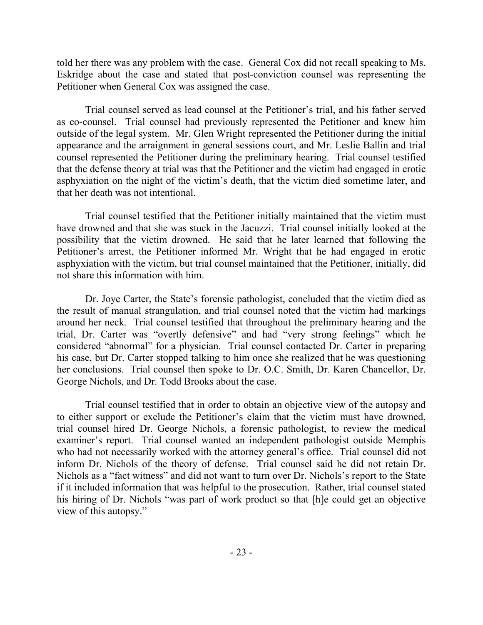told her there was any problem with the case. General Cox did not recall speaking to Ms. Eskridge about the case and stated that post-conviction counsel was representing the Petitioner when General Cox was assigned the case.

Trial counsel served as lead counsel at the Petitioner's trial, and his father served as co-counsel. Trial counsel had previously represented the Petitioner and knew him outside of the legal system. Mr. Glen Wright represented the Petitioner during the initial appearance and the arraignment in general sessions court, and Mr. Leslie Ballin and trial counsel represented the Petitioner during the preliminary hearing. Trial counsel testified that the defense theory at trial was that the Petitioner and the victim had engaged in erotic asphyxiation on the night of the victim's death, that the victim died sometime later, and that her death was not intentional.

Trial counsel testified that the Petitioner initially maintained that the victim must have drowned and that she was stuck in the Jacuzzi. Trial counsel initially looked at the possibility that the victim drowned. He said that he later learned that following the Petitioner's arrest, the Petitioner informed Mr. Wright that he had engaged in erotic asphyxiation with the victim, but trial counsel maintained that the Petitioner, initially, did not share this information with him.

Dr. Joye Carter, the State's forensic pathologist, concluded that the victim died as the result of manual strangulation, and trial counsel noted that the victim had markings around her neck. Trial counsel testified that throughout the preliminary hearing and the trial, Dr. Carter was "overtly defensive" and had "very strong feelings" which he considered "abnormal" for a physician. Trial counsel contacted Dr. Carter in preparing his case, but Dr. Carter stopped talking to him once she realized that he was questioning her conclusions. Trial counsel then spoke to Dr. O.C. Smith, Dr. Karen Chancellor, Dr. George Nichols, and Dr. Todd Brooks about the case.

Trial counsel testified that in order to obtain an objective view of the autopsy and to either support or exclude the Petitioner's claim that the victim must have drowned, trial counsel hired Dr. George Nichols, a forensic pathologist, to review the medical examiner's report. Trial counsel wanted an independent pathologist outside Memphis who had not necessarily worked with the attorney general's office. Trial counsel did not inform Dr. Nichols of the theory of defense. Trial counsel said he did not retain Dr. Nichols as a "fact witness" and did not want to turn over Dr. Nichols's report to the State if it included information that was helpful to the prosecution. Rather, trial counsel stated his hiring of Dr. Nichols "was part of work product so that [h]e could get an objective view of this autopsy."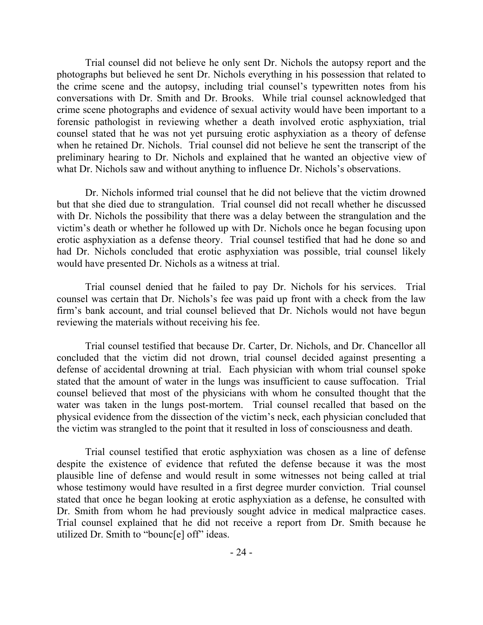Trial counsel did not believe he only sent Dr. Nichols the autopsy report and the photographs but believed he sent Dr. Nichols everything in his possession that related to the crime scene and the autopsy, including trial counsel's typewritten notes from his conversations with Dr. Smith and Dr. Brooks. While trial counsel acknowledged that crime scene photographs and evidence of sexual activity would have been important to a forensic pathologist in reviewing whether a death involved erotic asphyxiation, trial counsel stated that he was not yet pursuing erotic asphyxiation as a theory of defense when he retained Dr. Nichols. Trial counsel did not believe he sent the transcript of the preliminary hearing to Dr. Nichols and explained that he wanted an objective view of what Dr. Nichols saw and without anything to influence Dr. Nichols's observations.

Dr. Nichols informed trial counsel that he did not believe that the victim drowned but that she died due to strangulation. Trial counsel did not recall whether he discussed with Dr. Nichols the possibility that there was a delay between the strangulation and the victim's death or whether he followed up with Dr. Nichols once he began focusing upon erotic asphyxiation as a defense theory. Trial counsel testified that had he done so and had Dr. Nichols concluded that erotic asphyxiation was possible, trial counsel likely would have presented Dr. Nichols as a witness at trial.

Trial counsel denied that he failed to pay Dr. Nichols for his services. Trial counsel was certain that Dr. Nichols's fee was paid up front with a check from the law firm's bank account, and trial counsel believed that Dr. Nichols would not have begun reviewing the materials without receiving his fee.

Trial counsel testified that because Dr. Carter, Dr. Nichols, and Dr. Chancellor all concluded that the victim did not drown, trial counsel decided against presenting a defense of accidental drowning at trial. Each physician with whom trial counsel spoke stated that the amount of water in the lungs was insufficient to cause suffocation. Trial counsel believed that most of the physicians with whom he consulted thought that the water was taken in the lungs post-mortem. Trial counsel recalled that based on the physical evidence from the dissection of the victim's neck, each physician concluded that the victim was strangled to the point that it resulted in loss of consciousness and death.

Trial counsel testified that erotic asphyxiation was chosen as a line of defense despite the existence of evidence that refuted the defense because it was the most plausible line of defense and would result in some witnesses not being called at trial whose testimony would have resulted in a first degree murder conviction. Trial counsel stated that once he began looking at erotic asphyxiation as a defense, he consulted with Dr. Smith from whom he had previously sought advice in medical malpractice cases. Trial counsel explained that he did not receive a report from Dr. Smith because he utilized Dr. Smith to "bounc[e] off" ideas.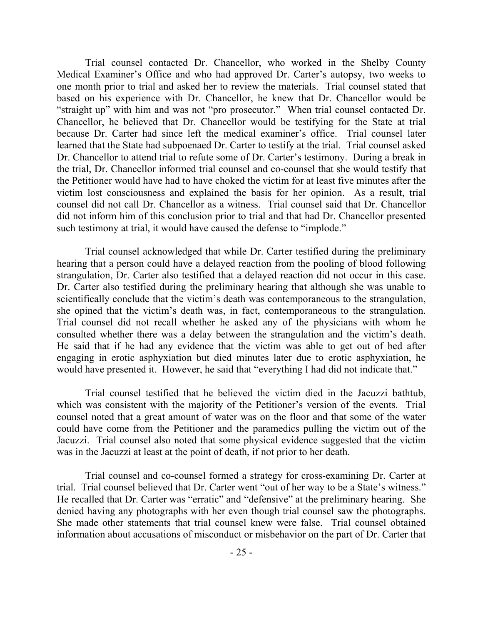Trial counsel contacted Dr. Chancellor, who worked in the Shelby County Medical Examiner's Office and who had approved Dr. Carter's autopsy, two weeks to one month prior to trial and asked her to review the materials. Trial counsel stated that based on his experience with Dr. Chancellor, he knew that Dr. Chancellor would be "straight up" with him and was not "pro prosecutor." When trial counsel contacted Dr. Chancellor, he believed that Dr. Chancellor would be testifying for the State at trial because Dr. Carter had since left the medical examiner's office. Trial counsel later learned that the State had subpoenaed Dr. Carter to testify at the trial. Trial counsel asked Dr. Chancellor to attend trial to refute some of Dr. Carter's testimony. During a break in the trial, Dr. Chancellor informed trial counsel and co-counsel that she would testify that the Petitioner would have had to have choked the victim for at least five minutes after the victim lost consciousness and explained the basis for her opinion. As a result, trial counsel did not call Dr. Chancellor as a witness. Trial counsel said that Dr. Chancellor did not inform him of this conclusion prior to trial and that had Dr. Chancellor presented such testimony at trial, it would have caused the defense to "implode."

Trial counsel acknowledged that while Dr. Carter testified during the preliminary hearing that a person could have a delayed reaction from the pooling of blood following strangulation, Dr. Carter also testified that a delayed reaction did not occur in this case. Dr. Carter also testified during the preliminary hearing that although she was unable to scientifically conclude that the victim's death was contemporaneous to the strangulation, she opined that the victim's death was, in fact, contemporaneous to the strangulation. Trial counsel did not recall whether he asked any of the physicians with whom he consulted whether there was a delay between the strangulation and the victim's death. He said that if he had any evidence that the victim was able to get out of bed after engaging in erotic asphyxiation but died minutes later due to erotic asphyxiation, he would have presented it. However, he said that "everything I had did not indicate that."

Trial counsel testified that he believed the victim died in the Jacuzzi bathtub, which was consistent with the majority of the Petitioner's version of the events. Trial counsel noted that a great amount of water was on the floor and that some of the water could have come from the Petitioner and the paramedics pulling the victim out of the Jacuzzi. Trial counsel also noted that some physical evidence suggested that the victim was in the Jacuzzi at least at the point of death, if not prior to her death.

Trial counsel and co-counsel formed a strategy for cross-examining Dr. Carter at trial. Trial counsel believed that Dr. Carter went "out of her way to be a State's witness." He recalled that Dr. Carter was "erratic" and "defensive" at the preliminary hearing. She denied having any photographs with her even though trial counsel saw the photographs. She made other statements that trial counsel knew were false. Trial counsel obtained information about accusations of misconduct or misbehavior on the part of Dr. Carter that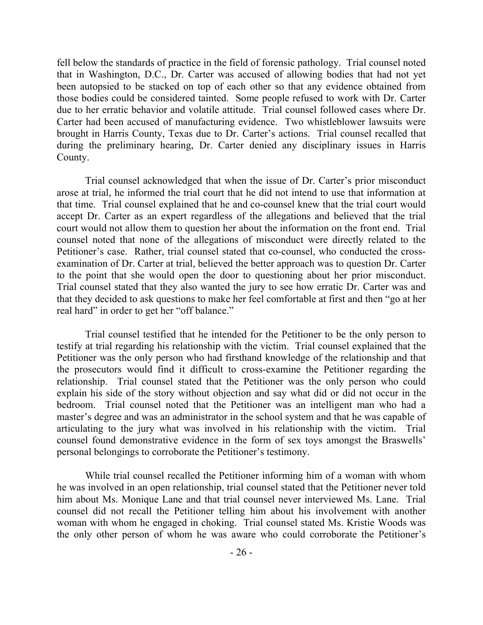fell below the standards of practice in the field of forensic pathology. Trial counsel noted that in Washington, D.C., Dr. Carter was accused of allowing bodies that had not yet been autopsied to be stacked on top of each other so that any evidence obtained from those bodies could be considered tainted. Some people refused to work with Dr. Carter due to her erratic behavior and volatile attitude. Trial counsel followed cases where Dr. Carter had been accused of manufacturing evidence. Two whistleblower lawsuits were brought in Harris County, Texas due to Dr. Carter's actions. Trial counsel recalled that during the preliminary hearing, Dr. Carter denied any disciplinary issues in Harris County.

Trial counsel acknowledged that when the issue of Dr. Carter's prior misconduct arose at trial, he informed the trial court that he did not intend to use that information at that time. Trial counsel explained that he and co-counsel knew that the trial court would accept Dr. Carter as an expert regardless of the allegations and believed that the trial court would not allow them to question her about the information on the front end. Trial counsel noted that none of the allegations of misconduct were directly related to the Petitioner's case. Rather, trial counsel stated that co-counsel, who conducted the crossexamination of Dr. Carter at trial, believed the better approach was to question Dr. Carter to the point that she would open the door to questioning about her prior misconduct. Trial counsel stated that they also wanted the jury to see how erratic Dr. Carter was and that they decided to ask questions to make her feel comfortable at first and then "go at her real hard" in order to get her "off balance."

Trial counsel testified that he intended for the Petitioner to be the only person to testify at trial regarding his relationship with the victim. Trial counsel explained that the Petitioner was the only person who had firsthand knowledge of the relationship and that the prosecutors would find it difficult to cross-examine the Petitioner regarding the relationship. Trial counsel stated that the Petitioner was the only person who could explain his side of the story without objection and say what did or did not occur in the bedroom. Trial counsel noted that the Petitioner was an intelligent man who had a master's degree and was an administrator in the school system and that he was capable of articulating to the jury what was involved in his relationship with the victim. Trial counsel found demonstrative evidence in the form of sex toys amongst the Braswells' personal belongings to corroborate the Petitioner's testimony.

While trial counsel recalled the Petitioner informing him of a woman with whom he was involved in an open relationship, trial counsel stated that the Petitioner never told him about Ms. Monique Lane and that trial counsel never interviewed Ms. Lane. Trial counsel did not recall the Petitioner telling him about his involvement with another woman with whom he engaged in choking. Trial counsel stated Ms. Kristie Woods was the only other person of whom he was aware who could corroborate the Petitioner's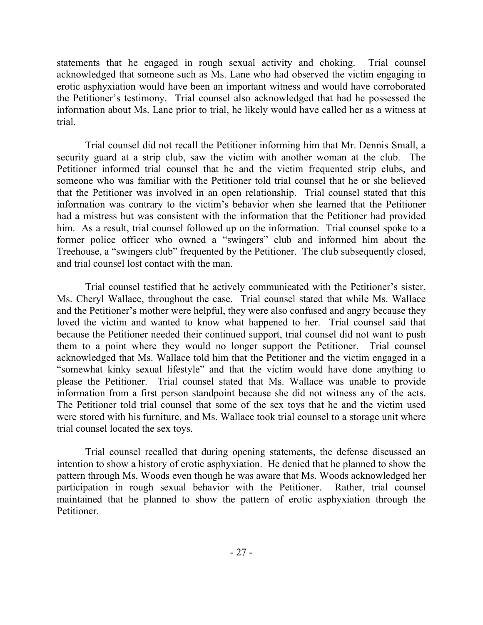statements that he engaged in rough sexual activity and choking. Trial counsel acknowledged that someone such as Ms. Lane who had observed the victim engaging in erotic asphyxiation would have been an important witness and would have corroborated the Petitioner's testimony. Trial counsel also acknowledged that had he possessed the information about Ms. Lane prior to trial, he likely would have called her as a witness at trial.

Trial counsel did not recall the Petitioner informing him that Mr. Dennis Small, a security guard at a strip club, saw the victim with another woman at the club. The Petitioner informed trial counsel that he and the victim frequented strip clubs, and someone who was familiar with the Petitioner told trial counsel that he or she believed that the Petitioner was involved in an open relationship. Trial counsel stated that this information was contrary to the victim's behavior when she learned that the Petitioner had a mistress but was consistent with the information that the Petitioner had provided him. As a result, trial counsel followed up on the information. Trial counsel spoke to a former police officer who owned a "swingers" club and informed him about the Treehouse, a "swingers club" frequented by the Petitioner. The club subsequently closed, and trial counsel lost contact with the man.

Trial counsel testified that he actively communicated with the Petitioner's sister, Ms. Cheryl Wallace, throughout the case. Trial counsel stated that while Ms. Wallace and the Petitioner's mother were helpful, they were also confused and angry because they loved the victim and wanted to know what happened to her. Trial counsel said that because the Petitioner needed their continued support, trial counsel did not want to push them to a point where they would no longer support the Petitioner. Trial counsel acknowledged that Ms. Wallace told him that the Petitioner and the victim engaged in a "somewhat kinky sexual lifestyle" and that the victim would have done anything to please the Petitioner. Trial counsel stated that Ms. Wallace was unable to provide information from a first person standpoint because she did not witness any of the acts. The Petitioner told trial counsel that some of the sex toys that he and the victim used were stored with his furniture, and Ms. Wallace took trial counsel to a storage unit where trial counsel located the sex toys.

Trial counsel recalled that during opening statements, the defense discussed an intention to show a history of erotic asphyxiation. He denied that he planned to show the pattern through Ms. Woods even though he was aware that Ms. Woods acknowledged her participation in rough sexual behavior with the Petitioner. Rather, trial counsel maintained that he planned to show the pattern of erotic asphyxiation through the Petitioner.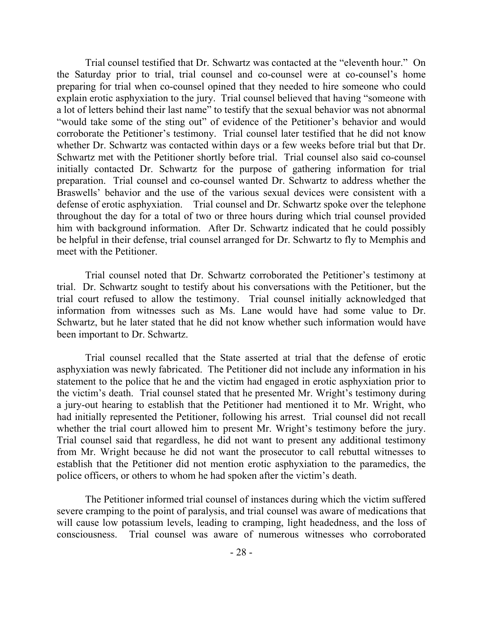Trial counsel testified that Dr. Schwartz was contacted at the "eleventh hour." On the Saturday prior to trial, trial counsel and co-counsel were at co-counsel's home preparing for trial when co-counsel opined that they needed to hire someone who could explain erotic asphyxiation to the jury. Trial counsel believed that having "someone with a lot of letters behind their last name" to testify that the sexual behavior was not abnormal "would take some of the sting out" of evidence of the Petitioner's behavior and would corroborate the Petitioner's testimony. Trial counsel later testified that he did not know whether Dr. Schwartz was contacted within days or a few weeks before trial but that Dr. Schwartz met with the Petitioner shortly before trial. Trial counsel also said co-counsel initially contacted Dr. Schwartz for the purpose of gathering information for trial preparation. Trial counsel and co-counsel wanted Dr. Schwartz to address whether the Braswells' behavior and the use of the various sexual devices were consistent with a defense of erotic asphyxiation. Trial counsel and Dr. Schwartz spoke over the telephone throughout the day for a total of two or three hours during which trial counsel provided him with background information. After Dr. Schwartz indicated that he could possibly be helpful in their defense, trial counsel arranged for Dr. Schwartz to fly to Memphis and meet with the Petitioner.

Trial counsel noted that Dr. Schwartz corroborated the Petitioner's testimony at trial. Dr. Schwartz sought to testify about his conversations with the Petitioner, but the trial court refused to allow the testimony. Trial counsel initially acknowledged that information from witnesses such as Ms. Lane would have had some value to Dr. Schwartz, but he later stated that he did not know whether such information would have been important to Dr. Schwartz.

Trial counsel recalled that the State asserted at trial that the defense of erotic asphyxiation was newly fabricated. The Petitioner did not include any information in his statement to the police that he and the victim had engaged in erotic asphyxiation prior to the victim's death. Trial counsel stated that he presented Mr. Wright's testimony during a jury-out hearing to establish that the Petitioner had mentioned it to Mr. Wright, who had initially represented the Petitioner, following his arrest. Trial counsel did not recall whether the trial court allowed him to present Mr. Wright's testimony before the jury. Trial counsel said that regardless, he did not want to present any additional testimony from Mr. Wright because he did not want the prosecutor to call rebuttal witnesses to establish that the Petitioner did not mention erotic asphyxiation to the paramedics, the police officers, or others to whom he had spoken after the victim's death.

The Petitioner informed trial counsel of instances during which the victim suffered severe cramping to the point of paralysis, and trial counsel was aware of medications that will cause low potassium levels, leading to cramping, light headedness, and the loss of consciousness. Trial counsel was aware of numerous witnesses who corroborated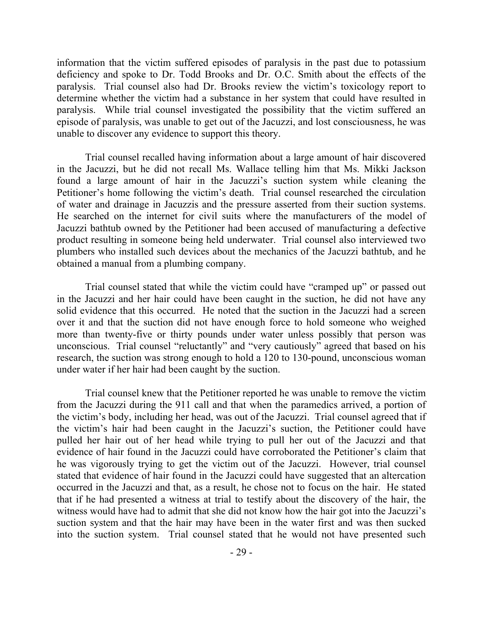information that the victim suffered episodes of paralysis in the past due to potassium deficiency and spoke to Dr. Todd Brooks and Dr. O.C. Smith about the effects of the paralysis. Trial counsel also had Dr. Brooks review the victim's toxicology report to determine whether the victim had a substance in her system that could have resulted in paralysis. While trial counsel investigated the possibility that the victim suffered an episode of paralysis, was unable to get out of the Jacuzzi, and lost consciousness, he was unable to discover any evidence to support this theory.

Trial counsel recalled having information about a large amount of hair discovered in the Jacuzzi, but he did not recall Ms. Wallace telling him that Ms. Mikki Jackson found a large amount of hair in the Jacuzzi's suction system while cleaning the Petitioner's home following the victim's death. Trial counsel researched the circulation of water and drainage in Jacuzzis and the pressure asserted from their suction systems. He searched on the internet for civil suits where the manufacturers of the model of Jacuzzi bathtub owned by the Petitioner had been accused of manufacturing a defective product resulting in someone being held underwater. Trial counsel also interviewed two plumbers who installed such devices about the mechanics of the Jacuzzi bathtub, and he obtained a manual from a plumbing company.

Trial counsel stated that while the victim could have "cramped up" or passed out in the Jacuzzi and her hair could have been caught in the suction, he did not have any solid evidence that this occurred. He noted that the suction in the Jacuzzi had a screen over it and that the suction did not have enough force to hold someone who weighed more than twenty-five or thirty pounds under water unless possibly that person was unconscious. Trial counsel "reluctantly" and "very cautiously" agreed that based on his research, the suction was strong enough to hold a 120 to 130-pound, unconscious woman under water if her hair had been caught by the suction.

Trial counsel knew that the Petitioner reported he was unable to remove the victim from the Jacuzzi during the 911 call and that when the paramedics arrived, a portion of the victim's body, including her head, was out of the Jacuzzi. Trial counsel agreed that if the victim's hair had been caught in the Jacuzzi's suction, the Petitioner could have pulled her hair out of her head while trying to pull her out of the Jacuzzi and that evidence of hair found in the Jacuzzi could have corroborated the Petitioner's claim that he was vigorously trying to get the victim out of the Jacuzzi. However, trial counsel stated that evidence of hair found in the Jacuzzi could have suggested that an altercation occurred in the Jacuzzi and that, as a result, he chose not to focus on the hair. He stated that if he had presented a witness at trial to testify about the discovery of the hair, the witness would have had to admit that she did not know how the hair got into the Jacuzzi's suction system and that the hair may have been in the water first and was then sucked into the suction system. Trial counsel stated that he would not have presented such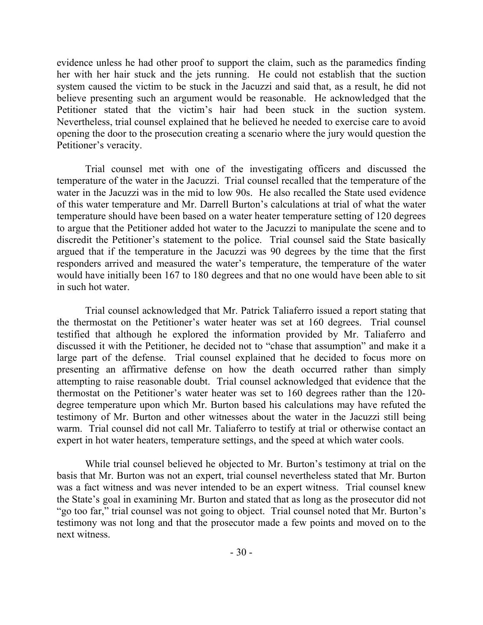evidence unless he had other proof to support the claim, such as the paramedics finding her with her hair stuck and the jets running. He could not establish that the suction system caused the victim to be stuck in the Jacuzzi and said that, as a result, he did not believe presenting such an argument would be reasonable. He acknowledged that the Petitioner stated that the victim's hair had been stuck in the suction system. Nevertheless, trial counsel explained that he believed he needed to exercise care to avoid opening the door to the prosecution creating a scenario where the jury would question the Petitioner's veracity.

Trial counsel met with one of the investigating officers and discussed the temperature of the water in the Jacuzzi. Trial counsel recalled that the temperature of the water in the Jacuzzi was in the mid to low 90s. He also recalled the State used evidence of this water temperature and Mr. Darrell Burton's calculations at trial of what the water temperature should have been based on a water heater temperature setting of 120 degrees to argue that the Petitioner added hot water to the Jacuzzi to manipulate the scene and to discredit the Petitioner's statement to the police. Trial counsel said the State basically argued that if the temperature in the Jacuzzi was 90 degrees by the time that the first responders arrived and measured the water's temperature, the temperature of the water would have initially been 167 to 180 degrees and that no one would have been able to sit in such hot water.

Trial counsel acknowledged that Mr. Patrick Taliaferro issued a report stating that the thermostat on the Petitioner's water heater was set at 160 degrees. Trial counsel testified that although he explored the information provided by Mr. Taliaferro and discussed it with the Petitioner, he decided not to "chase that assumption" and make it a large part of the defense. Trial counsel explained that he decided to focus more on presenting an affirmative defense on how the death occurred rather than simply attempting to raise reasonable doubt. Trial counsel acknowledged that evidence that the thermostat on the Petitioner's water heater was set to 160 degrees rather than the 120 degree temperature upon which Mr. Burton based his calculations may have refuted the testimony of Mr. Burton and other witnesses about the water in the Jacuzzi still being warm. Trial counsel did not call Mr. Taliaferro to testify at trial or otherwise contact an expert in hot water heaters, temperature settings, and the speed at which water cools.

While trial counsel believed he objected to Mr. Burton's testimony at trial on the basis that Mr. Burton was not an expert, trial counsel nevertheless stated that Mr. Burton was a fact witness and was never intended to be an expert witness. Trial counsel knew the State's goal in examining Mr. Burton and stated that as long as the prosecutor did not "go too far," trial counsel was not going to object. Trial counsel noted that Mr. Burton's testimony was not long and that the prosecutor made a few points and moved on to the next witness.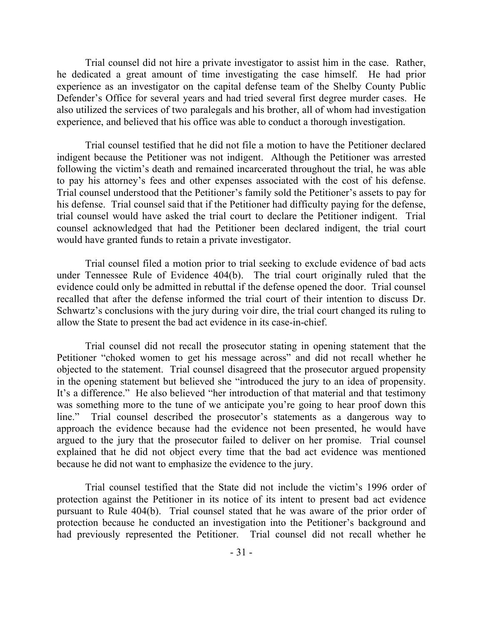Trial counsel did not hire a private investigator to assist him in the case. Rather, he dedicated a great amount of time investigating the case himself. He had prior experience as an investigator on the capital defense team of the Shelby County Public Defender's Office for several years and had tried several first degree murder cases. He also utilized the services of two paralegals and his brother, all of whom had investigation experience, and believed that his office was able to conduct a thorough investigation.

Trial counsel testified that he did not file a motion to have the Petitioner declared indigent because the Petitioner was not indigent. Although the Petitioner was arrested following the victim's death and remained incarcerated throughout the trial, he was able to pay his attorney's fees and other expenses associated with the cost of his defense. Trial counsel understood that the Petitioner's family sold the Petitioner's assets to pay for his defense. Trial counsel said that if the Petitioner had difficulty paying for the defense, trial counsel would have asked the trial court to declare the Petitioner indigent. Trial counsel acknowledged that had the Petitioner been declared indigent, the trial court would have granted funds to retain a private investigator.

Trial counsel filed a motion prior to trial seeking to exclude evidence of bad acts under Tennessee Rule of Evidence 404(b). The trial court originally ruled that the evidence could only be admitted in rebuttal if the defense opened the door. Trial counsel recalled that after the defense informed the trial court of their intention to discuss Dr. Schwartz's conclusions with the jury during voir dire, the trial court changed its ruling to allow the State to present the bad act evidence in its case-in-chief.

Trial counsel did not recall the prosecutor stating in opening statement that the Petitioner "choked women to get his message across" and did not recall whether he objected to the statement. Trial counsel disagreed that the prosecutor argued propensity in the opening statement but believed she "introduced the jury to an idea of propensity. It's a difference." He also believed "her introduction of that material and that testimony was something more to the tune of we anticipate you're going to hear proof down this line." Trial counsel described the prosecutor's statements as a dangerous way to approach the evidence because had the evidence not been presented, he would have argued to the jury that the prosecutor failed to deliver on her promise. Trial counsel explained that he did not object every time that the bad act evidence was mentioned because he did not want to emphasize the evidence to the jury.

Trial counsel testified that the State did not include the victim's 1996 order of protection against the Petitioner in its notice of its intent to present bad act evidence pursuant to Rule 404(b). Trial counsel stated that he was aware of the prior order of protection because he conducted an investigation into the Petitioner's background and had previously represented the Petitioner. Trial counsel did not recall whether he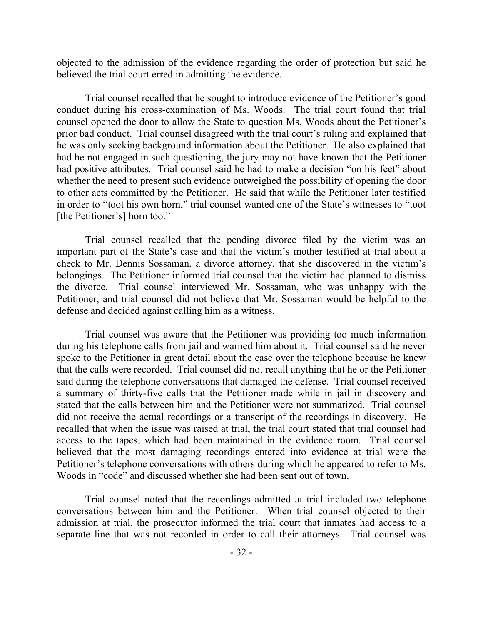objected to the admission of the evidence regarding the order of protection but said he believed the trial court erred in admitting the evidence.

Trial counsel recalled that he sought to introduce evidence of the Petitioner's good conduct during his cross-examination of Ms. Woods. The trial court found that trial counsel opened the door to allow the State to question Ms. Woods about the Petitioner's prior bad conduct. Trial counsel disagreed with the trial court's ruling and explained that he was only seeking background information about the Petitioner. He also explained that had he not engaged in such questioning, the jury may not have known that the Petitioner had positive attributes. Trial counsel said he had to make a decision "on his feet" about whether the need to present such evidence outweighed the possibility of opening the door to other acts committed by the Petitioner. He said that while the Petitioner later testified in order to "toot his own horn," trial counsel wanted one of the State's witnesses to "toot [the Petitioner's] horn too."

Trial counsel recalled that the pending divorce filed by the victim was an important part of the State's case and that the victim's mother testified at trial about a check to Mr. Dennis Sossaman, a divorce attorney, that she discovered in the victim's belongings. The Petitioner informed trial counsel that the victim had planned to dismiss the divorce. Trial counsel interviewed Mr. Sossaman, who was unhappy with the Petitioner, and trial counsel did not believe that Mr. Sossaman would be helpful to the defense and decided against calling him as a witness.

Trial counsel was aware that the Petitioner was providing too much information during his telephone calls from jail and warned him about it. Trial counsel said he never spoke to the Petitioner in great detail about the case over the telephone because he knew that the calls were recorded. Trial counsel did not recall anything that he or the Petitioner said during the telephone conversations that damaged the defense. Trial counsel received a summary of thirty-five calls that the Petitioner made while in jail in discovery and stated that the calls between him and the Petitioner were not summarized. Trial counsel did not receive the actual recordings or a transcript of the recordings in discovery. He recalled that when the issue was raised at trial, the trial court stated that trial counsel had access to the tapes, which had been maintained in the evidence room. Trial counsel believed that the most damaging recordings entered into evidence at trial were the Petitioner's telephone conversations with others during which he appeared to refer to Ms. Woods in "code" and discussed whether she had been sent out of town.

Trial counsel noted that the recordings admitted at trial included two telephone conversations between him and the Petitioner. When trial counsel objected to their admission at trial, the prosecutor informed the trial court that inmates had access to a separate line that was not recorded in order to call their attorneys. Trial counsel was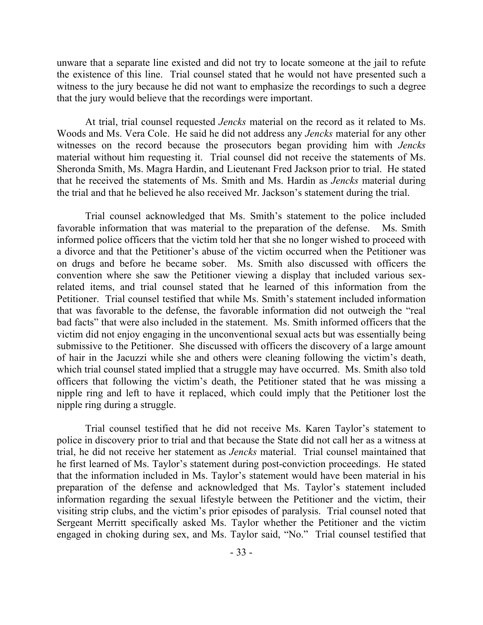unware that a separate line existed and did not try to locate someone at the jail to refute the existence of this line. Trial counsel stated that he would not have presented such a witness to the jury because he did not want to emphasize the recordings to such a degree that the jury would believe that the recordings were important.

At trial, trial counsel requested *Jencks* material on the record as it related to Ms. Woods and Ms. Vera Cole. He said he did not address any *Jencks* material for any other witnesses on the record because the prosecutors began providing him with *Jencks* material without him requesting it. Trial counsel did not receive the statements of Ms. Sheronda Smith, Ms. Magra Hardin, and Lieutenant Fred Jackson prior to trial. He stated that he received the statements of Ms. Smith and Ms. Hardin as *Jencks* material during the trial and that he believed he also received Mr. Jackson's statement during the trial.

Trial counsel acknowledged that Ms. Smith's statement to the police included favorable information that was material to the preparation of the defense. Ms. Smith informed police officers that the victim told her that she no longer wished to proceed with a divorce and that the Petitioner's abuse of the victim occurred when the Petitioner was on drugs and before he became sober. Ms. Smith also discussed with officers the convention where she saw the Petitioner viewing a display that included various sexrelated items, and trial counsel stated that he learned of this information from the Petitioner. Trial counsel testified that while Ms. Smith's statement included information that was favorable to the defense, the favorable information did not outweigh the "real bad facts" that were also included in the statement. Ms. Smith informed officers that the victim did not enjoy engaging in the unconventional sexual acts but was essentially being submissive to the Petitioner. She discussed with officers the discovery of a large amount of hair in the Jacuzzi while she and others were cleaning following the victim's death, which trial counsel stated implied that a struggle may have occurred. Ms. Smith also told officers that following the victim's death, the Petitioner stated that he was missing a nipple ring and left to have it replaced, which could imply that the Petitioner lost the nipple ring during a struggle.

Trial counsel testified that he did not receive Ms. Karen Taylor's statement to police in discovery prior to trial and that because the State did not call her as a witness at trial, he did not receive her statement as *Jencks* material. Trial counsel maintained that he first learned of Ms. Taylor's statement during post-conviction proceedings. He stated that the information included in Ms. Taylor's statement would have been material in his preparation of the defense and acknowledged that Ms. Taylor's statement included information regarding the sexual lifestyle between the Petitioner and the victim, their visiting strip clubs, and the victim's prior episodes of paralysis. Trial counsel noted that Sergeant Merritt specifically asked Ms. Taylor whether the Petitioner and the victim engaged in choking during sex, and Ms. Taylor said, "No." Trial counsel testified that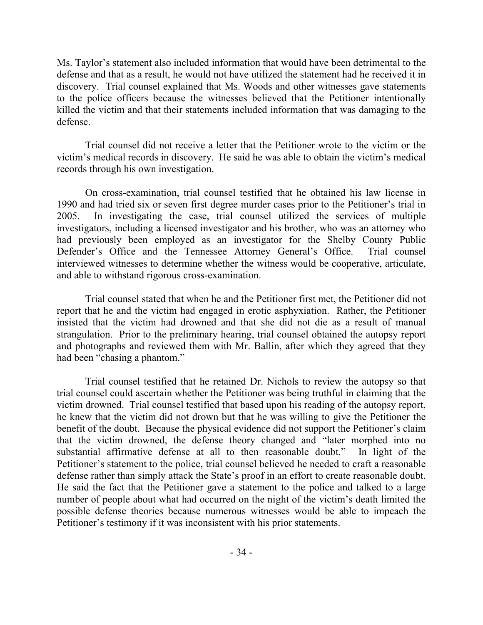Ms. Taylor's statement also included information that would have been detrimental to the defense and that as a result, he would not have utilized the statement had he received it in discovery. Trial counsel explained that Ms. Woods and other witnesses gave statements to the police officers because the witnesses believed that the Petitioner intentionally killed the victim and that their statements included information that was damaging to the defense.

Trial counsel did not receive a letter that the Petitioner wrote to the victim or the victim's medical records in discovery. He said he was able to obtain the victim's medical records through his own investigation.

On cross-examination, trial counsel testified that he obtained his law license in 1990 and had tried six or seven first degree murder cases prior to the Petitioner's trial in 2005. In investigating the case, trial counsel utilized the services of multiple investigators, including a licensed investigator and his brother, who was an attorney who had previously been employed as an investigator for the Shelby County Public Defender's Office and the Tennessee Attorney General's Office. Trial counsel interviewed witnesses to determine whether the witness would be cooperative, articulate, and able to withstand rigorous cross-examination.

Trial counsel stated that when he and the Petitioner first met, the Petitioner did not report that he and the victim had engaged in erotic asphyxiation. Rather, the Petitioner insisted that the victim had drowned and that she did not die as a result of manual strangulation. Prior to the preliminary hearing, trial counsel obtained the autopsy report and photographs and reviewed them with Mr. Ballin, after which they agreed that they had been "chasing a phantom."

Trial counsel testified that he retained Dr. Nichols to review the autopsy so that trial counsel could ascertain whether the Petitioner was being truthful in claiming that the victim drowned. Trial counsel testified that based upon his reading of the autopsy report, he knew that the victim did not drown but that he was willing to give the Petitioner the benefit of the doubt. Because the physical evidence did not support the Petitioner's claim that the victim drowned, the defense theory changed and "later morphed into no substantial affirmative defense at all to then reasonable doubt." In light of the Petitioner's statement to the police, trial counsel believed he needed to craft a reasonable defense rather than simply attack the State's proof in an effort to create reasonable doubt. He said the fact that the Petitioner gave a statement to the police and talked to a large number of people about what had occurred on the night of the victim's death limited the possible defense theories because numerous witnesses would be able to impeach the Petitioner's testimony if it was inconsistent with his prior statements.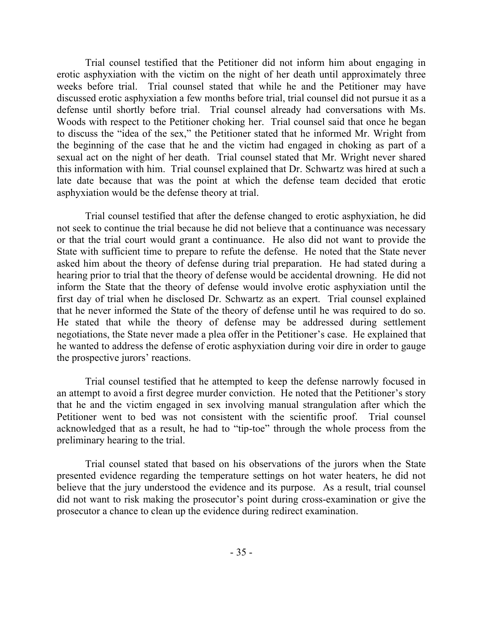Trial counsel testified that the Petitioner did not inform him about engaging in erotic asphyxiation with the victim on the night of her death until approximately three weeks before trial. Trial counsel stated that while he and the Petitioner may have discussed erotic asphyxiation a few months before trial, trial counsel did not pursue it as a defense until shortly before trial. Trial counsel already had conversations with Ms. Woods with respect to the Petitioner choking her. Trial counsel said that once he began to discuss the "idea of the sex," the Petitioner stated that he informed Mr. Wright from the beginning of the case that he and the victim had engaged in choking as part of a sexual act on the night of her death. Trial counsel stated that Mr. Wright never shared this information with him. Trial counsel explained that Dr. Schwartz was hired at such a late date because that was the point at which the defense team decided that erotic asphyxiation would be the defense theory at trial.

Trial counsel testified that after the defense changed to erotic asphyxiation, he did not seek to continue the trial because he did not believe that a continuance was necessary or that the trial court would grant a continuance. He also did not want to provide the State with sufficient time to prepare to refute the defense. He noted that the State never asked him about the theory of defense during trial preparation. He had stated during a hearing prior to trial that the theory of defense would be accidental drowning. He did not inform the State that the theory of defense would involve erotic asphyxiation until the first day of trial when he disclosed Dr. Schwartz as an expert. Trial counsel explained that he never informed the State of the theory of defense until he was required to do so. He stated that while the theory of defense may be addressed during settlement negotiations, the State never made a plea offer in the Petitioner's case. He explained that he wanted to address the defense of erotic asphyxiation during voir dire in order to gauge the prospective jurors' reactions.

Trial counsel testified that he attempted to keep the defense narrowly focused in an attempt to avoid a first degree murder conviction. He noted that the Petitioner's story that he and the victim engaged in sex involving manual strangulation after which the Petitioner went to bed was not consistent with the scientific proof. Trial counsel acknowledged that as a result, he had to "tip-toe" through the whole process from the preliminary hearing to the trial.

Trial counsel stated that based on his observations of the jurors when the State presented evidence regarding the temperature settings on hot water heaters, he did not believe that the jury understood the evidence and its purpose. As a result, trial counsel did not want to risk making the prosecutor's point during cross-examination or give the prosecutor a chance to clean up the evidence during redirect examination.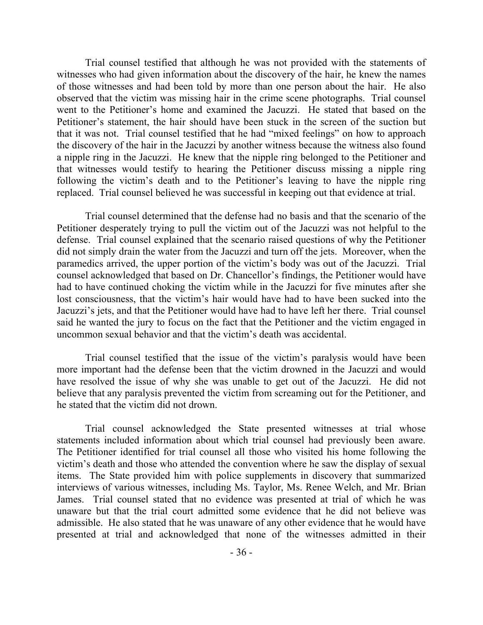Trial counsel testified that although he was not provided with the statements of witnesses who had given information about the discovery of the hair, he knew the names of those witnesses and had been told by more than one person about the hair. He also observed that the victim was missing hair in the crime scene photographs. Trial counsel went to the Petitioner's home and examined the Jacuzzi. He stated that based on the Petitioner's statement, the hair should have been stuck in the screen of the suction but that it was not. Trial counsel testified that he had "mixed feelings" on how to approach the discovery of the hair in the Jacuzzi by another witness because the witness also found a nipple ring in the Jacuzzi. He knew that the nipple ring belonged to the Petitioner and that witnesses would testify to hearing the Petitioner discuss missing a nipple ring following the victim's death and to the Petitioner's leaving to have the nipple ring replaced. Trial counsel believed he was successful in keeping out that evidence at trial.

Trial counsel determined that the defense had no basis and that the scenario of the Petitioner desperately trying to pull the victim out of the Jacuzzi was not helpful to the defense. Trial counsel explained that the scenario raised questions of why the Petitioner did not simply drain the water from the Jacuzzi and turn off the jets. Moreover, when the paramedics arrived, the upper portion of the victim's body was out of the Jacuzzi. Trial counsel acknowledged that based on Dr. Chancellor's findings, the Petitioner would have had to have continued choking the victim while in the Jacuzzi for five minutes after she lost consciousness, that the victim's hair would have had to have been sucked into the Jacuzzi's jets, and that the Petitioner would have had to have left her there. Trial counsel said he wanted the jury to focus on the fact that the Petitioner and the victim engaged in uncommon sexual behavior and that the victim's death was accidental.

Trial counsel testified that the issue of the victim's paralysis would have been more important had the defense been that the victim drowned in the Jacuzzi and would have resolved the issue of why she was unable to get out of the Jacuzzi. He did not believe that any paralysis prevented the victim from screaming out for the Petitioner, and he stated that the victim did not drown.

Trial counsel acknowledged the State presented witnesses at trial whose statements included information about which trial counsel had previously been aware. The Petitioner identified for trial counsel all those who visited his home following the victim's death and those who attended the convention where he saw the display of sexual items. The State provided him with police supplements in discovery that summarized interviews of various witnesses, including Ms. Taylor, Ms. Renee Welch, and Mr. Brian James. Trial counsel stated that no evidence was presented at trial of which he was unaware but that the trial court admitted some evidence that he did not believe was admissible. He also stated that he was unaware of any other evidence that he would have presented at trial and acknowledged that none of the witnesses admitted in their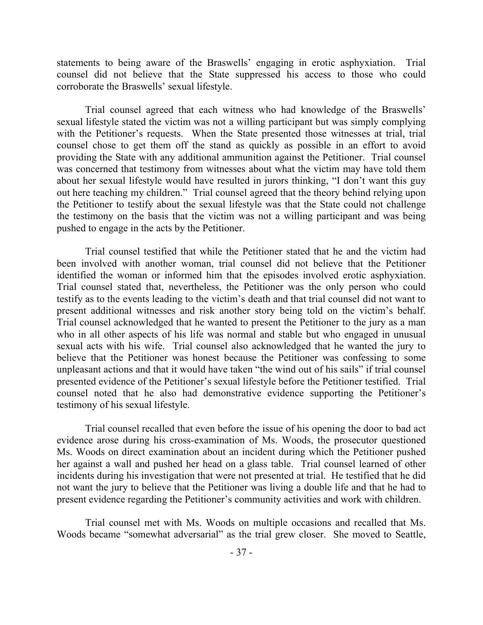statements to being aware of the Braswells' engaging in erotic asphyxiation. Trial counsel did not believe that the State suppressed his access to those who could corroborate the Braswells' sexual lifestyle.

Trial counsel agreed that each witness who had knowledge of the Braswells' sexual lifestyle stated the victim was not a willing participant but was simply complying with the Petitioner's requests. When the State presented those witnesses at trial, trial counsel chose to get them off the stand as quickly as possible in an effort to avoid providing the State with any additional ammunition against the Petitioner. Trial counsel was concerned that testimony from witnesses about what the victim may have told them about her sexual lifestyle would have resulted in jurors thinking, "I don't want this guy out here teaching my children." Trial counsel agreed that the theory behind relying upon the Petitioner to testify about the sexual lifestyle was that the State could not challenge the testimony on the basis that the victim was not a willing participant and was being pushed to engage in the acts by the Petitioner.

Trial counsel testified that while the Petitioner stated that he and the victim had been involved with another woman, trial counsel did not believe that the Petitioner identified the woman or informed him that the episodes involved erotic asphyxiation. Trial counsel stated that, nevertheless, the Petitioner was the only person who could testify as to the events leading to the victim's death and that trial counsel did not want to present additional witnesses and risk another story being told on the victim's behalf. Trial counsel acknowledged that he wanted to present the Petitioner to the jury as a man who in all other aspects of his life was normal and stable but who engaged in unusual sexual acts with his wife. Trial counsel also acknowledged that he wanted the jury to believe that the Petitioner was honest because the Petitioner was confessing to some unpleasant actions and that it would have taken "the wind out of his sails" if trial counsel presented evidence of the Petitioner's sexual lifestyle before the Petitioner testified. Trial counsel noted that he also had demonstrative evidence supporting the Petitioner's testimony of his sexual lifestyle.

Trial counsel recalled that even before the issue of his opening the door to bad act evidence arose during his cross-examination of Ms. Woods, the prosecutor questioned Ms. Woods on direct examination about an incident during which the Petitioner pushed her against a wall and pushed her head on a glass table. Trial counsel learned of other incidents during his investigation that were not presented at trial. He testified that he did not want the jury to believe that the Petitioner was living a double life and that he had to present evidence regarding the Petitioner's community activities and work with children.

Trial counsel met with Ms. Woods on multiple occasions and recalled that Ms. Woods became "somewhat adversarial" as the trial grew closer. She moved to Seattle,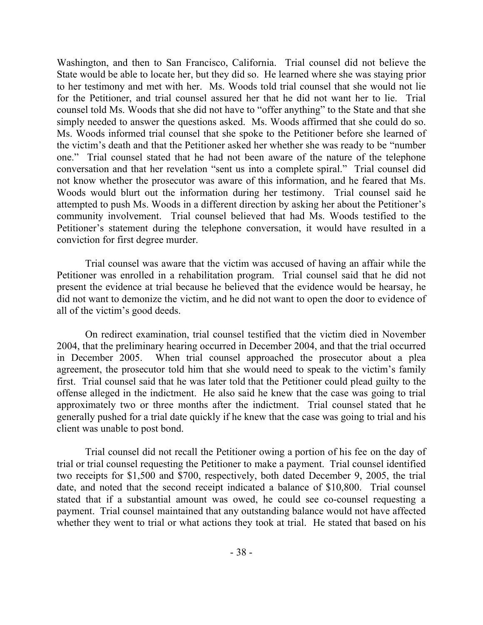Washington, and then to San Francisco, California. Trial counsel did not believe the State would be able to locate her, but they did so. He learned where she was staying prior to her testimony and met with her. Ms. Woods told trial counsel that she would not lie for the Petitioner, and trial counsel assured her that he did not want her to lie. Trial counsel told Ms. Woods that she did not have to "offer anything" to the State and that she simply needed to answer the questions asked. Ms. Woods affirmed that she could do so. Ms. Woods informed trial counsel that she spoke to the Petitioner before she learned of the victim's death and that the Petitioner asked her whether she was ready to be "number one." Trial counsel stated that he had not been aware of the nature of the telephone conversation and that her revelation "sent us into a complete spiral." Trial counsel did not know whether the prosecutor was aware of this information, and he feared that Ms. Woods would blurt out the information during her testimony. Trial counsel said he attempted to push Ms. Woods in a different direction by asking her about the Petitioner's community involvement. Trial counsel believed that had Ms. Woods testified to the Petitioner's statement during the telephone conversation, it would have resulted in a conviction for first degree murder.

Trial counsel was aware that the victim was accused of having an affair while the Petitioner was enrolled in a rehabilitation program. Trial counsel said that he did not present the evidence at trial because he believed that the evidence would be hearsay, he did not want to demonize the victim, and he did not want to open the door to evidence of all of the victim's good deeds.

On redirect examination, trial counsel testified that the victim died in November 2004, that the preliminary hearing occurred in December 2004, and that the trial occurred in December 2005. When trial counsel approached the prosecutor about a plea agreement, the prosecutor told him that she would need to speak to the victim's family first. Trial counsel said that he was later told that the Petitioner could plead guilty to the offense alleged in the indictment. He also said he knew that the case was going to trial approximately two or three months after the indictment. Trial counsel stated that he generally pushed for a trial date quickly if he knew that the case was going to trial and his client was unable to post bond.

Trial counsel did not recall the Petitioner owing a portion of his fee on the day of trial or trial counsel requesting the Petitioner to make a payment. Trial counsel identified two receipts for \$1,500 and \$700, respectively, both dated December 9, 2005, the trial date, and noted that the second receipt indicated a balance of \$10,800. Trial counsel stated that if a substantial amount was owed, he could see co-counsel requesting a payment. Trial counsel maintained that any outstanding balance would not have affected whether they went to trial or what actions they took at trial. He stated that based on his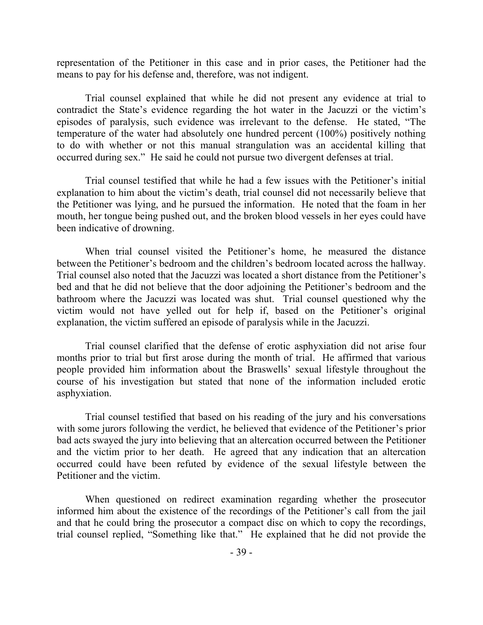representation of the Petitioner in this case and in prior cases, the Petitioner had the means to pay for his defense and, therefore, was not indigent.

Trial counsel explained that while he did not present any evidence at trial to contradict the State's evidence regarding the hot water in the Jacuzzi or the victim's episodes of paralysis, such evidence was irrelevant to the defense. He stated, "The temperature of the water had absolutely one hundred percent (100%) positively nothing to do with whether or not this manual strangulation was an accidental killing that occurred during sex." He said he could not pursue two divergent defenses at trial.

Trial counsel testified that while he had a few issues with the Petitioner's initial explanation to him about the victim's death, trial counsel did not necessarily believe that the Petitioner was lying, and he pursued the information. He noted that the foam in her mouth, her tongue being pushed out, and the broken blood vessels in her eyes could have been indicative of drowning.

When trial counsel visited the Petitioner's home, he measured the distance between the Petitioner's bedroom and the children's bedroom located across the hallway. Trial counsel also noted that the Jacuzzi was located a short distance from the Petitioner's bed and that he did not believe that the door adjoining the Petitioner's bedroom and the bathroom where the Jacuzzi was located was shut. Trial counsel questioned why the victim would not have yelled out for help if, based on the Petitioner's original explanation, the victim suffered an episode of paralysis while in the Jacuzzi.

Trial counsel clarified that the defense of erotic asphyxiation did not arise four months prior to trial but first arose during the month of trial. He affirmed that various people provided him information about the Braswells' sexual lifestyle throughout the course of his investigation but stated that none of the information included erotic asphyxiation.

Trial counsel testified that based on his reading of the jury and his conversations with some jurors following the verdict, he believed that evidence of the Petitioner's prior bad acts swayed the jury into believing that an altercation occurred between the Petitioner and the victim prior to her death. He agreed that any indication that an altercation occurred could have been refuted by evidence of the sexual lifestyle between the Petitioner and the victim.

When questioned on redirect examination regarding whether the prosecutor informed him about the existence of the recordings of the Petitioner's call from the jail and that he could bring the prosecutor a compact disc on which to copy the recordings, trial counsel replied, "Something like that." He explained that he did not provide the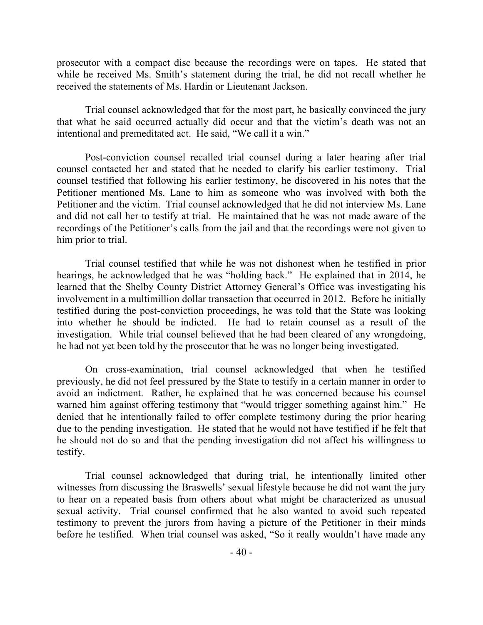prosecutor with a compact disc because the recordings were on tapes. He stated that while he received Ms. Smith's statement during the trial, he did not recall whether he received the statements of Ms. Hardin or Lieutenant Jackson.

Trial counsel acknowledged that for the most part, he basically convinced the jury that what he said occurred actually did occur and that the victim's death was not an intentional and premeditated act. He said, "We call it a win."

Post-conviction counsel recalled trial counsel during a later hearing after trial counsel contacted her and stated that he needed to clarify his earlier testimony. Trial counsel testified that following his earlier testimony, he discovered in his notes that the Petitioner mentioned Ms. Lane to him as someone who was involved with both the Petitioner and the victim. Trial counsel acknowledged that he did not interview Ms. Lane and did not call her to testify at trial. He maintained that he was not made aware of the recordings of the Petitioner's calls from the jail and that the recordings were not given to him prior to trial.

Trial counsel testified that while he was not dishonest when he testified in prior hearings, he acknowledged that he was "holding back." He explained that in 2014, he learned that the Shelby County District Attorney General's Office was investigating his involvement in a multimillion dollar transaction that occurred in 2012. Before he initially testified during the post-conviction proceedings, he was told that the State was looking into whether he should be indicted. He had to retain counsel as a result of the investigation. While trial counsel believed that he had been cleared of any wrongdoing, he had not yet been told by the prosecutor that he was no longer being investigated.

On cross-examination, trial counsel acknowledged that when he testified previously, he did not feel pressured by the State to testify in a certain manner in order to avoid an indictment. Rather, he explained that he was concerned because his counsel warned him against offering testimony that "would trigger something against him." He denied that he intentionally failed to offer complete testimony during the prior hearing due to the pending investigation. He stated that he would not have testified if he felt that he should not do so and that the pending investigation did not affect his willingness to testify.

Trial counsel acknowledged that during trial, he intentionally limited other witnesses from discussing the Braswells' sexual lifestyle because he did not want the jury to hear on a repeated basis from others about what might be characterized as unusual sexual activity. Trial counsel confirmed that he also wanted to avoid such repeated testimony to prevent the jurors from having a picture of the Petitioner in their minds before he testified. When trial counsel was asked, "So it really wouldn't have made any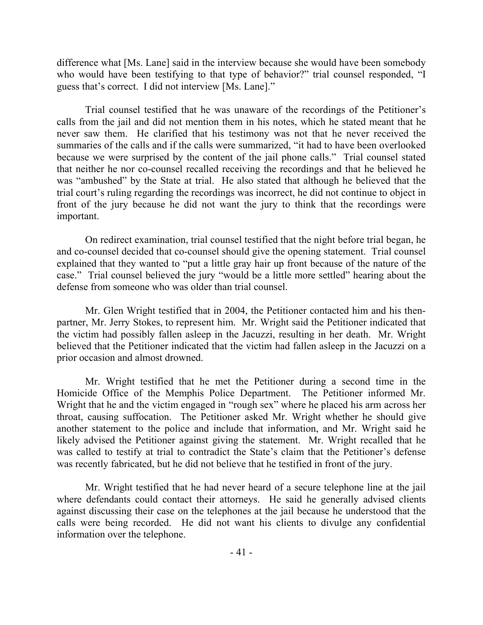difference what [Ms. Lane] said in the interview because she would have been somebody who would have been testifying to that type of behavior?" trial counsel responded, "I guess that's correct. I did not interview [Ms. Lane]."

Trial counsel testified that he was unaware of the recordings of the Petitioner's calls from the jail and did not mention them in his notes, which he stated meant that he never saw them. He clarified that his testimony was not that he never received the summaries of the calls and if the calls were summarized, "it had to have been overlooked because we were surprised by the content of the jail phone calls." Trial counsel stated that neither he nor co-counsel recalled receiving the recordings and that he believed he was "ambushed" by the State at trial. He also stated that although he believed that the trial court's ruling regarding the recordings was incorrect, he did not continue to object in front of the jury because he did not want the jury to think that the recordings were important.

On redirect examination, trial counsel testified that the night before trial began, he and co-counsel decided that co-counsel should give the opening statement. Trial counsel explained that they wanted to "put a little gray hair up front because of the nature of the case." Trial counsel believed the jury "would be a little more settled" hearing about the defense from someone who was older than trial counsel.

Mr. Glen Wright testified that in 2004, the Petitioner contacted him and his thenpartner, Mr. Jerry Stokes, to represent him. Mr. Wright said the Petitioner indicated that the victim had possibly fallen asleep in the Jacuzzi, resulting in her death. Mr. Wright believed that the Petitioner indicated that the victim had fallen asleep in the Jacuzzi on a prior occasion and almost drowned.

Mr. Wright testified that he met the Petitioner during a second time in the Homicide Office of the Memphis Police Department. The Petitioner informed Mr. Wright that he and the victim engaged in "rough sex" where he placed his arm across her throat, causing suffocation. The Petitioner asked Mr. Wright whether he should give another statement to the police and include that information, and Mr. Wright said he likely advised the Petitioner against giving the statement. Mr. Wright recalled that he was called to testify at trial to contradict the State's claim that the Petitioner's defense was recently fabricated, but he did not believe that he testified in front of the jury.

Mr. Wright testified that he had never heard of a secure telephone line at the jail where defendants could contact their attorneys. He said he generally advised clients against discussing their case on the telephones at the jail because he understood that the calls were being recorded. He did not want his clients to divulge any confidential information over the telephone.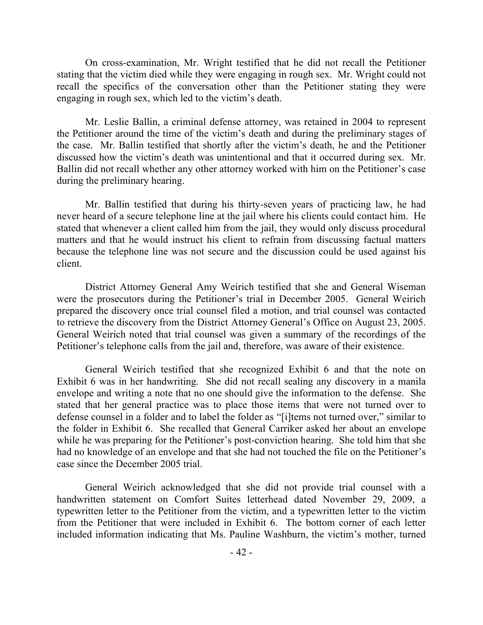On cross-examination, Mr. Wright testified that he did not recall the Petitioner stating that the victim died while they were engaging in rough sex. Mr. Wright could not recall the specifics of the conversation other than the Petitioner stating they were engaging in rough sex, which led to the victim's death.

Mr. Leslie Ballin, a criminal defense attorney, was retained in 2004 to represent the Petitioner around the time of the victim's death and during the preliminary stages of the case. Mr. Ballin testified that shortly after the victim's death, he and the Petitioner discussed how the victim's death was unintentional and that it occurred during sex. Mr. Ballin did not recall whether any other attorney worked with him on the Petitioner's case during the preliminary hearing.

Mr. Ballin testified that during his thirty-seven years of practicing law, he had never heard of a secure telephone line at the jail where his clients could contact him. He stated that whenever a client called him from the jail, they would only discuss procedural matters and that he would instruct his client to refrain from discussing factual matters because the telephone line was not secure and the discussion could be used against his client.

District Attorney General Amy Weirich testified that she and General Wiseman were the prosecutors during the Petitioner's trial in December 2005. General Weirich prepared the discovery once trial counsel filed a motion, and trial counsel was contacted to retrieve the discovery from the District Attorney General's Office on August 23, 2005. General Weirich noted that trial counsel was given a summary of the recordings of the Petitioner's telephone calls from the jail and, therefore, was aware of their existence.

General Weirich testified that she recognized Exhibit 6 and that the note on Exhibit 6 was in her handwriting. She did not recall sealing any discovery in a manila envelope and writing a note that no one should give the information to the defense. She stated that her general practice was to place those items that were not turned over to defense counsel in a folder and to label the folder as "[i]tems not turned over," similar to the folder in Exhibit 6. She recalled that General Carriker asked her about an envelope while he was preparing for the Petitioner's post-conviction hearing. She told him that she had no knowledge of an envelope and that she had not touched the file on the Petitioner's case since the December 2005 trial.

General Weirich acknowledged that she did not provide trial counsel with a handwritten statement on Comfort Suites letterhead dated November 29, 2009, a typewritten letter to the Petitioner from the victim, and a typewritten letter to the victim from the Petitioner that were included in Exhibit 6. The bottom corner of each letter included information indicating that Ms. Pauline Washburn, the victim's mother, turned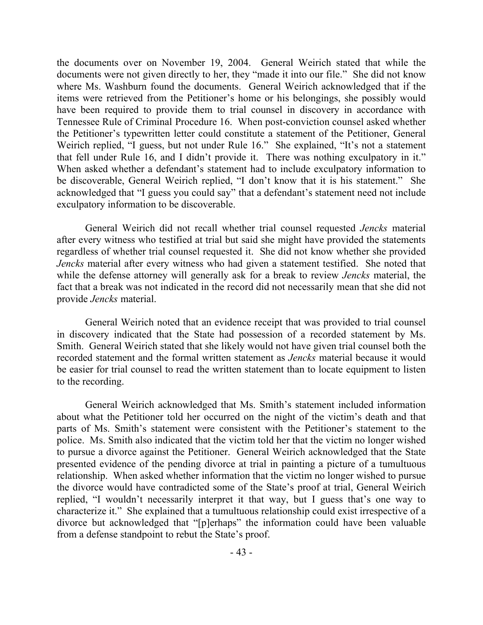the documents over on November 19, 2004. General Weirich stated that while the documents were not given directly to her, they "made it into our file." She did not know where Ms. Washburn found the documents. General Weirich acknowledged that if the items were retrieved from the Petitioner's home or his belongings, she possibly would have been required to provide them to trial counsel in discovery in accordance with Tennessee Rule of Criminal Procedure 16. When post-conviction counsel asked whether the Petitioner's typewritten letter could constitute a statement of the Petitioner, General Weirich replied, "I guess, but not under Rule 16." She explained, "It's not a statement that fell under Rule 16, and I didn't provide it. There was nothing exculpatory in it." When asked whether a defendant's statement had to include exculpatory information to be discoverable, General Weirich replied, "I don't know that it is his statement." She acknowledged that "I guess you could say" that a defendant's statement need not include exculpatory information to be discoverable.

General Weirich did not recall whether trial counsel requested *Jencks* material after every witness who testified at trial but said she might have provided the statements regardless of whether trial counsel requested it. She did not know whether she provided *Jencks* material after every witness who had given a statement testified. She noted that while the defense attorney will generally ask for a break to review *Jencks* material, the fact that a break was not indicated in the record did not necessarily mean that she did not provide *Jencks* material.

General Weirich noted that an evidence receipt that was provided to trial counsel in discovery indicated that the State had possession of a recorded statement by Ms. Smith. General Weirich stated that she likely would not have given trial counsel both the recorded statement and the formal written statement as *Jencks* material because it would be easier for trial counsel to read the written statement than to locate equipment to listen to the recording.

General Weirich acknowledged that Ms. Smith's statement included information about what the Petitioner told her occurred on the night of the victim's death and that parts of Ms. Smith's statement were consistent with the Petitioner's statement to the police. Ms. Smith also indicated that the victim told her that the victim no longer wished to pursue a divorce against the Petitioner. General Weirich acknowledged that the State presented evidence of the pending divorce at trial in painting a picture of a tumultuous relationship. When asked whether information that the victim no longer wished to pursue the divorce would have contradicted some of the State's proof at trial, General Weirich replied, "I wouldn't necessarily interpret it that way, but I guess that's one way to characterize it." She explained that a tumultuous relationship could exist irrespective of a divorce but acknowledged that "[p]erhaps" the information could have been valuable from a defense standpoint to rebut the State's proof.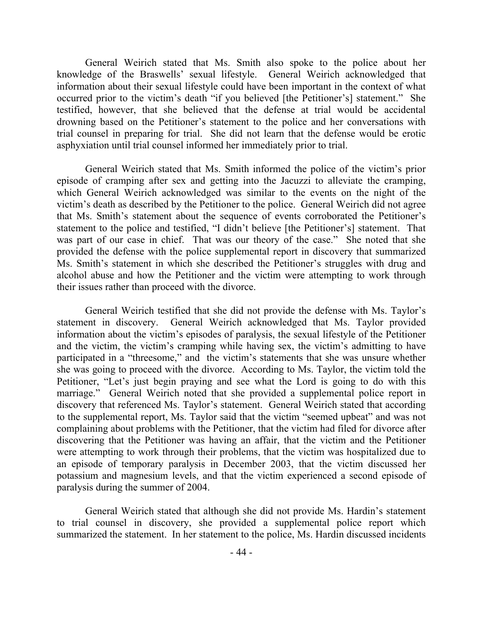General Weirich stated that Ms. Smith also spoke to the police about her knowledge of the Braswells' sexual lifestyle. General Weirich acknowledged that information about their sexual lifestyle could have been important in the context of what occurred prior to the victim's death "if you believed [the Petitioner's] statement." She testified, however, that she believed that the defense at trial would be accidental drowning based on the Petitioner's statement to the police and her conversations with trial counsel in preparing for trial. She did not learn that the defense would be erotic asphyxiation until trial counsel informed her immediately prior to trial.

General Weirich stated that Ms. Smith informed the police of the victim's prior episode of cramping after sex and getting into the Jacuzzi to alleviate the cramping, which General Weirich acknowledged was similar to the events on the night of the victim's death as described by the Petitioner to the police. General Weirich did not agree that Ms. Smith's statement about the sequence of events corroborated the Petitioner's statement to the police and testified, "I didn't believe [the Petitioner's] statement. That was part of our case in chief. That was our theory of the case." She noted that she provided the defense with the police supplemental report in discovery that summarized Ms. Smith's statement in which she described the Petitioner's struggles with drug and alcohol abuse and how the Petitioner and the victim were attempting to work through their issues rather than proceed with the divorce.

General Weirich testified that she did not provide the defense with Ms. Taylor's statement in discovery. General Weirich acknowledged that Ms. Taylor provided information about the victim's episodes of paralysis, the sexual lifestyle of the Petitioner and the victim, the victim's cramping while having sex, the victim's admitting to have participated in a "threesome," and the victim's statements that she was unsure whether she was going to proceed with the divorce. According to Ms. Taylor, the victim told the Petitioner, "Let's just begin praying and see what the Lord is going to do with this marriage." General Weirich noted that she provided a supplemental police report in discovery that referenced Ms. Taylor's statement. General Weirich stated that according to the supplemental report, Ms. Taylor said that the victim "seemed upbeat" and was not complaining about problems with the Petitioner, that the victim had filed for divorce after discovering that the Petitioner was having an affair, that the victim and the Petitioner were attempting to work through their problems, that the victim was hospitalized due to an episode of temporary paralysis in December 2003, that the victim discussed her potassium and magnesium levels, and that the victim experienced a second episode of paralysis during the summer of 2004.

General Weirich stated that although she did not provide Ms. Hardin's statement to trial counsel in discovery, she provided a supplemental police report which summarized the statement. In her statement to the police, Ms. Hardin discussed incidents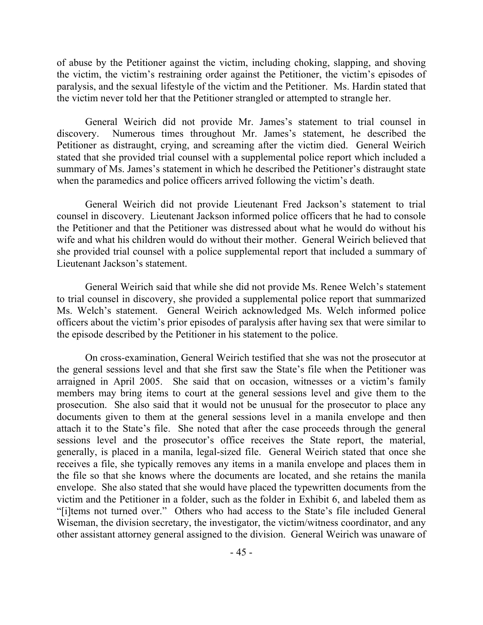of abuse by the Petitioner against the victim, including choking, slapping, and shoving the victim, the victim's restraining order against the Petitioner, the victim's episodes of paralysis, and the sexual lifestyle of the victim and the Petitioner. Ms. Hardin stated that the victim never told her that the Petitioner strangled or attempted to strangle her.

General Weirich did not provide Mr. James's statement to trial counsel in discovery. Numerous times throughout Mr. James's statement, he described the Petitioner as distraught, crying, and screaming after the victim died. General Weirich stated that she provided trial counsel with a supplemental police report which included a summary of Ms. James's statement in which he described the Petitioner's distraught state when the paramedics and police officers arrived following the victim's death.

General Weirich did not provide Lieutenant Fred Jackson's statement to trial counsel in discovery. Lieutenant Jackson informed police officers that he had to console the Petitioner and that the Petitioner was distressed about what he would do without his wife and what his children would do without their mother. General Weirich believed that she provided trial counsel with a police supplemental report that included a summary of Lieutenant Jackson's statement.

General Weirich said that while she did not provide Ms. Renee Welch's statement to trial counsel in discovery, she provided a supplemental police report that summarized Ms. Welch's statement. General Weirich acknowledged Ms. Welch informed police officers about the victim's prior episodes of paralysis after having sex that were similar to the episode described by the Petitioner in his statement to the police.

On cross-examination, General Weirich testified that she was not the prosecutor at the general sessions level and that she first saw the State's file when the Petitioner was arraigned in April 2005. She said that on occasion, witnesses or a victim's family members may bring items to court at the general sessions level and give them to the prosecution. She also said that it would not be unusual for the prosecutor to place any documents given to them at the general sessions level in a manila envelope and then attach it to the State's file. She noted that after the case proceeds through the general sessions level and the prosecutor's office receives the State report, the material, generally, is placed in a manila, legal-sized file. General Weirich stated that once she receives a file, she typically removes any items in a manila envelope and places them in the file so that she knows where the documents are located, and she retains the manila envelope. She also stated that she would have placed the typewritten documents from the victim and the Petitioner in a folder, such as the folder in Exhibit 6, and labeled them as "[i]tems not turned over." Others who had access to the State's file included General Wiseman, the division secretary, the investigator, the victim/witness coordinator, and any other assistant attorney general assigned to the division. General Weirich was unaware of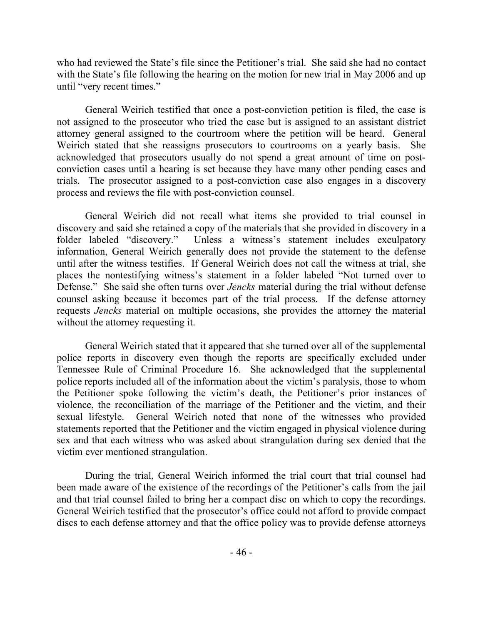who had reviewed the State's file since the Petitioner's trial. She said she had no contact with the State's file following the hearing on the motion for new trial in May 2006 and up until "very recent times."

General Weirich testified that once a post-conviction petition is filed, the case is not assigned to the prosecutor who tried the case but is assigned to an assistant district attorney general assigned to the courtroom where the petition will be heard. General Weirich stated that she reassigns prosecutors to courtrooms on a yearly basis. She acknowledged that prosecutors usually do not spend a great amount of time on postconviction cases until a hearing is set because they have many other pending cases and trials. The prosecutor assigned to a post-conviction case also engages in a discovery process and reviews the file with post-conviction counsel.

General Weirich did not recall what items she provided to trial counsel in discovery and said she retained a copy of the materials that she provided in discovery in a folder labeled "discovery." Unless a witness's statement includes exculpatory information, General Weirich generally does not provide the statement to the defense until after the witness testifies. If General Weirich does not call the witness at trial, she places the nontestifying witness's statement in a folder labeled "Not turned over to Defense." She said she often turns over *Jencks* material during the trial without defense counsel asking because it becomes part of the trial process. If the defense attorney requests *Jencks* material on multiple occasions, she provides the attorney the material without the attorney requesting it.

General Weirich stated that it appeared that she turned over all of the supplemental police reports in discovery even though the reports are specifically excluded under Tennessee Rule of Criminal Procedure 16. She acknowledged that the supplemental police reports included all of the information about the victim's paralysis, those to whom the Petitioner spoke following the victim's death, the Petitioner's prior instances of violence, the reconciliation of the marriage of the Petitioner and the victim, and their sexual lifestyle. General Weirich noted that none of the witnesses who provided statements reported that the Petitioner and the victim engaged in physical violence during sex and that each witness who was asked about strangulation during sex denied that the victim ever mentioned strangulation.

During the trial, General Weirich informed the trial court that trial counsel had been made aware of the existence of the recordings of the Petitioner's calls from the jail and that trial counsel failed to bring her a compact disc on which to copy the recordings. General Weirich testified that the prosecutor's office could not afford to provide compact discs to each defense attorney and that the office policy was to provide defense attorneys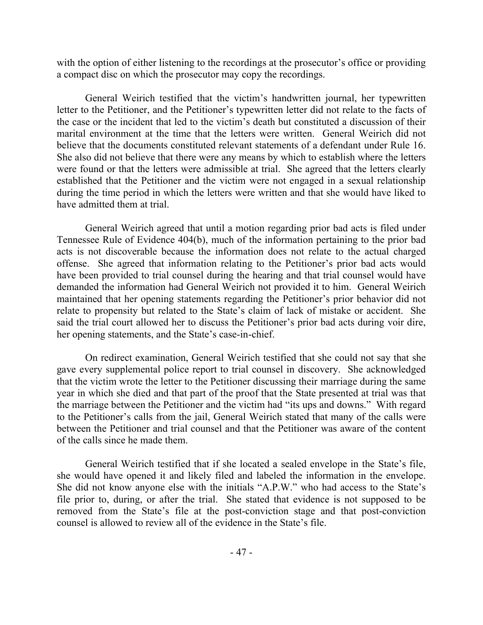with the option of either listening to the recordings at the prosecutor's office or providing a compact disc on which the prosecutor may copy the recordings.

General Weirich testified that the victim's handwritten journal, her typewritten letter to the Petitioner, and the Petitioner's typewritten letter did not relate to the facts of the case or the incident that led to the victim's death but constituted a discussion of their marital environment at the time that the letters were written. General Weirich did not believe that the documents constituted relevant statements of a defendant under Rule 16. She also did not believe that there were any means by which to establish where the letters were found or that the letters were admissible at trial. She agreed that the letters clearly established that the Petitioner and the victim were not engaged in a sexual relationship during the time period in which the letters were written and that she would have liked to have admitted them at trial.

General Weirich agreed that until a motion regarding prior bad acts is filed under Tennessee Rule of Evidence 404(b), much of the information pertaining to the prior bad acts is not discoverable because the information does not relate to the actual charged offense. She agreed that information relating to the Petitioner's prior bad acts would have been provided to trial counsel during the hearing and that trial counsel would have demanded the information had General Weirich not provided it to him. General Weirich maintained that her opening statements regarding the Petitioner's prior behavior did not relate to propensity but related to the State's claim of lack of mistake or accident. She said the trial court allowed her to discuss the Petitioner's prior bad acts during voir dire, her opening statements, and the State's case-in-chief.

On redirect examination, General Weirich testified that she could not say that she gave every supplemental police report to trial counsel in discovery. She acknowledged that the victim wrote the letter to the Petitioner discussing their marriage during the same year in which she died and that part of the proof that the State presented at trial was that the marriage between the Petitioner and the victim had "its ups and downs." With regard to the Petitioner's calls from the jail, General Weirich stated that many of the calls were between the Petitioner and trial counsel and that the Petitioner was aware of the content of the calls since he made them.

General Weirich testified that if she located a sealed envelope in the State's file, she would have opened it and likely filed and labeled the information in the envelope. She did not know anyone else with the initials "A.P.W." who had access to the State's file prior to, during, or after the trial. She stated that evidence is not supposed to be removed from the State's file at the post-conviction stage and that post-conviction counsel is allowed to review all of the evidence in the State's file.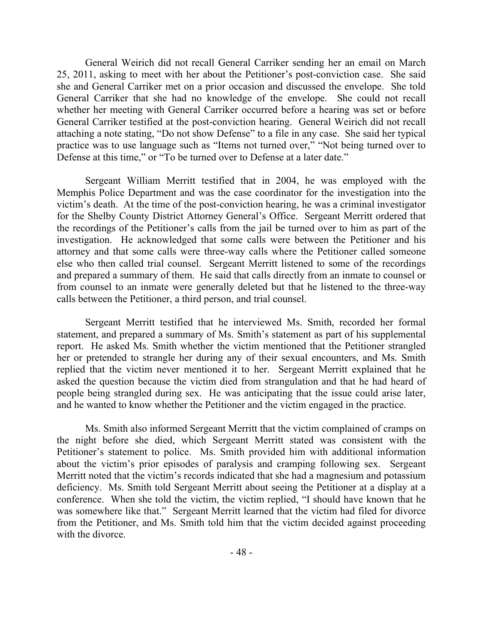General Weirich did not recall General Carriker sending her an email on March 25, 2011, asking to meet with her about the Petitioner's post-conviction case. She said she and General Carriker met on a prior occasion and discussed the envelope. She told General Carriker that she had no knowledge of the envelope. She could not recall whether her meeting with General Carriker occurred before a hearing was set or before General Carriker testified at the post-conviction hearing. General Weirich did not recall attaching a note stating, "Do not show Defense" to a file in any case. She said her typical practice was to use language such as "Items not turned over," "Not being turned over to Defense at this time," or "To be turned over to Defense at a later date."

Sergeant William Merritt testified that in 2004, he was employed with the Memphis Police Department and was the case coordinator for the investigation into the victim's death. At the time of the post-conviction hearing, he was a criminal investigator for the Shelby County District Attorney General's Office. Sergeant Merritt ordered that the recordings of the Petitioner's calls from the jail be turned over to him as part of the investigation. He acknowledged that some calls were between the Petitioner and his attorney and that some calls were three-way calls where the Petitioner called someone else who then called trial counsel. Sergeant Merritt listened to some of the recordings and prepared a summary of them. He said that calls directly from an inmate to counsel or from counsel to an inmate were generally deleted but that he listened to the three-way calls between the Petitioner, a third person, and trial counsel.

Sergeant Merritt testified that he interviewed Ms. Smith, recorded her formal statement, and prepared a summary of Ms. Smith's statement as part of his supplemental report. He asked Ms. Smith whether the victim mentioned that the Petitioner strangled her or pretended to strangle her during any of their sexual encounters, and Ms. Smith replied that the victim never mentioned it to her. Sergeant Merritt explained that he asked the question because the victim died from strangulation and that he had heard of people being strangled during sex. He was anticipating that the issue could arise later, and he wanted to know whether the Petitioner and the victim engaged in the practice.

Ms. Smith also informed Sergeant Merritt that the victim complained of cramps on the night before she died, which Sergeant Merritt stated was consistent with the Petitioner's statement to police. Ms. Smith provided him with additional information about the victim's prior episodes of paralysis and cramping following sex. Sergeant Merritt noted that the victim's records indicated that she had a magnesium and potassium deficiency. Ms. Smith told Sergeant Merritt about seeing the Petitioner at a display at a conference. When she told the victim, the victim replied, "I should have known that he was somewhere like that." Sergeant Merritt learned that the victim had filed for divorce from the Petitioner, and Ms. Smith told him that the victim decided against proceeding with the divorce.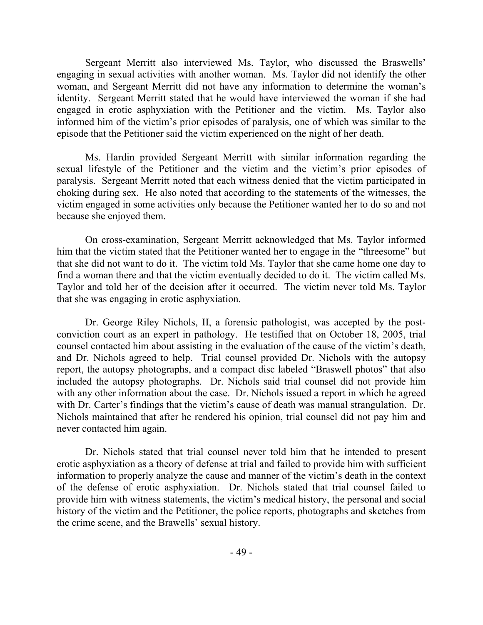Sergeant Merritt also interviewed Ms. Taylor, who discussed the Braswells' engaging in sexual activities with another woman. Ms. Taylor did not identify the other woman, and Sergeant Merritt did not have any information to determine the woman's identity. Sergeant Merritt stated that he would have interviewed the woman if she had engaged in erotic asphyxiation with the Petitioner and the victim. Ms. Taylor also informed him of the victim's prior episodes of paralysis, one of which was similar to the episode that the Petitioner said the victim experienced on the night of her death.

Ms. Hardin provided Sergeant Merritt with similar information regarding the sexual lifestyle of the Petitioner and the victim and the victim's prior episodes of paralysis. Sergeant Merritt noted that each witness denied that the victim participated in choking during sex. He also noted that according to the statements of the witnesses, the victim engaged in some activities only because the Petitioner wanted her to do so and not because she enjoyed them.

On cross-examination, Sergeant Merritt acknowledged that Ms. Taylor informed him that the victim stated that the Petitioner wanted her to engage in the "threesome" but that she did not want to do it. The victim told Ms. Taylor that she came home one day to find a woman there and that the victim eventually decided to do it. The victim called Ms. Taylor and told her of the decision after it occurred. The victim never told Ms. Taylor that she was engaging in erotic asphyxiation.

Dr. George Riley Nichols, II, a forensic pathologist, was accepted by the postconviction court as an expert in pathology. He testified that on October 18, 2005, trial counsel contacted him about assisting in the evaluation of the cause of the victim's death, and Dr. Nichols agreed to help. Trial counsel provided Dr. Nichols with the autopsy report, the autopsy photographs, and a compact disc labeled "Braswell photos" that also included the autopsy photographs. Dr. Nichols said trial counsel did not provide him with any other information about the case. Dr. Nichols issued a report in which he agreed with Dr. Carter's findings that the victim's cause of death was manual strangulation. Dr. Nichols maintained that after he rendered his opinion, trial counsel did not pay him and never contacted him again.

Dr. Nichols stated that trial counsel never told him that he intended to present erotic asphyxiation as a theory of defense at trial and failed to provide him with sufficient information to properly analyze the cause and manner of the victim's death in the context of the defense of erotic asphyxiation. Dr. Nichols stated that trial counsel failed to provide him with witness statements, the victim's medical history, the personal and social history of the victim and the Petitioner, the police reports, photographs and sketches from the crime scene, and the Brawells' sexual history.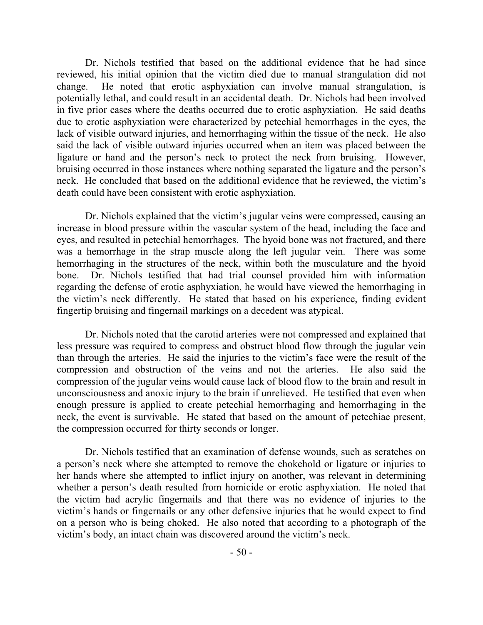Dr. Nichols testified that based on the additional evidence that he had since reviewed, his initial opinion that the victim died due to manual strangulation did not change. He noted that erotic asphyxiation can involve manual strangulation, is potentially lethal, and could result in an accidental death. Dr. Nichols had been involved in five prior cases where the deaths occurred due to erotic asphyxiation. He said deaths due to erotic asphyxiation were characterized by petechial hemorrhages in the eyes, the lack of visible outward injuries, and hemorrhaging within the tissue of the neck. He also said the lack of visible outward injuries occurred when an item was placed between the ligature or hand and the person's neck to protect the neck from bruising. However, bruising occurred in those instances where nothing separated the ligature and the person's neck. He concluded that based on the additional evidence that he reviewed, the victim's death could have been consistent with erotic asphyxiation.

Dr. Nichols explained that the victim's jugular veins were compressed, causing an increase in blood pressure within the vascular system of the head, including the face and eyes, and resulted in petechial hemorrhages. The hyoid bone was not fractured, and there was a hemorrhage in the strap muscle along the left jugular vein. There was some hemorrhaging in the structures of the neck, within both the musculature and the hyoid bone. Dr. Nichols testified that had trial counsel provided him with information regarding the defense of erotic asphyxiation, he would have viewed the hemorrhaging in the victim's neck differently. He stated that based on his experience, finding evident fingertip bruising and fingernail markings on a decedent was atypical.

Dr. Nichols noted that the carotid arteries were not compressed and explained that less pressure was required to compress and obstruct blood flow through the jugular vein than through the arteries. He said the injuries to the victim's face were the result of the compression and obstruction of the veins and not the arteries. He also said the compression of the jugular veins would cause lack of blood flow to the brain and result in unconsciousness and anoxic injury to the brain if unrelieved. He testified that even when enough pressure is applied to create petechial hemorrhaging and hemorrhaging in the neck, the event is survivable. He stated that based on the amount of petechiae present, the compression occurred for thirty seconds or longer.

Dr. Nichols testified that an examination of defense wounds, such as scratches on a person's neck where she attempted to remove the chokehold or ligature or injuries to her hands where she attempted to inflict injury on another, was relevant in determining whether a person's death resulted from homicide or erotic asphyxiation. He noted that the victim had acrylic fingernails and that there was no evidence of injuries to the victim's hands or fingernails or any other defensive injuries that he would expect to find on a person who is being choked. He also noted that according to a photograph of the victim's body, an intact chain was discovered around the victim's neck.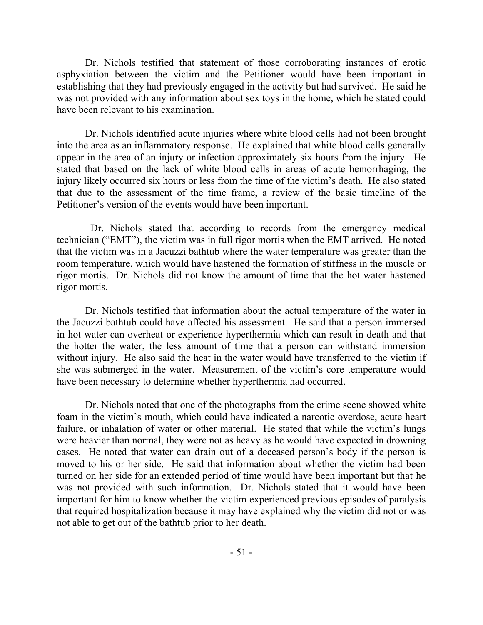Dr. Nichols testified that statement of those corroborating instances of erotic asphyxiation between the victim and the Petitioner would have been important in establishing that they had previously engaged in the activity but had survived. He said he was not provided with any information about sex toys in the home, which he stated could have been relevant to his examination.

Dr. Nichols identified acute injuries where white blood cells had not been brought into the area as an inflammatory response. He explained that white blood cells generally appear in the area of an injury or infection approximately six hours from the injury. He stated that based on the lack of white blood cells in areas of acute hemorrhaging, the injury likely occurred six hours or less from the time of the victim's death. He also stated that due to the assessment of the time frame, a review of the basic timeline of the Petitioner's version of the events would have been important.

 Dr. Nichols stated that according to records from the emergency medical technician ("EMT"), the victim was in full rigor mortis when the EMT arrived. He noted that the victim was in a Jacuzzi bathtub where the water temperature was greater than the room temperature, which would have hastened the formation of stiffness in the muscle or rigor mortis. Dr. Nichols did not know the amount of time that the hot water hastened rigor mortis.

Dr. Nichols testified that information about the actual temperature of the water in the Jacuzzi bathtub could have affected his assessment. He said that a person immersed in hot water can overheat or experience hyperthermia which can result in death and that the hotter the water, the less amount of time that a person can withstand immersion without injury. He also said the heat in the water would have transferred to the victim if she was submerged in the water. Measurement of the victim's core temperature would have been necessary to determine whether hyperthermia had occurred.

Dr. Nichols noted that one of the photographs from the crime scene showed white foam in the victim's mouth, which could have indicated a narcotic overdose, acute heart failure, or inhalation of water or other material. He stated that while the victim's lungs were heavier than normal, they were not as heavy as he would have expected in drowning cases. He noted that water can drain out of a deceased person's body if the person is moved to his or her side. He said that information about whether the victim had been turned on her side for an extended period of time would have been important but that he was not provided with such information. Dr. Nichols stated that it would have been important for him to know whether the victim experienced previous episodes of paralysis that required hospitalization because it may have explained why the victim did not or was not able to get out of the bathtub prior to her death.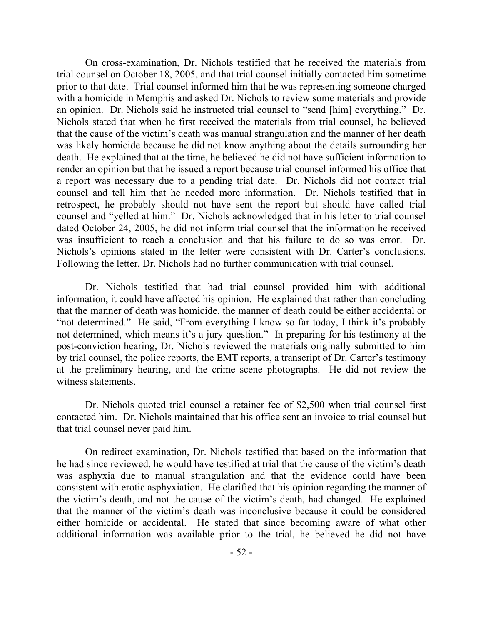On cross-examination, Dr. Nichols testified that he received the materials from trial counsel on October 18, 2005, and that trial counsel initially contacted him sometime prior to that date. Trial counsel informed him that he was representing someone charged with a homicide in Memphis and asked Dr. Nichols to review some materials and provide an opinion. Dr. Nichols said he instructed trial counsel to "send [him] everything." Dr. Nichols stated that when he first received the materials from trial counsel, he believed that the cause of the victim's death was manual strangulation and the manner of her death was likely homicide because he did not know anything about the details surrounding her death. He explained that at the time, he believed he did not have sufficient information to render an opinion but that he issued a report because trial counsel informed his office that a report was necessary due to a pending trial date. Dr. Nichols did not contact trial counsel and tell him that he needed more information. Dr. Nichols testified that in retrospect, he probably should not have sent the report but should have called trial counsel and "yelled at him." Dr. Nichols acknowledged that in his letter to trial counsel dated October 24, 2005, he did not inform trial counsel that the information he received was insufficient to reach a conclusion and that his failure to do so was error. Dr. Nichols's opinions stated in the letter were consistent with Dr. Carter's conclusions. Following the letter, Dr. Nichols had no further communication with trial counsel.

Dr. Nichols testified that had trial counsel provided him with additional information, it could have affected his opinion. He explained that rather than concluding that the manner of death was homicide, the manner of death could be either accidental or "not determined." He said, "From everything I know so far today, I think it's probably not determined, which means it's a jury question." In preparing for his testimony at the post-conviction hearing, Dr. Nichols reviewed the materials originally submitted to him by trial counsel, the police reports, the EMT reports, a transcript of Dr. Carter's testimony at the preliminary hearing, and the crime scene photographs. He did not review the witness statements.

Dr. Nichols quoted trial counsel a retainer fee of \$2,500 when trial counsel first contacted him. Dr. Nichols maintained that his office sent an invoice to trial counsel but that trial counsel never paid him.

On redirect examination, Dr. Nichols testified that based on the information that he had since reviewed, he would have testified at trial that the cause of the victim's death was asphyxia due to manual strangulation and that the evidence could have been consistent with erotic asphyxiation. He clarified that his opinion regarding the manner of the victim's death, and not the cause of the victim's death, had changed. He explained that the manner of the victim's death was inconclusive because it could be considered either homicide or accidental. He stated that since becoming aware of what other additional information was available prior to the trial, he believed he did not have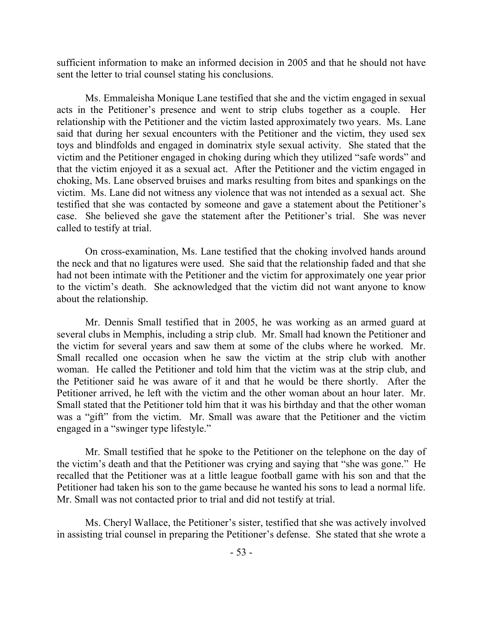sufficient information to make an informed decision in 2005 and that he should not have sent the letter to trial counsel stating his conclusions.

Ms. Emmaleisha Monique Lane testified that she and the victim engaged in sexual acts in the Petitioner's presence and went to strip clubs together as a couple. Her relationship with the Petitioner and the victim lasted approximately two years. Ms. Lane said that during her sexual encounters with the Petitioner and the victim, they used sex toys and blindfolds and engaged in dominatrix style sexual activity. She stated that the victim and the Petitioner engaged in choking during which they utilized "safe words" and that the victim enjoyed it as a sexual act. After the Petitioner and the victim engaged in choking, Ms. Lane observed bruises and marks resulting from bites and spankings on the victim. Ms. Lane did not witness any violence that was not intended as a sexual act. She testified that she was contacted by someone and gave a statement about the Petitioner's case. She believed she gave the statement after the Petitioner's trial. She was never called to testify at trial.

On cross-examination, Ms. Lane testified that the choking involved hands around the neck and that no ligatures were used. She said that the relationship faded and that she had not been intimate with the Petitioner and the victim for approximately one year prior to the victim's death. She acknowledged that the victim did not want anyone to know about the relationship.

Mr. Dennis Small testified that in 2005, he was working as an armed guard at several clubs in Memphis, including a strip club. Mr. Small had known the Petitioner and the victim for several years and saw them at some of the clubs where he worked. Mr. Small recalled one occasion when he saw the victim at the strip club with another woman. He called the Petitioner and told him that the victim was at the strip club, and the Petitioner said he was aware of it and that he would be there shortly. After the Petitioner arrived, he left with the victim and the other woman about an hour later. Mr. Small stated that the Petitioner told him that it was his birthday and that the other woman was a "gift" from the victim. Mr. Small was aware that the Petitioner and the victim engaged in a "swinger type lifestyle."

Mr. Small testified that he spoke to the Petitioner on the telephone on the day of the victim's death and that the Petitioner was crying and saying that "she was gone." He recalled that the Petitioner was at a little league football game with his son and that the Petitioner had taken his son to the game because he wanted his sons to lead a normal life. Mr. Small was not contacted prior to trial and did not testify at trial.

Ms. Cheryl Wallace, the Petitioner's sister, testified that she was actively involved in assisting trial counsel in preparing the Petitioner's defense. She stated that she wrote a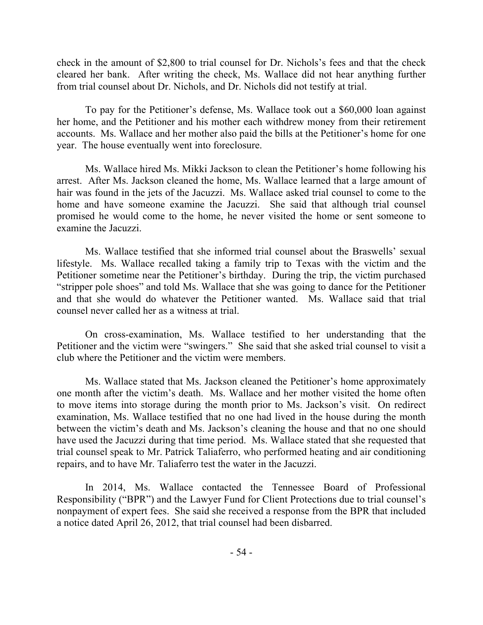check in the amount of \$2,800 to trial counsel for Dr. Nichols's fees and that the check cleared her bank. After writing the check, Ms. Wallace did not hear anything further from trial counsel about Dr. Nichols, and Dr. Nichols did not testify at trial.

To pay for the Petitioner's defense, Ms. Wallace took out a \$60,000 loan against her home, and the Petitioner and his mother each withdrew money from their retirement accounts. Ms. Wallace and her mother also paid the bills at the Petitioner's home for one year. The house eventually went into foreclosure.

Ms. Wallace hired Ms. Mikki Jackson to clean the Petitioner's home following his arrest. After Ms. Jackson cleaned the home, Ms. Wallace learned that a large amount of hair was found in the jets of the Jacuzzi. Ms. Wallace asked trial counsel to come to the home and have someone examine the Jacuzzi. She said that although trial counsel promised he would come to the home, he never visited the home or sent someone to examine the Jacuzzi.

Ms. Wallace testified that she informed trial counsel about the Braswells' sexual lifestyle. Ms. Wallace recalled taking a family trip to Texas with the victim and the Petitioner sometime near the Petitioner's birthday. During the trip, the victim purchased "stripper pole shoes" and told Ms. Wallace that she was going to dance for the Petitioner and that she would do whatever the Petitioner wanted. Ms. Wallace said that trial counsel never called her as a witness at trial.

On cross-examination, Ms. Wallace testified to her understanding that the Petitioner and the victim were "swingers." She said that she asked trial counsel to visit a club where the Petitioner and the victim were members.

Ms. Wallace stated that Ms. Jackson cleaned the Petitioner's home approximately one month after the victim's death. Ms. Wallace and her mother visited the home often to move items into storage during the month prior to Ms. Jackson's visit. On redirect examination, Ms. Wallace testified that no one had lived in the house during the month between the victim's death and Ms. Jackson's cleaning the house and that no one should have used the Jacuzzi during that time period. Ms. Wallace stated that she requested that trial counsel speak to Mr. Patrick Taliaferro, who performed heating and air conditioning repairs, and to have Mr. Taliaferro test the water in the Jacuzzi.

In 2014, Ms. Wallace contacted the Tennessee Board of Professional Responsibility ("BPR") and the Lawyer Fund for Client Protections due to trial counsel's nonpayment of expert fees. She said she received a response from the BPR that included a notice dated April 26, 2012, that trial counsel had been disbarred.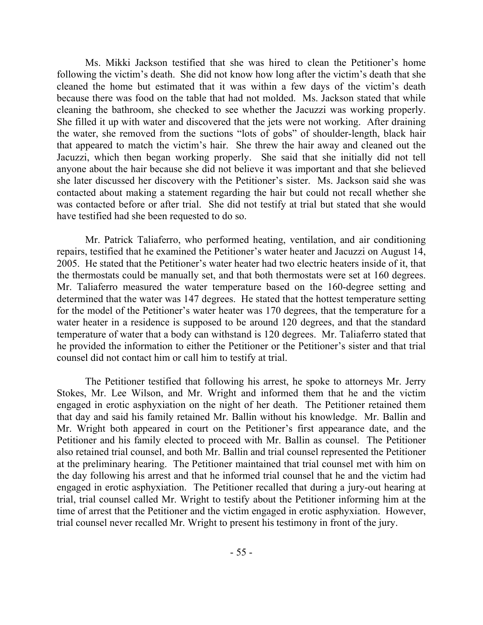Ms. Mikki Jackson testified that she was hired to clean the Petitioner's home following the victim's death. She did not know how long after the victim's death that she cleaned the home but estimated that it was within a few days of the victim's death because there was food on the table that had not molded. Ms. Jackson stated that while cleaning the bathroom, she checked to see whether the Jacuzzi was working properly. She filled it up with water and discovered that the jets were not working. After draining the water, she removed from the suctions "lots of gobs" of shoulder-length, black hair that appeared to match the victim's hair. She threw the hair away and cleaned out the Jacuzzi, which then began working properly. She said that she initially did not tell anyone about the hair because she did not believe it was important and that she believed she later discussed her discovery with the Petitioner's sister. Ms. Jackson said she was contacted about making a statement regarding the hair but could not recall whether she was contacted before or after trial. She did not testify at trial but stated that she would have testified had she been requested to do so.

Mr. Patrick Taliaferro, who performed heating, ventilation, and air conditioning repairs, testified that he examined the Petitioner's water heater and Jacuzzi on August 14, 2005. He stated that the Petitioner's water heater had two electric heaters inside of it, that the thermostats could be manually set, and that both thermostats were set at 160 degrees. Mr. Taliaferro measured the water temperature based on the 160-degree setting and determined that the water was 147 degrees. He stated that the hottest temperature setting for the model of the Petitioner's water heater was 170 degrees, that the temperature for a water heater in a residence is supposed to be around 120 degrees, and that the standard temperature of water that a body can withstand is 120 degrees. Mr. Taliaferro stated that he provided the information to either the Petitioner or the Petitioner's sister and that trial counsel did not contact him or call him to testify at trial.

The Petitioner testified that following his arrest, he spoke to attorneys Mr. Jerry Stokes, Mr. Lee Wilson, and Mr. Wright and informed them that he and the victim engaged in erotic asphyxiation on the night of her death. The Petitioner retained them that day and said his family retained Mr. Ballin without his knowledge. Mr. Ballin and Mr. Wright both appeared in court on the Petitioner's first appearance date, and the Petitioner and his family elected to proceed with Mr. Ballin as counsel. The Petitioner also retained trial counsel, and both Mr. Ballin and trial counsel represented the Petitioner at the preliminary hearing. The Petitioner maintained that trial counsel met with him on the day following his arrest and that he informed trial counsel that he and the victim had engaged in erotic asphyxiation. The Petitioner recalled that during a jury-out hearing at trial, trial counsel called Mr. Wright to testify about the Petitioner informing him at the time of arrest that the Petitioner and the victim engaged in erotic asphyxiation. However, trial counsel never recalled Mr. Wright to present his testimony in front of the jury.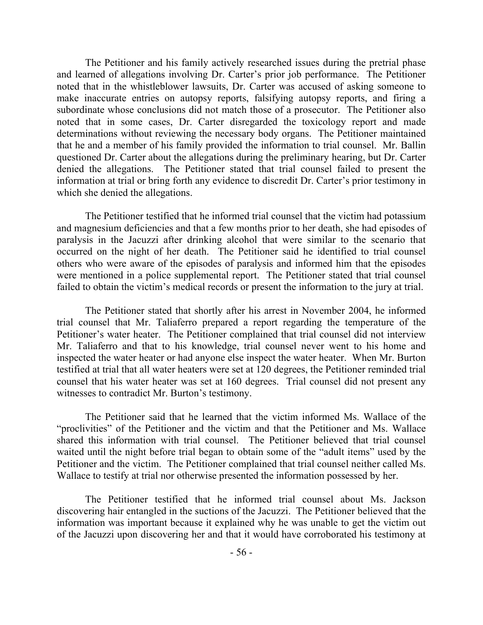The Petitioner and his family actively researched issues during the pretrial phase and learned of allegations involving Dr. Carter's prior job performance. The Petitioner noted that in the whistleblower lawsuits, Dr. Carter was accused of asking someone to make inaccurate entries on autopsy reports, falsifying autopsy reports, and firing a subordinate whose conclusions did not match those of a prosecutor. The Petitioner also noted that in some cases, Dr. Carter disregarded the toxicology report and made determinations without reviewing the necessary body organs. The Petitioner maintained that he and a member of his family provided the information to trial counsel. Mr. Ballin questioned Dr. Carter about the allegations during the preliminary hearing, but Dr. Carter denied the allegations. The Petitioner stated that trial counsel failed to present the information at trial or bring forth any evidence to discredit Dr. Carter's prior testimony in which she denied the allegations.

The Petitioner testified that he informed trial counsel that the victim had potassium and magnesium deficiencies and that a few months prior to her death, she had episodes of paralysis in the Jacuzzi after drinking alcohol that were similar to the scenario that occurred on the night of her death. The Petitioner said he identified to trial counsel others who were aware of the episodes of paralysis and informed him that the episodes were mentioned in a police supplemental report. The Petitioner stated that trial counsel failed to obtain the victim's medical records or present the information to the jury at trial.

The Petitioner stated that shortly after his arrest in November 2004, he informed trial counsel that Mr. Taliaferro prepared a report regarding the temperature of the Petitioner's water heater. The Petitioner complained that trial counsel did not interview Mr. Taliaferro and that to his knowledge, trial counsel never went to his home and inspected the water heater or had anyone else inspect the water heater. When Mr. Burton testified at trial that all water heaters were set at 120 degrees, the Petitioner reminded trial counsel that his water heater was set at 160 degrees. Trial counsel did not present any witnesses to contradict Mr. Burton's testimony.

The Petitioner said that he learned that the victim informed Ms. Wallace of the "proclivities" of the Petitioner and the victim and that the Petitioner and Ms. Wallace shared this information with trial counsel. The Petitioner believed that trial counsel waited until the night before trial began to obtain some of the "adult items" used by the Petitioner and the victim. The Petitioner complained that trial counsel neither called Ms. Wallace to testify at trial nor otherwise presented the information possessed by her.

The Petitioner testified that he informed trial counsel about Ms. Jackson discovering hair entangled in the suctions of the Jacuzzi. The Petitioner believed that the information was important because it explained why he was unable to get the victim out of the Jacuzzi upon discovering her and that it would have corroborated his testimony at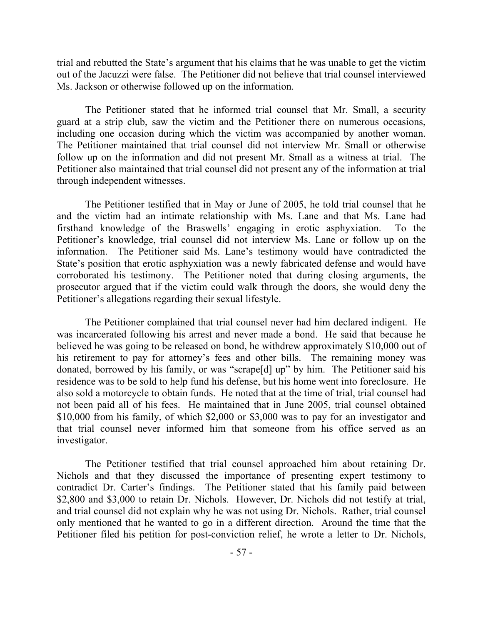trial and rebutted the State's argument that his claims that he was unable to get the victim out of the Jacuzzi were false. The Petitioner did not believe that trial counsel interviewed Ms. Jackson or otherwise followed up on the information.

The Petitioner stated that he informed trial counsel that Mr. Small, a security guard at a strip club, saw the victim and the Petitioner there on numerous occasions, including one occasion during which the victim was accompanied by another woman. The Petitioner maintained that trial counsel did not interview Mr. Small or otherwise follow up on the information and did not present Mr. Small as a witness at trial. The Petitioner also maintained that trial counsel did not present any of the information at trial through independent witnesses.

The Petitioner testified that in May or June of 2005, he told trial counsel that he and the victim had an intimate relationship with Ms. Lane and that Ms. Lane had firsthand knowledge of the Braswells' engaging in erotic asphyxiation. To the Petitioner's knowledge, trial counsel did not interview Ms. Lane or follow up on the information. The Petitioner said Ms. Lane's testimony would have contradicted the State's position that erotic asphyxiation was a newly fabricated defense and would have corroborated his testimony. The Petitioner noted that during closing arguments, the prosecutor argued that if the victim could walk through the doors, she would deny the Petitioner's allegations regarding their sexual lifestyle.

The Petitioner complained that trial counsel never had him declared indigent. He was incarcerated following his arrest and never made a bond. He said that because he believed he was going to be released on bond, he withdrew approximately \$10,000 out of his retirement to pay for attorney's fees and other bills. The remaining money was donated, borrowed by his family, or was "scrape[d] up" by him. The Petitioner said his residence was to be sold to help fund his defense, but his home went into foreclosure. He also sold a motorcycle to obtain funds. He noted that at the time of trial, trial counsel had not been paid all of his fees. He maintained that in June 2005, trial counsel obtained \$10,000 from his family, of which \$2,000 or \$3,000 was to pay for an investigator and that trial counsel never informed him that someone from his office served as an investigator.

The Petitioner testified that trial counsel approached him about retaining Dr. Nichols and that they discussed the importance of presenting expert testimony to contradict Dr. Carter's findings. The Petitioner stated that his family paid between \$2,800 and \$3,000 to retain Dr. Nichols. However, Dr. Nichols did not testify at trial, and trial counsel did not explain why he was not using Dr. Nichols. Rather, trial counsel only mentioned that he wanted to go in a different direction. Around the time that the Petitioner filed his petition for post-conviction relief, he wrote a letter to Dr. Nichols,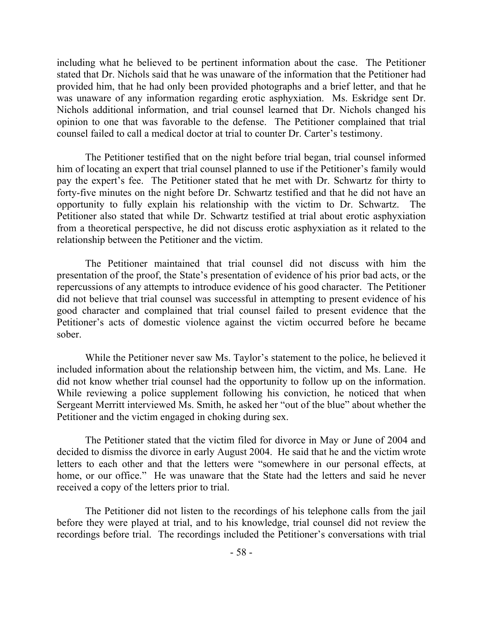including what he believed to be pertinent information about the case. The Petitioner stated that Dr. Nichols said that he was unaware of the information that the Petitioner had provided him, that he had only been provided photographs and a brief letter, and that he was unaware of any information regarding erotic asphyxiation. Ms. Eskridge sent Dr. Nichols additional information, and trial counsel learned that Dr. Nichols changed his opinion to one that was favorable to the defense. The Petitioner complained that trial counsel failed to call a medical doctor at trial to counter Dr. Carter's testimony.

The Petitioner testified that on the night before trial began, trial counsel informed him of locating an expert that trial counsel planned to use if the Petitioner's family would pay the expert's fee. The Petitioner stated that he met with Dr. Schwartz for thirty to forty-five minutes on the night before Dr. Schwartz testified and that he did not have an opportunity to fully explain his relationship with the victim to Dr. Schwartz. The Petitioner also stated that while Dr. Schwartz testified at trial about erotic asphyxiation from a theoretical perspective, he did not discuss erotic asphyxiation as it related to the relationship between the Petitioner and the victim.

The Petitioner maintained that trial counsel did not discuss with him the presentation of the proof, the State's presentation of evidence of his prior bad acts, or the repercussions of any attempts to introduce evidence of his good character. The Petitioner did not believe that trial counsel was successful in attempting to present evidence of his good character and complained that trial counsel failed to present evidence that the Petitioner's acts of domestic violence against the victim occurred before he became sober.

While the Petitioner never saw Ms. Taylor's statement to the police, he believed it included information about the relationship between him, the victim, and Ms. Lane. He did not know whether trial counsel had the opportunity to follow up on the information. While reviewing a police supplement following his conviction, he noticed that when Sergeant Merritt interviewed Ms. Smith, he asked her "out of the blue" about whether the Petitioner and the victim engaged in choking during sex.

The Petitioner stated that the victim filed for divorce in May or June of 2004 and decided to dismiss the divorce in early August 2004. He said that he and the victim wrote letters to each other and that the letters were "somewhere in our personal effects, at home, or our office." He was unaware that the State had the letters and said he never received a copy of the letters prior to trial.

The Petitioner did not listen to the recordings of his telephone calls from the jail before they were played at trial, and to his knowledge, trial counsel did not review the recordings before trial. The recordings included the Petitioner's conversations with trial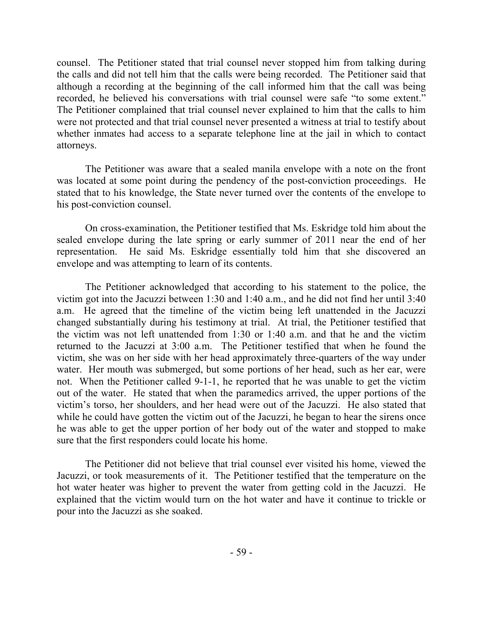counsel. The Petitioner stated that trial counsel never stopped him from talking during the calls and did not tell him that the calls were being recorded. The Petitioner said that although a recording at the beginning of the call informed him that the call was being recorded, he believed his conversations with trial counsel were safe "to some extent." The Petitioner complained that trial counsel never explained to him that the calls to him were not protected and that trial counsel never presented a witness at trial to testify about whether inmates had access to a separate telephone line at the jail in which to contact attorneys.

The Petitioner was aware that a sealed manila envelope with a note on the front was located at some point during the pendency of the post-conviction proceedings. He stated that to his knowledge, the State never turned over the contents of the envelope to his post-conviction counsel.

On cross-examination, the Petitioner testified that Ms. Eskridge told him about the sealed envelope during the late spring or early summer of 2011 near the end of her representation. He said Ms. Eskridge essentially told him that she discovered an envelope and was attempting to learn of its contents.

The Petitioner acknowledged that according to his statement to the police, the victim got into the Jacuzzi between 1:30 and 1:40 a.m., and he did not find her until 3:40 a.m. He agreed that the timeline of the victim being left unattended in the Jacuzzi changed substantially during his testimony at trial. At trial, the Petitioner testified that the victim was not left unattended from 1:30 or 1:40 a.m. and that he and the victim returned to the Jacuzzi at 3:00 a.m. The Petitioner testified that when he found the victim, she was on her side with her head approximately three-quarters of the way under water. Her mouth was submerged, but some portions of her head, such as her ear, were not. When the Petitioner called 9-1-1, he reported that he was unable to get the victim out of the water. He stated that when the paramedics arrived, the upper portions of the victim's torso, her shoulders, and her head were out of the Jacuzzi. He also stated that while he could have gotten the victim out of the Jacuzzi, he began to hear the sirens once he was able to get the upper portion of her body out of the water and stopped to make sure that the first responders could locate his home.

The Petitioner did not believe that trial counsel ever visited his home, viewed the Jacuzzi, or took measurements of it. The Petitioner testified that the temperature on the hot water heater was higher to prevent the water from getting cold in the Jacuzzi. He explained that the victim would turn on the hot water and have it continue to trickle or pour into the Jacuzzi as she soaked.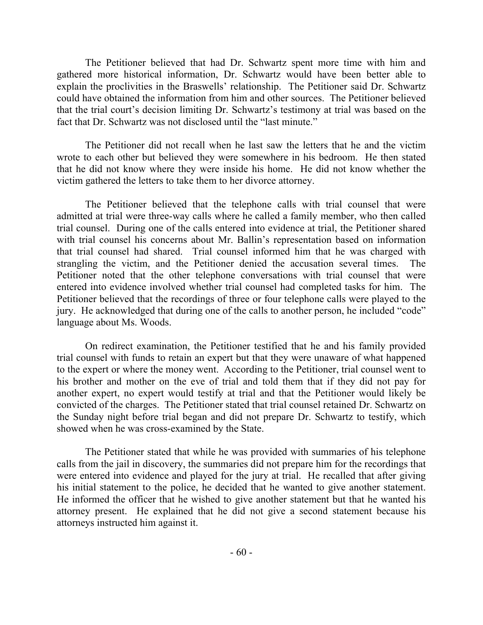The Petitioner believed that had Dr. Schwartz spent more time with him and gathered more historical information, Dr. Schwartz would have been better able to explain the proclivities in the Braswells' relationship. The Petitioner said Dr. Schwartz could have obtained the information from him and other sources. The Petitioner believed that the trial court's decision limiting Dr. Schwartz's testimony at trial was based on the fact that Dr. Schwartz was not disclosed until the "last minute."

The Petitioner did not recall when he last saw the letters that he and the victim wrote to each other but believed they were somewhere in his bedroom. He then stated that he did not know where they were inside his home. He did not know whether the victim gathered the letters to take them to her divorce attorney.

The Petitioner believed that the telephone calls with trial counsel that were admitted at trial were three-way calls where he called a family member, who then called trial counsel. During one of the calls entered into evidence at trial, the Petitioner shared with trial counsel his concerns about Mr. Ballin's representation based on information that trial counsel had shared. Trial counsel informed him that he was charged with strangling the victim, and the Petitioner denied the accusation several times. The Petitioner noted that the other telephone conversations with trial counsel that were entered into evidence involved whether trial counsel had completed tasks for him. The Petitioner believed that the recordings of three or four telephone calls were played to the jury. He acknowledged that during one of the calls to another person, he included "code" language about Ms. Woods.

On redirect examination, the Petitioner testified that he and his family provided trial counsel with funds to retain an expert but that they were unaware of what happened to the expert or where the money went. According to the Petitioner, trial counsel went to his brother and mother on the eve of trial and told them that if they did not pay for another expert, no expert would testify at trial and that the Petitioner would likely be convicted of the charges. The Petitioner stated that trial counsel retained Dr. Schwartz on the Sunday night before trial began and did not prepare Dr. Schwartz to testify, which showed when he was cross-examined by the State.

The Petitioner stated that while he was provided with summaries of his telephone calls from the jail in discovery, the summaries did not prepare him for the recordings that were entered into evidence and played for the jury at trial. He recalled that after giving his initial statement to the police, he decided that he wanted to give another statement. He informed the officer that he wished to give another statement but that he wanted his attorney present. He explained that he did not give a second statement because his attorneys instructed him against it.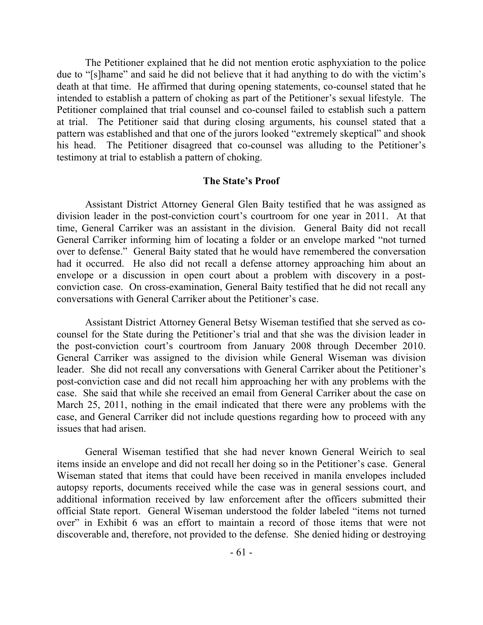The Petitioner explained that he did not mention erotic asphyxiation to the police due to "[s]hame" and said he did not believe that it had anything to do with the victim's death at that time. He affirmed that during opening statements, co-counsel stated that he intended to establish a pattern of choking as part of the Petitioner's sexual lifestyle. The Petitioner complained that trial counsel and co-counsel failed to establish such a pattern at trial. The Petitioner said that during closing arguments, his counsel stated that a pattern was established and that one of the jurors looked "extremely skeptical" and shook his head. The Petitioner disagreed that co-counsel was alluding to the Petitioner's testimony at trial to establish a pattern of choking.

### **The State's Proof**

Assistant District Attorney General Glen Baity testified that he was assigned as division leader in the post-conviction court's courtroom for one year in 2011. At that time, General Carriker was an assistant in the division. General Baity did not recall General Carriker informing him of locating a folder or an envelope marked "not turned over to defense." General Baity stated that he would have remembered the conversation had it occurred. He also did not recall a defense attorney approaching him about an envelope or a discussion in open court about a problem with discovery in a postconviction case. On cross-examination, General Baity testified that he did not recall any conversations with General Carriker about the Petitioner's case.

Assistant District Attorney General Betsy Wiseman testified that she served as cocounsel for the State during the Petitioner's trial and that she was the division leader in the post-conviction court's courtroom from January 2008 through December 2010. General Carriker was assigned to the division while General Wiseman was division leader. She did not recall any conversations with General Carriker about the Petitioner's post-conviction case and did not recall him approaching her with any problems with the case. She said that while she received an email from General Carriker about the case on March 25, 2011, nothing in the email indicated that there were any problems with the case, and General Carriker did not include questions regarding how to proceed with any issues that had arisen.

General Wiseman testified that she had never known General Weirich to seal items inside an envelope and did not recall her doing so in the Petitioner's case. General Wiseman stated that items that could have been received in manila envelopes included autopsy reports, documents received while the case was in general sessions court, and additional information received by law enforcement after the officers submitted their official State report. General Wiseman understood the folder labeled "items not turned over" in Exhibit 6 was an effort to maintain a record of those items that were not discoverable and, therefore, not provided to the defense. She denied hiding or destroying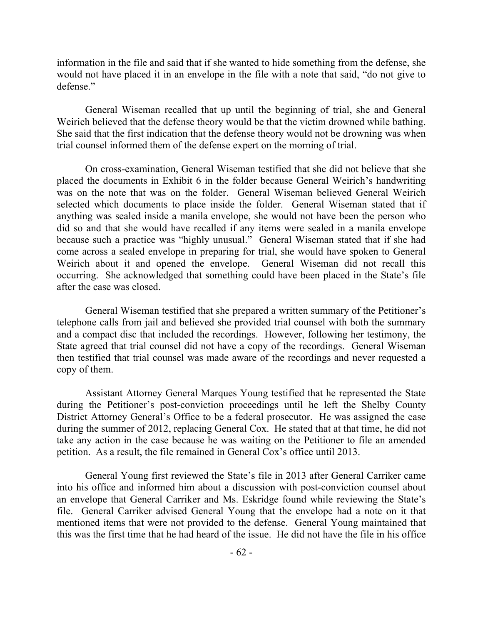information in the file and said that if she wanted to hide something from the defense, she would not have placed it in an envelope in the file with a note that said, "do not give to defense."

General Wiseman recalled that up until the beginning of trial, she and General Weirich believed that the defense theory would be that the victim drowned while bathing. She said that the first indication that the defense theory would not be drowning was when trial counsel informed them of the defense expert on the morning of trial.

On cross-examination, General Wiseman testified that she did not believe that she placed the documents in Exhibit 6 in the folder because General Weirich's handwriting was on the note that was on the folder. General Wiseman believed General Weirich selected which documents to place inside the folder. General Wiseman stated that if anything was sealed inside a manila envelope, she would not have been the person who did so and that she would have recalled if any items were sealed in a manila envelope because such a practice was "highly unusual." General Wiseman stated that if she had come across a sealed envelope in preparing for trial, she would have spoken to General Weirich about it and opened the envelope. General Wiseman did not recall this occurring. She acknowledged that something could have been placed in the State's file after the case was closed.

General Wiseman testified that she prepared a written summary of the Petitioner's telephone calls from jail and believed she provided trial counsel with both the summary and a compact disc that included the recordings. However, following her testimony, the State agreed that trial counsel did not have a copy of the recordings. General Wiseman then testified that trial counsel was made aware of the recordings and never requested a copy of them.

Assistant Attorney General Marques Young testified that he represented the State during the Petitioner's post-conviction proceedings until he left the Shelby County District Attorney General's Office to be a federal prosecutor. He was assigned the case during the summer of 2012, replacing General Cox. He stated that at that time, he did not take any action in the case because he was waiting on the Petitioner to file an amended petition. As a result, the file remained in General Cox's office until 2013.

General Young first reviewed the State's file in 2013 after General Carriker came into his office and informed him about a discussion with post-conviction counsel about an envelope that General Carriker and Ms. Eskridge found while reviewing the State's file. General Carriker advised General Young that the envelope had a note on it that mentioned items that were not provided to the defense. General Young maintained that this was the first time that he had heard of the issue. He did not have the file in his office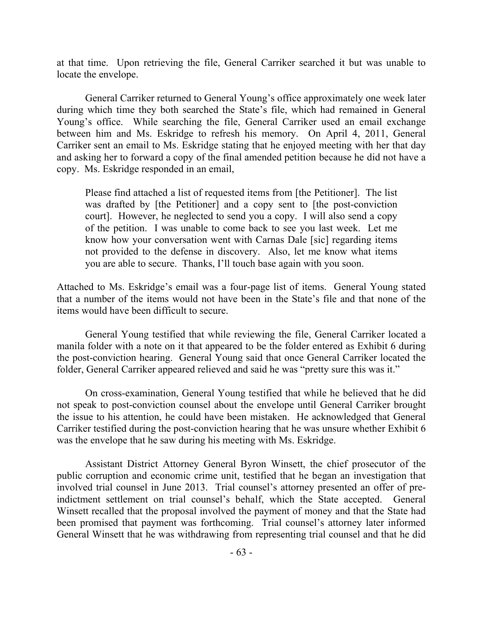at that time. Upon retrieving the file, General Carriker searched it but was unable to locate the envelope.

General Carriker returned to General Young's office approximately one week later during which time they both searched the State's file, which had remained in General Young's office. While searching the file, General Carriker used an email exchange between him and Ms. Eskridge to refresh his memory. On April 4, 2011, General Carriker sent an email to Ms. Eskridge stating that he enjoyed meeting with her that day and asking her to forward a copy of the final amended petition because he did not have a copy. Ms. Eskridge responded in an email,

Please find attached a list of requested items from [the Petitioner]. The list was drafted by [the Petitioner] and a copy sent to [the post-conviction court]. However, he neglected to send you a copy. I will also send a copy of the petition. I was unable to come back to see you last week. Let me know how your conversation went with Carnas Dale [sic] regarding items not provided to the defense in discovery. Also, let me know what items you are able to secure. Thanks, I'll touch base again with you soon.

Attached to Ms. Eskridge's email was a four-page list of items. General Young stated that a number of the items would not have been in the State's file and that none of the items would have been difficult to secure.

General Young testified that while reviewing the file, General Carriker located a manila folder with a note on it that appeared to be the folder entered as Exhibit 6 during the post-conviction hearing. General Young said that once General Carriker located the folder, General Carriker appeared relieved and said he was "pretty sure this was it."

On cross-examination, General Young testified that while he believed that he did not speak to post-conviction counsel about the envelope until General Carriker brought the issue to his attention, he could have been mistaken. He acknowledged that General Carriker testified during the post-conviction hearing that he was unsure whether Exhibit 6 was the envelope that he saw during his meeting with Ms. Eskridge.

Assistant District Attorney General Byron Winsett, the chief prosecutor of the public corruption and economic crime unit, testified that he began an investigation that involved trial counsel in June 2013. Trial counsel's attorney presented an offer of preindictment settlement on trial counsel's behalf, which the State accepted. General Winsett recalled that the proposal involved the payment of money and that the State had been promised that payment was forthcoming. Trial counsel's attorney later informed General Winsett that he was withdrawing from representing trial counsel and that he did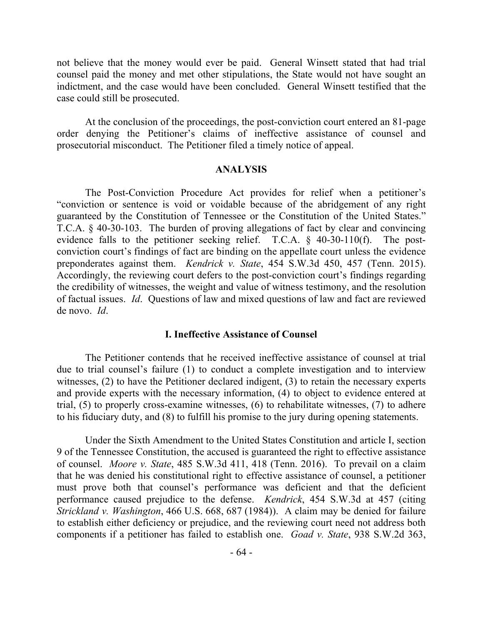not believe that the money would ever be paid. General Winsett stated that had trial counsel paid the money and met other stipulations, the State would not have sought an indictment, and the case would have been concluded. General Winsett testified that the case could still be prosecuted.

At the conclusion of the proceedings, the post-conviction court entered an 81-page order denying the Petitioner's claims of ineffective assistance of counsel and prosecutorial misconduct. The Petitioner filed a timely notice of appeal.

#### **ANALYSIS**

The Post-Conviction Procedure Act provides for relief when a petitioner's "conviction or sentence is void or voidable because of the abridgement of any right guaranteed by the Constitution of Tennessee or the Constitution of the United States." T.C.A. § 40-30-103. The burden of proving allegations of fact by clear and convincing evidence falls to the petitioner seeking relief. T.C.A. § 40-30-110(f). The postconviction court's findings of fact are binding on the appellate court unless the evidence preponderates against them. *Kendrick v. State*, 454 S.W.3d 450, 457 (Tenn. 2015). Accordingly, the reviewing court defers to the post-conviction court's findings regarding the credibility of witnesses, the weight and value of witness testimony, and the resolution of factual issues. *Id*. Questions of law and mixed questions of law and fact are reviewed de novo. *Id*.

#### **I. Ineffective Assistance of Counsel**

The Petitioner contends that he received ineffective assistance of counsel at trial due to trial counsel's failure (1) to conduct a complete investigation and to interview witnesses, (2) to have the Petitioner declared indigent, (3) to retain the necessary experts and provide experts with the necessary information, (4) to object to evidence entered at trial, (5) to properly cross-examine witnesses, (6) to rehabilitate witnesses, (7) to adhere to his fiduciary duty, and (8) to fulfill his promise to the jury during opening statements.

Under the Sixth Amendment to the United States Constitution and article I, section 9 of the Tennessee Constitution, the accused is guaranteed the right to effective assistance of counsel. *Moore v. State*, 485 S.W.3d 411, 418 (Tenn. 2016). To prevail on a claim that he was denied his constitutional right to effective assistance of counsel, a petitioner must prove both that counsel's performance was deficient and that the deficient performance caused prejudice to the defense. *Kendrick*, 454 S.W.3d at 457 (citing *Strickland v. Washington*, 466 U.S. 668, 687 (1984)). A claim may be denied for failure to establish either deficiency or prejudice, and the reviewing court need not address both components if a petitioner has failed to establish one. *Goad v. State*, 938 S.W.2d 363,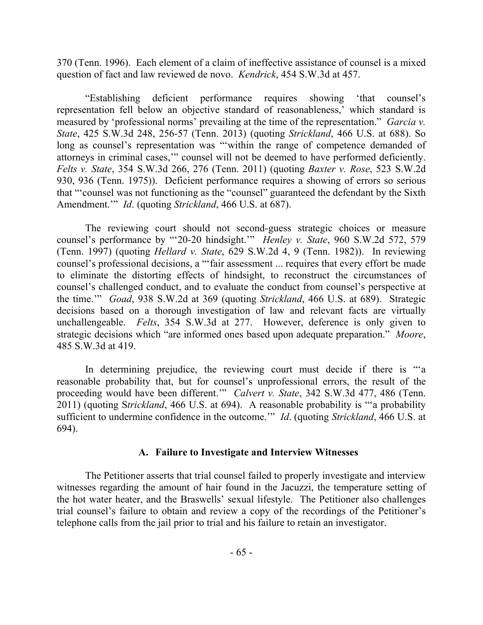370 (Tenn. 1996). Each element of a claim of ineffective assistance of counsel is a mixed question of fact and law reviewed de novo. *Kendrick*, 454 S.W.3d at 457.

"Establishing deficient performance requires showing 'that counsel's representation fell below an objective standard of reasonableness,' which standard is measured by 'professional norms' prevailing at the time of the representation." *Garcia v. State*, 425 S.W.3d 248, 256-57 (Tenn. 2013) (quoting *Strickland*, 466 U.S. at 688). So long as counsel's representation was "within the range of competence demanded of attorneys in criminal cases,'" counsel will not be deemed to have performed deficiently. *Felts v. State*, 354 S.W.3d 266, 276 (Tenn. 2011) (quoting *Baxter v. Rose*, 523 S.W.2d 930, 936 (Tenn. 1975)). Deficient performance requires a showing of errors so serious that "'counsel was not functioning as the "counsel" guaranteed the defendant by the Sixth Amendment.'" *Id*. (quoting *Strickland*, 466 U.S. at 687).

The reviewing court should not second-guess strategic choices or measure counsel's performance by "'20-20 hindsight.'" *Henley v. State*, 960 S.W.2d 572, 579 (Tenn. 1997) (quoting *Hellard v. State*, 629 S.W.2d 4, 9 (Tenn. 1982)). In reviewing counsel's professional decisions, a "'fair assessment ... requires that every effort be made to eliminate the distorting effects of hindsight, to reconstruct the circumstances of counsel's challenged conduct, and to evaluate the conduct from counsel's perspective at the time.'" *Goad*, 938 S.W.2d at 369 (quoting *Strickland*, 466 U.S. at 689). Strategic decisions based on a thorough investigation of law and relevant facts are virtually unchallengeable. *Felts*, 354 S.W.3d at 277. However, deference is only given to strategic decisions which "are informed ones based upon adequate preparation." *Moore*, 485 S.W.3d at 419.

In determining prejudice, the reviewing court must decide if there is "a reasonable probability that, but for counsel's unprofessional errors, the result of the proceeding would have been different.'" *Calvert v. State*, 342 S.W.3d 477, 486 (Tenn. 2011) (quoting S*trickland*, 466 U.S. at 694). A reasonable probability is "'a probability sufficient to undermine confidence in the outcome.'" *Id*. (quoting *Strickland*, 466 U.S. at 694).

# **A. Failure to Investigate and Interview Witnesses**

The Petitioner asserts that trial counsel failed to properly investigate and interview witnesses regarding the amount of hair found in the Jacuzzi, the temperature setting of the hot water heater, and the Braswells' sexual lifestyle. The Petitioner also challenges trial counsel's failure to obtain and review a copy of the recordings of the Petitioner's telephone calls from the jail prior to trial and his failure to retain an investigator.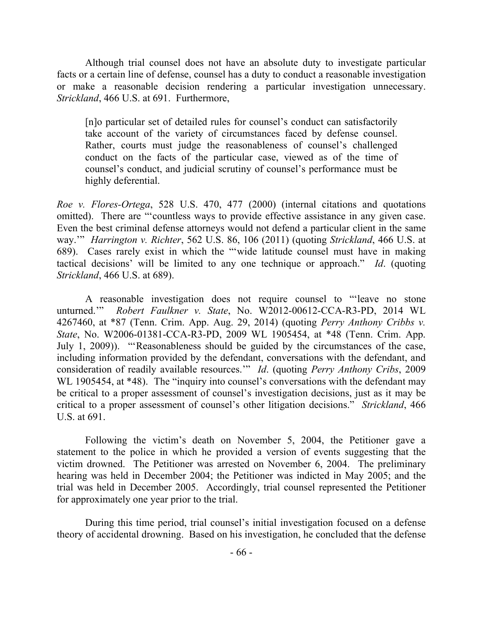Although trial counsel does not have an absolute duty to investigate particular facts or a certain line of defense, counsel has a duty to conduct a reasonable investigation or make a reasonable decision rendering a particular investigation unnecessary. *Strickland*, 466 U.S. at 691. Furthermore,

[n]o particular set of detailed rules for counsel's conduct can satisfactorily take account of the variety of circumstances faced by defense counsel. Rather, courts must judge the reasonableness of counsel's challenged conduct on the facts of the particular case, viewed as of the time of counsel's conduct, and judicial scrutiny of counsel's performance must be highly deferential.

*Roe v. Flores-Ortega*, 528 U.S. 470, 477 (2000) (internal citations and quotations omitted). There are "'countless ways to provide effective assistance in any given case. Even the best criminal defense attorneys would not defend a particular client in the same way.'" *Harrington v. Richter*, 562 U.S. 86, 106 (2011) (quoting *Strickland*, 466 U.S. at 689). Cases rarely exist in which the "'wide latitude counsel must have in making tactical decisions' will be limited to any one technique or approach." *Id*. (quoting *Strickland*, 466 U.S. at 689).

A reasonable investigation does not require counsel to "'leave no stone unturned.'" *Robert Faulkner v. State*, No. W2012-00612-CCA-R3-PD, 2014 WL 4267460, at \*87 (Tenn. Crim. App. Aug. 29, 2014) (quoting *Perry Anthony Cribbs v. State*, No. W2006-01381-CCA-R3-PD, 2009 WL 1905454, at \*48 (Tenn. Crim. App. July 1, 2009)). "'Reasonableness should be guided by the circumstances of the case, including information provided by the defendant, conversations with the defendant, and consideration of readily available resources.'" *Id*. (quoting *Perry Anthony Cribs*, 2009 WL 1905454, at \*48). The "inquiry into counsel's conversations with the defendant may be critical to a proper assessment of counsel's investigation decisions, just as it may be critical to a proper assessment of counsel's other litigation decisions." *Strickland*, 466 U.S. at 691.

Following the victim's death on November 5, 2004, the Petitioner gave a statement to the police in which he provided a version of events suggesting that the victim drowned. The Petitioner was arrested on November 6, 2004. The preliminary hearing was held in December 2004; the Petitioner was indicted in May 2005; and the trial was held in December 2005. Accordingly, trial counsel represented the Petitioner for approximately one year prior to the trial.

During this time period, trial counsel's initial investigation focused on a defense theory of accidental drowning. Based on his investigation, he concluded that the defense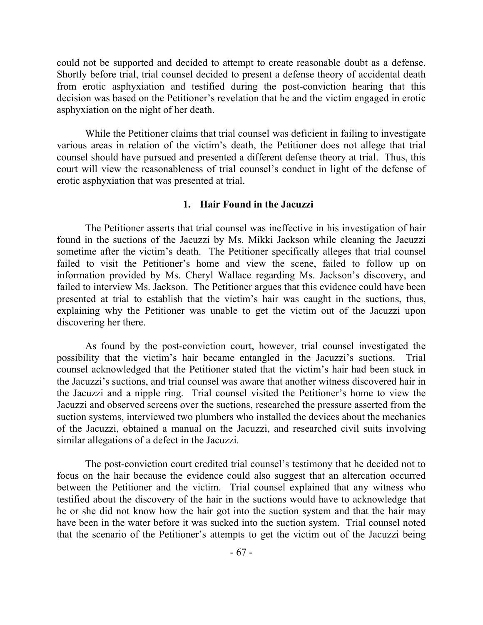could not be supported and decided to attempt to create reasonable doubt as a defense. Shortly before trial, trial counsel decided to present a defense theory of accidental death from erotic asphyxiation and testified during the post-conviction hearing that this decision was based on the Petitioner's revelation that he and the victim engaged in erotic asphyxiation on the night of her death.

While the Petitioner claims that trial counsel was deficient in failing to investigate various areas in relation of the victim's death, the Petitioner does not allege that trial counsel should have pursued and presented a different defense theory at trial. Thus, this court will view the reasonableness of trial counsel's conduct in light of the defense of erotic asphyxiation that was presented at trial.

### **1. Hair Found in the Jacuzzi**

The Petitioner asserts that trial counsel was ineffective in his investigation of hair found in the suctions of the Jacuzzi by Ms. Mikki Jackson while cleaning the Jacuzzi sometime after the victim's death. The Petitioner specifically alleges that trial counsel failed to visit the Petitioner's home and view the scene, failed to follow up on information provided by Ms. Cheryl Wallace regarding Ms. Jackson's discovery, and failed to interview Ms. Jackson. The Petitioner argues that this evidence could have been presented at trial to establish that the victim's hair was caught in the suctions, thus, explaining why the Petitioner was unable to get the victim out of the Jacuzzi upon discovering her there.

As found by the post-conviction court, however, trial counsel investigated the possibility that the victim's hair became entangled in the Jacuzzi's suctions. Trial counsel acknowledged that the Petitioner stated that the victim's hair had been stuck in the Jacuzzi's suctions, and trial counsel was aware that another witness discovered hair in the Jacuzzi and a nipple ring. Trial counsel visited the Petitioner's home to view the Jacuzzi and observed screens over the suctions, researched the pressure asserted from the suction systems, interviewed two plumbers who installed the devices about the mechanics of the Jacuzzi, obtained a manual on the Jacuzzi, and researched civil suits involving similar allegations of a defect in the Jacuzzi.

The post-conviction court credited trial counsel's testimony that he decided not to focus on the hair because the evidence could also suggest that an altercation occurred between the Petitioner and the victim. Trial counsel explained that any witness who testified about the discovery of the hair in the suctions would have to acknowledge that he or she did not know how the hair got into the suction system and that the hair may have been in the water before it was sucked into the suction system. Trial counsel noted that the scenario of the Petitioner's attempts to get the victim out of the Jacuzzi being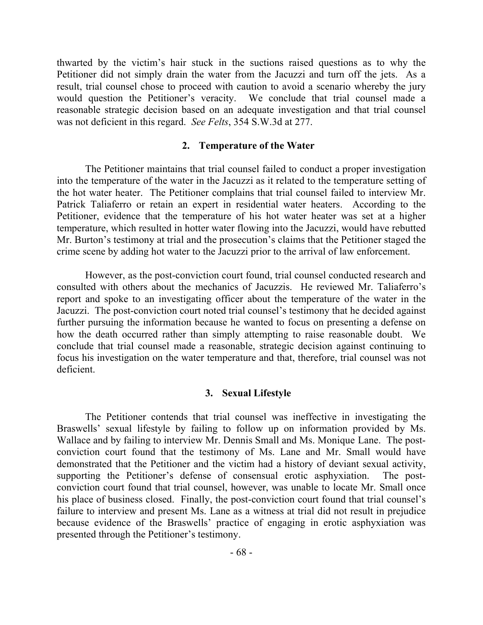thwarted by the victim's hair stuck in the suctions raised questions as to why the Petitioner did not simply drain the water from the Jacuzzi and turn off the jets. As a result, trial counsel chose to proceed with caution to avoid a scenario whereby the jury would question the Petitioner's veracity. We conclude that trial counsel made a reasonable strategic decision based on an adequate investigation and that trial counsel was not deficient in this regard. *See Felts*, 354 S.W.3d at 277.

## **2. Temperature of the Water**

The Petitioner maintains that trial counsel failed to conduct a proper investigation into the temperature of the water in the Jacuzzi as it related to the temperature setting of the hot water heater. The Petitioner complains that trial counsel failed to interview Mr. Patrick Taliaferro or retain an expert in residential water heaters. According to the Petitioner, evidence that the temperature of his hot water heater was set at a higher temperature, which resulted in hotter water flowing into the Jacuzzi, would have rebutted Mr. Burton's testimony at trial and the prosecution's claims that the Petitioner staged the crime scene by adding hot water to the Jacuzzi prior to the arrival of law enforcement.

However, as the post-conviction court found, trial counsel conducted research and consulted with others about the mechanics of Jacuzzis. He reviewed Mr. Taliaferro's report and spoke to an investigating officer about the temperature of the water in the Jacuzzi. The post-conviction court noted trial counsel's testimony that he decided against further pursuing the information because he wanted to focus on presenting a defense on how the death occurred rather than simply attempting to raise reasonable doubt. We conclude that trial counsel made a reasonable, strategic decision against continuing to focus his investigation on the water temperature and that, therefore, trial counsel was not deficient.

# **3. Sexual Lifestyle**

The Petitioner contends that trial counsel was ineffective in investigating the Braswells' sexual lifestyle by failing to follow up on information provided by Ms. Wallace and by failing to interview Mr. Dennis Small and Ms. Monique Lane. The postconviction court found that the testimony of Ms. Lane and Mr. Small would have demonstrated that the Petitioner and the victim had a history of deviant sexual activity, supporting the Petitioner's defense of consensual erotic asphyxiation. The postconviction court found that trial counsel, however, was unable to locate Mr. Small once his place of business closed. Finally, the post-conviction court found that trial counsel's failure to interview and present Ms. Lane as a witness at trial did not result in prejudice because evidence of the Braswells' practice of engaging in erotic asphyxiation was presented through the Petitioner's testimony.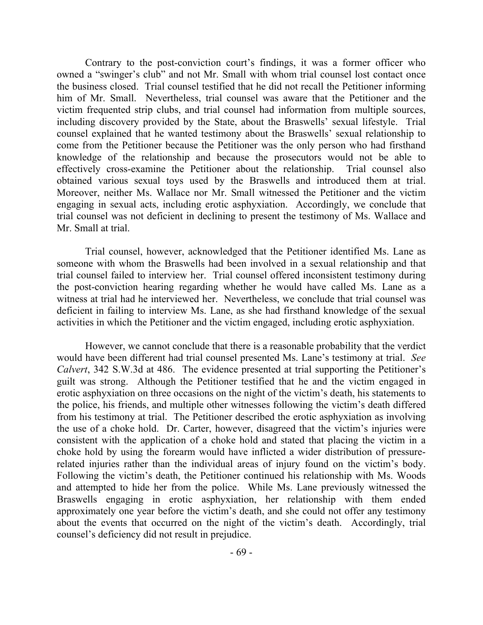Contrary to the post-conviction court's findings, it was a former officer who owned a "swinger's club" and not Mr. Small with whom trial counsel lost contact once the business closed. Trial counsel testified that he did not recall the Petitioner informing him of Mr. Small. Nevertheless, trial counsel was aware that the Petitioner and the victim frequented strip clubs, and trial counsel had information from multiple sources, including discovery provided by the State, about the Braswells' sexual lifestyle. Trial counsel explained that he wanted testimony about the Braswells' sexual relationship to come from the Petitioner because the Petitioner was the only person who had firsthand knowledge of the relationship and because the prosecutors would not be able to effectively cross-examine the Petitioner about the relationship. Trial counsel also obtained various sexual toys used by the Braswells and introduced them at trial. Moreover, neither Ms. Wallace nor Mr. Small witnessed the Petitioner and the victim engaging in sexual acts, including erotic asphyxiation. Accordingly, we conclude that trial counsel was not deficient in declining to present the testimony of Ms. Wallace and Mr. Small at trial.

Trial counsel, however, acknowledged that the Petitioner identified Ms. Lane as someone with whom the Braswells had been involved in a sexual relationship and that trial counsel failed to interview her. Trial counsel offered inconsistent testimony during the post-conviction hearing regarding whether he would have called Ms. Lane as a witness at trial had he interviewed her. Nevertheless, we conclude that trial counsel was deficient in failing to interview Ms. Lane, as she had firsthand knowledge of the sexual activities in which the Petitioner and the victim engaged, including erotic asphyxiation.

However, we cannot conclude that there is a reasonable probability that the verdict would have been different had trial counsel presented Ms. Lane's testimony at trial. *See Calvert*, 342 S.W.3d at 486. The evidence presented at trial supporting the Petitioner's guilt was strong. Although the Petitioner testified that he and the victim engaged in erotic asphyxiation on three occasions on the night of the victim's death, his statements to the police, his friends, and multiple other witnesses following the victim's death differed from his testimony at trial. The Petitioner described the erotic asphyxiation as involving the use of a choke hold. Dr. Carter, however, disagreed that the victim's injuries were consistent with the application of a choke hold and stated that placing the victim in a choke hold by using the forearm would have inflicted a wider distribution of pressurerelated injuries rather than the individual areas of injury found on the victim's body. Following the victim's death, the Petitioner continued his relationship with Ms. Woods and attempted to hide her from the police. While Ms. Lane previously witnessed the Braswells engaging in erotic asphyxiation, her relationship with them ended approximately one year before the victim's death, and she could not offer any testimony about the events that occurred on the night of the victim's death. Accordingly, trial counsel's deficiency did not result in prejudice.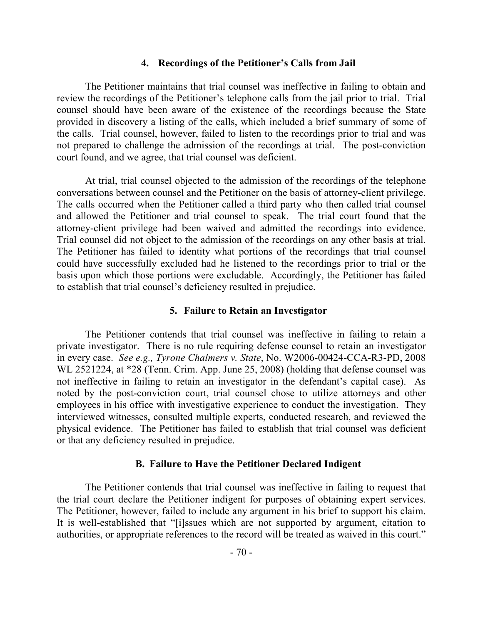### **4. Recordings of the Petitioner's Calls from Jail**

The Petitioner maintains that trial counsel was ineffective in failing to obtain and review the recordings of the Petitioner's telephone calls from the jail prior to trial. Trial counsel should have been aware of the existence of the recordings because the State provided in discovery a listing of the calls, which included a brief summary of some of the calls. Trial counsel, however, failed to listen to the recordings prior to trial and was not prepared to challenge the admission of the recordings at trial. The post-conviction court found, and we agree, that trial counsel was deficient.

At trial, trial counsel objected to the admission of the recordings of the telephone conversations between counsel and the Petitioner on the basis of attorney-client privilege. The calls occurred when the Petitioner called a third party who then called trial counsel and allowed the Petitioner and trial counsel to speak. The trial court found that the attorney-client privilege had been waived and admitted the recordings into evidence. Trial counsel did not object to the admission of the recordings on any other basis at trial. The Petitioner has failed to identity what portions of the recordings that trial counsel could have successfully excluded had he listened to the recordings prior to trial or the basis upon which those portions were excludable. Accordingly, the Petitioner has failed to establish that trial counsel's deficiency resulted in prejudice.

#### **5. Failure to Retain an Investigator**

The Petitioner contends that trial counsel was ineffective in failing to retain a private investigator. There is no rule requiring defense counsel to retain an investigator in every case. *See e.g., Tyrone Chalmers v. State*, No. W2006-00424-CCA-R3-PD, 2008 WL 2521224, at \*28 (Tenn. Crim. App. June 25, 2008) (holding that defense counsel was not ineffective in failing to retain an investigator in the defendant's capital case). As noted by the post-conviction court, trial counsel chose to utilize attorneys and other employees in his office with investigative experience to conduct the investigation. They interviewed witnesses, consulted multiple experts, conducted research, and reviewed the physical evidence. The Petitioner has failed to establish that trial counsel was deficient or that any deficiency resulted in prejudice.

#### **B. Failure to Have the Petitioner Declared Indigent**

The Petitioner contends that trial counsel was ineffective in failing to request that the trial court declare the Petitioner indigent for purposes of obtaining expert services. The Petitioner, however, failed to include any argument in his brief to support his claim. It is well-established that "[i]ssues which are not supported by argument, citation to authorities, or appropriate references to the record will be treated as waived in this court."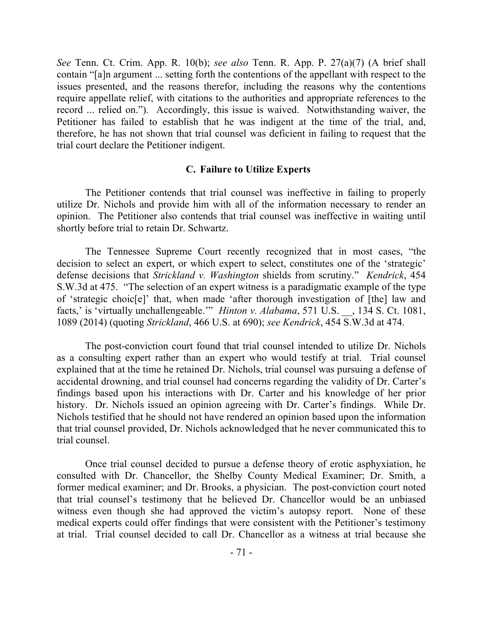*See* Tenn. Ct. Crim. App. R. 10(b); *see also* Tenn. R. App. P. 27(a)(7) (A brief shall contain "[a]n argument ... setting forth the contentions of the appellant with respect to the issues presented, and the reasons therefor, including the reasons why the contentions require appellate relief, with citations to the authorities and appropriate references to the record ... relied on."). Accordingly, this issue is waived. Notwithstanding waiver, the Petitioner has failed to establish that he was indigent at the time of the trial, and, therefore, he has not shown that trial counsel was deficient in failing to request that the trial court declare the Petitioner indigent.

### **C. Failure to Utilize Experts**

The Petitioner contends that trial counsel was ineffective in failing to properly utilize Dr. Nichols and provide him with all of the information necessary to render an opinion. The Petitioner also contends that trial counsel was ineffective in waiting until shortly before trial to retain Dr. Schwartz.

The Tennessee Supreme Court recently recognized that in most cases, "the decision to select an expert, or which expert to select, constitutes one of the 'strategic' defense decisions that *Strickland v. Washington* shields from scrutiny." *Kendrick*, 454 S.W.3d at 475. "The selection of an expert witness is a paradigmatic example of the type of 'strategic choic[e]' that, when made 'after thorough investigation of [the] law and facts,' is 'virtually unchallengeable.'" *Hinton v. Alabama*, 571 U.S. \_\_, 134 S. Ct. 1081, 1089 (2014) (quoting *Strickland*, 466 U.S. at 690); *see Kendrick*, 454 S.W.3d at 474.

The post-conviction court found that trial counsel intended to utilize Dr. Nichols as a consulting expert rather than an expert who would testify at trial. Trial counsel explained that at the time he retained Dr. Nichols, trial counsel was pursuing a defense of accidental drowning, and trial counsel had concerns regarding the validity of Dr. Carter's findings based upon his interactions with Dr. Carter and his knowledge of her prior history. Dr. Nichols issued an opinion agreeing with Dr. Carter's findings. While Dr. Nichols testified that he should not have rendered an opinion based upon the information that trial counsel provided, Dr. Nichols acknowledged that he never communicated this to trial counsel.

Once trial counsel decided to pursue a defense theory of erotic asphyxiation, he consulted with Dr. Chancellor, the Shelby County Medical Examiner; Dr. Smith, a former medical examiner; and Dr. Brooks, a physician. The post-conviction court noted that trial counsel's testimony that he believed Dr. Chancellor would be an unbiased witness even though she had approved the victim's autopsy report. None of these medical experts could offer findings that were consistent with the Petitioner's testimony at trial. Trial counsel decided to call Dr. Chancellor as a witness at trial because she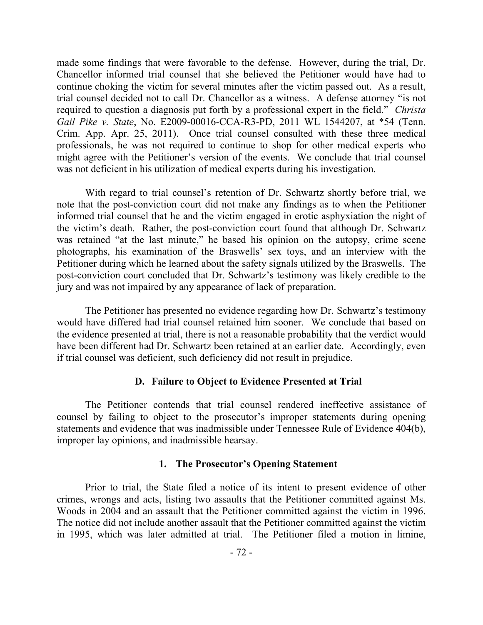made some findings that were favorable to the defense. However, during the trial, Dr. Chancellor informed trial counsel that she believed the Petitioner would have had to continue choking the victim for several minutes after the victim passed out. As a result, trial counsel decided not to call Dr. Chancellor as a witness. A defense attorney "is not required to question a diagnosis put forth by a professional expert in the field." *Christa Gail Pike v. State*, No. E2009-00016-CCA-R3-PD, 2011 WL 1544207, at \*54 (Tenn. Crim. App. Apr. 25, 2011). Once trial counsel consulted with these three medical professionals, he was not required to continue to shop for other medical experts who might agree with the Petitioner's version of the events. We conclude that trial counsel was not deficient in his utilization of medical experts during his investigation.

With regard to trial counsel's retention of Dr. Schwartz shortly before trial, we note that the post-conviction court did not make any findings as to when the Petitioner informed trial counsel that he and the victim engaged in erotic asphyxiation the night of the victim's death. Rather, the post-conviction court found that although Dr. Schwartz was retained "at the last minute," he based his opinion on the autopsy, crime scene photographs, his examination of the Braswells' sex toys, and an interview with the Petitioner during which he learned about the safety signals utilized by the Braswells. The post-conviction court concluded that Dr. Schwartz's testimony was likely credible to the jury and was not impaired by any appearance of lack of preparation.

The Petitioner has presented no evidence regarding how Dr. Schwartz's testimony would have differed had trial counsel retained him sooner. We conclude that based on the evidence presented at trial, there is not a reasonable probability that the verdict would have been different had Dr. Schwartz been retained at an earlier date. Accordingly, even if trial counsel was deficient, such deficiency did not result in prejudice.

# **D. Failure to Object to Evidence Presented at Trial**

The Petitioner contends that trial counsel rendered ineffective assistance of counsel by failing to object to the prosecutor's improper statements during opening statements and evidence that was inadmissible under Tennessee Rule of Evidence 404(b), improper lay opinions, and inadmissible hearsay.

### **1. The Prosecutor's Opening Statement**

Prior to trial, the State filed a notice of its intent to present evidence of other crimes, wrongs and acts, listing two assaults that the Petitioner committed against Ms. Woods in 2004 and an assault that the Petitioner committed against the victim in 1996. The notice did not include another assault that the Petitioner committed against the victim in 1995, which was later admitted at trial. The Petitioner filed a motion in limine,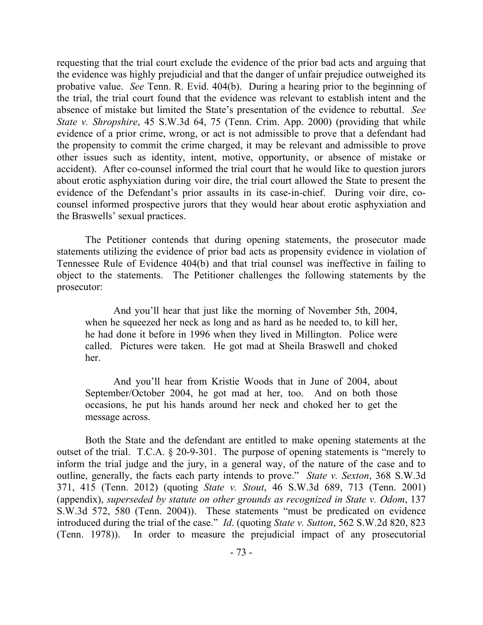requesting that the trial court exclude the evidence of the prior bad acts and arguing that the evidence was highly prejudicial and that the danger of unfair prejudice outweighed its probative value. *See* Tenn. R. Evid. 404(b). During a hearing prior to the beginning of the trial, the trial court found that the evidence was relevant to establish intent and the absence of mistake but limited the State's presentation of the evidence to rebuttal. *See State v. Shropshire*, 45 S.W.3d 64, 75 (Tenn. Crim. App. 2000) (providing that while evidence of a prior crime, wrong, or act is not admissible to prove that a defendant had the propensity to commit the crime charged, it may be relevant and admissible to prove other issues such as identity, intent, motive, opportunity, or absence of mistake or accident). After co-counsel informed the trial court that he would like to question jurors about erotic asphyxiation during voir dire, the trial court allowed the State to present the evidence of the Defendant's prior assaults in its case-in-chief. During voir dire, cocounsel informed prospective jurors that they would hear about erotic asphyxiation and the Braswells' sexual practices.

The Petitioner contends that during opening statements, the prosecutor made statements utilizing the evidence of prior bad acts as propensity evidence in violation of Tennessee Rule of Evidence 404(b) and that trial counsel was ineffective in failing to object to the statements. The Petitioner challenges the following statements by the prosecutor:

And you'll hear that just like the morning of November 5th, 2004, when he squeezed her neck as long and as hard as he needed to, to kill her, he had done it before in 1996 when they lived in Millington. Police were called. Pictures were taken. He got mad at Sheila Braswell and choked her.

And you'll hear from Kristie Woods that in June of 2004, about September/October 2004, he got mad at her, too. And on both those occasions, he put his hands around her neck and choked her to get the message across.

Both the State and the defendant are entitled to make opening statements at the outset of the trial. T.C.A. § 20-9-301. The purpose of opening statements is "merely to inform the trial judge and the jury, in a general way, of the nature of the case and to outline, generally, the facts each party intends to prove." *State v. Sexton*, 368 S.W.3d 371, 415 (Tenn. 2012) (quoting *State v. Stout*, 46 S.W.3d 689, 713 (Tenn. 2001) (appendix), *superseded by statute on other grounds as recognized in State v. Odom*, 137 S.W.3d 572, 580 (Tenn. 2004)). These statements "must be predicated on evidence introduced during the trial of the case." *Id*. (quoting *State v. Sutton*, 562 S.W.2d 820, 823 (Tenn. 1978)). In order to measure the prejudicial impact of any prosecutorial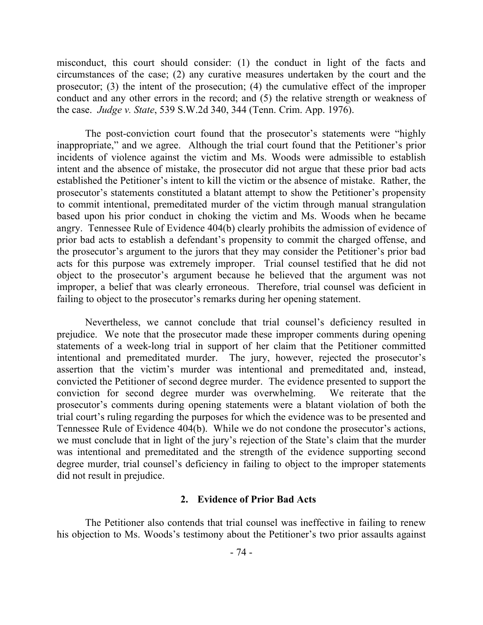misconduct, this court should consider: (1) the conduct in light of the facts and circumstances of the case; (2) any curative measures undertaken by the court and the prosecutor; (3) the intent of the prosecution; (4) the cumulative effect of the improper conduct and any other errors in the record; and (5) the relative strength or weakness of the case. *Judge v. State*, 539 S.W.2d 340, 344 (Tenn. Crim. App. 1976).

The post-conviction court found that the prosecutor's statements were "highly inappropriate," and we agree. Although the trial court found that the Petitioner's prior incidents of violence against the victim and Ms. Woods were admissible to establish intent and the absence of mistake, the prosecutor did not argue that these prior bad acts established the Petitioner's intent to kill the victim or the absence of mistake. Rather, the prosecutor's statements constituted a blatant attempt to show the Petitioner's propensity to commit intentional, premeditated murder of the victim through manual strangulation based upon his prior conduct in choking the victim and Ms. Woods when he became angry. Tennessee Rule of Evidence 404(b) clearly prohibits the admission of evidence of prior bad acts to establish a defendant's propensity to commit the charged offense, and the prosecutor's argument to the jurors that they may consider the Petitioner's prior bad acts for this purpose was extremely improper. Trial counsel testified that he did not object to the prosecutor's argument because he believed that the argument was not improper, a belief that was clearly erroneous. Therefore, trial counsel was deficient in failing to object to the prosecutor's remarks during her opening statement.

Nevertheless, we cannot conclude that trial counsel's deficiency resulted in prejudice. We note that the prosecutor made these improper comments during opening statements of a week-long trial in support of her claim that the Petitioner committed intentional and premeditated murder. The jury, however, rejected the prosecutor's assertion that the victim's murder was intentional and premeditated and, instead, convicted the Petitioner of second degree murder. The evidence presented to support the conviction for second degree murder was overwhelming. We reiterate that the prosecutor's comments during opening statements were a blatant violation of both the trial court's ruling regarding the purposes for which the evidence was to be presented and Tennessee Rule of Evidence 404(b). While we do not condone the prosecutor's actions, we must conclude that in light of the jury's rejection of the State's claim that the murder was intentional and premeditated and the strength of the evidence supporting second degree murder, trial counsel's deficiency in failing to object to the improper statements did not result in prejudice.

## **2. Evidence of Prior Bad Acts**

The Petitioner also contends that trial counsel was ineffective in failing to renew his objection to Ms. Woods's testimony about the Petitioner's two prior assaults against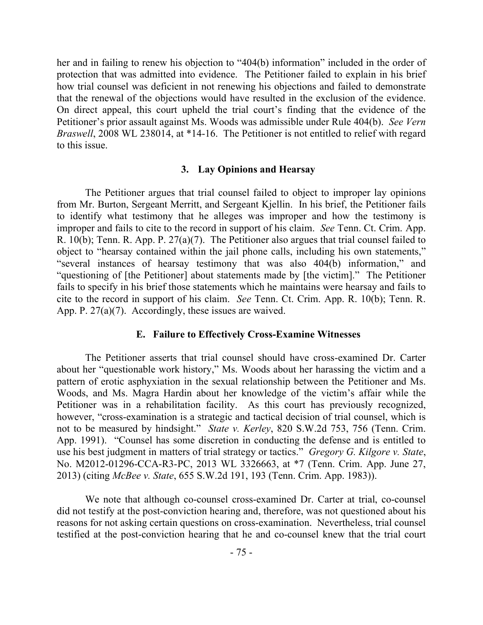her and in failing to renew his objection to "404(b) information" included in the order of protection that was admitted into evidence. The Petitioner failed to explain in his brief how trial counsel was deficient in not renewing his objections and failed to demonstrate that the renewal of the objections would have resulted in the exclusion of the evidence. On direct appeal, this court upheld the trial court's finding that the evidence of the Petitioner's prior assault against Ms. Woods was admissible under Rule 404(b). *See Vern Braswell*, 2008 WL 238014, at \*14-16. The Petitioner is not entitled to relief with regard to this issue.

### **3. Lay Opinions and Hearsay**

The Petitioner argues that trial counsel failed to object to improper lay opinions from Mr. Burton, Sergeant Merritt, and Sergeant Kjellin. In his brief, the Petitioner fails to identify what testimony that he alleges was improper and how the testimony is improper and fails to cite to the record in support of his claim. *See* Tenn. Ct. Crim. App. R. 10(b); Tenn. R. App. P. 27(a)(7). The Petitioner also argues that trial counsel failed to object to "hearsay contained within the jail phone calls, including his own statements," "several instances of hearsay testimony that was also 404(b) information," and "questioning of [the Petitioner] about statements made by [the victim]." The Petitioner fails to specify in his brief those statements which he maintains were hearsay and fails to cite to the record in support of his claim. *See* Tenn. Ct. Crim. App. R. 10(b); Tenn. R. App. P. 27(a)(7). Accordingly, these issues are waived.

#### **E. Failure to Effectively Cross-Examine Witnesses**

The Petitioner asserts that trial counsel should have cross-examined Dr. Carter about her "questionable work history," Ms. Woods about her harassing the victim and a pattern of erotic asphyxiation in the sexual relationship between the Petitioner and Ms. Woods, and Ms. Magra Hardin about her knowledge of the victim's affair while the Petitioner was in a rehabilitation facility. As this court has previously recognized, however, "cross-examination is a strategic and tactical decision of trial counsel, which is not to be measured by hindsight." *State v. Kerley*, 820 S.W.2d 753, 756 (Tenn. Crim. App. 1991). "Counsel has some discretion in conducting the defense and is entitled to use his best judgment in matters of trial strategy or tactics." *Gregory G. Kilgore v. State*, No. M2012-01296-CCA-R3-PC, 2013 WL 3326663, at \*7 (Tenn. Crim. App. June 27, 2013) (citing *McBee v. State*, 655 S.W.2d 191, 193 (Tenn. Crim. App. 1983)).

We note that although co-counsel cross-examined Dr. Carter at trial, co-counsel did not testify at the post-conviction hearing and, therefore, was not questioned about his reasons for not asking certain questions on cross-examination. Nevertheless, trial counsel testified at the post-conviction hearing that he and co-counsel knew that the trial court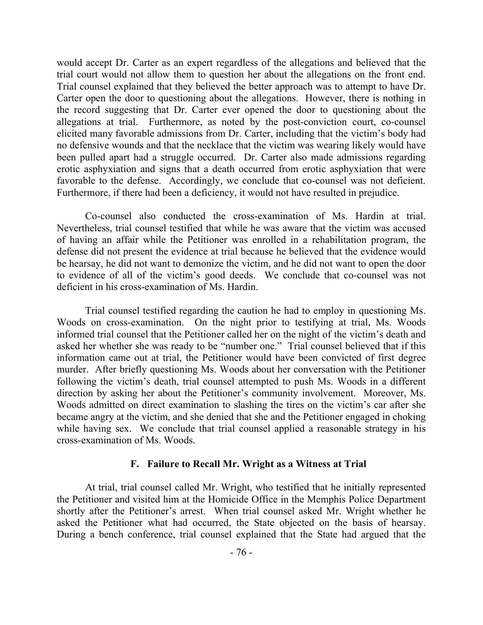would accept Dr. Carter as an expert regardless of the allegations and believed that the trial court would not allow them to question her about the allegations on the front end. Trial counsel explained that they believed the better approach was to attempt to have Dr. Carter open the door to questioning about the allegations. However, there is nothing in the record suggesting that Dr. Carter ever opened the door to questioning about the allegations at trial. Furthermore, as noted by the post-conviction court, co-counsel elicited many favorable admissions from Dr. Carter, including that the victim's body had no defensive wounds and that the necklace that the victim was wearing likely would have been pulled apart had a struggle occurred. Dr. Carter also made admissions regarding erotic asphyxiation and signs that a death occurred from erotic asphyxiation that were favorable to the defense. Accordingly, we conclude that co-counsel was not deficient. Furthermore, if there had been a deficiency, it would not have resulted in prejudice.

Co-counsel also conducted the cross-examination of Ms. Hardin at trial. Nevertheless, trial counsel testified that while he was aware that the victim was accused of having an affair while the Petitioner was enrolled in a rehabilitation program, the defense did not present the evidence at trial because he believed that the evidence would be hearsay, he did not want to demonize the victim, and he did not want to open the door to evidence of all of the victim's good deeds. We conclude that co-counsel was not deficient in his cross-examination of Ms. Hardin.

Trial counsel testified regarding the caution he had to employ in questioning Ms. Woods on cross-examination. On the night prior to testifying at trial, Ms. Woods informed trial counsel that the Petitioner called her on the night of the victim's death and asked her whether she was ready to be "number one." Trial counsel believed that if this information came out at trial, the Petitioner would have been convicted of first degree murder. After briefly questioning Ms. Woods about her conversation with the Petitioner following the victim's death, trial counsel attempted to push Ms. Woods in a different direction by asking her about the Petitioner's community involvement. Moreover, Ms. Woods admitted on direct examination to slashing the tires on the victim's car after she became angry at the victim, and she denied that she and the Petitioner engaged in choking while having sex. We conclude that trial counsel applied a reasonable strategy in his cross-examination of Ms. Woods.

### **F. Failure to Recall Mr. Wright as a Witness at Trial**

At trial, trial counsel called Mr. Wright, who testified that he initially represented the Petitioner and visited him at the Homicide Office in the Memphis Police Department shortly after the Petitioner's arrest. When trial counsel asked Mr. Wright whether he asked the Petitioner what had occurred, the State objected on the basis of hearsay. During a bench conference, trial counsel explained that the State had argued that the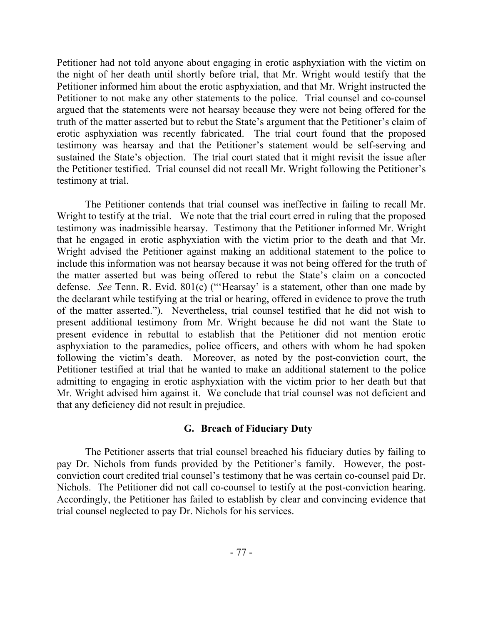Petitioner had not told anyone about engaging in erotic asphyxiation with the victim on the night of her death until shortly before trial, that Mr. Wright would testify that the Petitioner informed him about the erotic asphyxiation, and that Mr. Wright instructed the Petitioner to not make any other statements to the police. Trial counsel and co-counsel argued that the statements were not hearsay because they were not being offered for the truth of the matter asserted but to rebut the State's argument that the Petitioner's claim of erotic asphyxiation was recently fabricated. The trial court found that the proposed testimony was hearsay and that the Petitioner's statement would be self-serving and sustained the State's objection. The trial court stated that it might revisit the issue after the Petitioner testified. Trial counsel did not recall Mr. Wright following the Petitioner's testimony at trial.

The Petitioner contends that trial counsel was ineffective in failing to recall Mr. Wright to testify at the trial. We note that the trial court erred in ruling that the proposed testimony was inadmissible hearsay. Testimony that the Petitioner informed Mr. Wright that he engaged in erotic asphyxiation with the victim prior to the death and that Mr. Wright advised the Petitioner against making an additional statement to the police to include this information was not hearsay because it was not being offered for the truth of the matter asserted but was being offered to rebut the State's claim on a concocted defense. *See* Tenn. R. Evid. 801(c) ("'Hearsay' is a statement, other than one made by the declarant while testifying at the trial or hearing, offered in evidence to prove the truth of the matter asserted."). Nevertheless, trial counsel testified that he did not wish to present additional testimony from Mr. Wright because he did not want the State to present evidence in rebuttal to establish that the Petitioner did not mention erotic asphyxiation to the paramedics, police officers, and others with whom he had spoken following the victim's death. Moreover, as noted by the post-conviction court, the Petitioner testified at trial that he wanted to make an additional statement to the police admitting to engaging in erotic asphyxiation with the victim prior to her death but that Mr. Wright advised him against it. We conclude that trial counsel was not deficient and that any deficiency did not result in prejudice.

# **G. Breach of Fiduciary Duty**

The Petitioner asserts that trial counsel breached his fiduciary duties by failing to pay Dr. Nichols from funds provided by the Petitioner's family. However, the postconviction court credited trial counsel's testimony that he was certain co-counsel paid Dr. Nichols. The Petitioner did not call co-counsel to testify at the post-conviction hearing. Accordingly, the Petitioner has failed to establish by clear and convincing evidence that trial counsel neglected to pay Dr. Nichols for his services.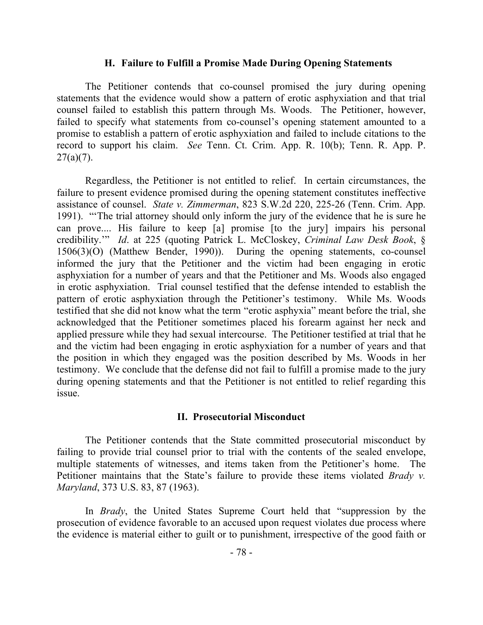#### **H. Failure to Fulfill a Promise Made During Opening Statements**

The Petitioner contends that co-counsel promised the jury during opening statements that the evidence would show a pattern of erotic asphyxiation and that trial counsel failed to establish this pattern through Ms. Woods. The Petitioner, however, failed to specify what statements from co-counsel's opening statement amounted to a promise to establish a pattern of erotic asphyxiation and failed to include citations to the record to support his claim. *See* Tenn. Ct. Crim. App. R. 10(b); Tenn. R. App. P.  $27(a)(7)$ .

Regardless, the Petitioner is not entitled to relief. In certain circumstances, the failure to present evidence promised during the opening statement constitutes ineffective assistance of counsel. *State v. Zimmerman*, 823 S.W.2d 220, 225-26 (Tenn. Crim. App. 1991). "'The trial attorney should only inform the jury of the evidence that he is sure he can prove.... His failure to keep [a] promise [to the jury] impairs his personal credibility.'" *Id*. at 225 (quoting Patrick L. McCloskey, *Criminal Law Desk Book*, § 1506(3)(O) (Matthew Bender, 1990)). During the opening statements, co-counsel informed the jury that the Petitioner and the victim had been engaging in erotic asphyxiation for a number of years and that the Petitioner and Ms. Woods also engaged in erotic asphyxiation. Trial counsel testified that the defense intended to establish the pattern of erotic asphyxiation through the Petitioner's testimony. While Ms. Woods testified that she did not know what the term "erotic asphyxia" meant before the trial, she acknowledged that the Petitioner sometimes placed his forearm against her neck and applied pressure while they had sexual intercourse. The Petitioner testified at trial that he and the victim had been engaging in erotic asphyxiation for a number of years and that the position in which they engaged was the position described by Ms. Woods in her testimony. We conclude that the defense did not fail to fulfill a promise made to the jury during opening statements and that the Petitioner is not entitled to relief regarding this issue.

### **II. Prosecutorial Misconduct**

The Petitioner contends that the State committed prosecutorial misconduct by failing to provide trial counsel prior to trial with the contents of the sealed envelope, multiple statements of witnesses, and items taken from the Petitioner's home. The Petitioner maintains that the State's failure to provide these items violated *Brady v. Maryland*, 373 U.S. 83, 87 (1963).

In *Brady*, the United States Supreme Court held that "suppression by the prosecution of evidence favorable to an accused upon request violates due process where the evidence is material either to guilt or to punishment, irrespective of the good faith or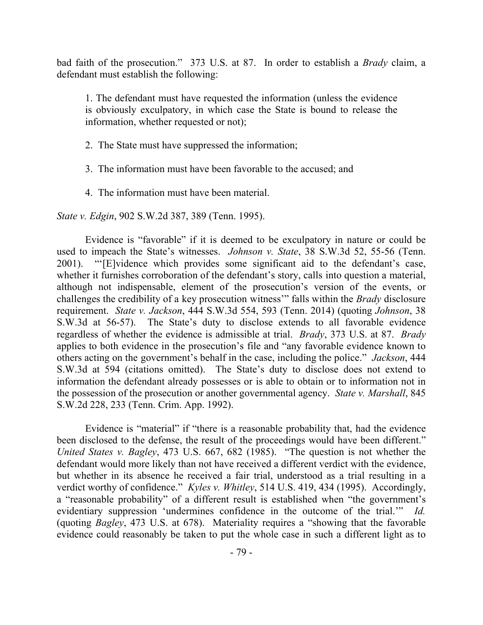bad faith of the prosecution." 373 U.S. at 87. In order to establish a *Brady* claim, a defendant must establish the following:

1. The defendant must have requested the information (unless the evidence is obviously exculpatory, in which case the State is bound to release the information, whether requested or not);

2. The State must have suppressed the information;

3. The information must have been favorable to the accused; and

4. The information must have been material.

*State v. Edgin*, 902 S.W.2d 387, 389 (Tenn. 1995).

Evidence is "favorable" if it is deemed to be exculpatory in nature or could be used to impeach the State's witnesses. *Johnson v. State*, 38 S.W.3d 52, 55-56 (Tenn. 2001). "'[E]vidence which provides some significant aid to the defendant's case, whether it furnishes corroboration of the defendant's story, calls into question a material, although not indispensable, element of the prosecution's version of the events, or challenges the credibility of a key prosecution witness'" falls within the *Brady* disclosure requirement. *State v. Jackson*, 444 S.W.3d 554, 593 (Tenn. 2014) (quoting *Johnson*, 38 S.W.3d at 56-57). The State's duty to disclose extends to all favorable evidence regardless of whether the evidence is admissible at trial. *Brady*, 373 U.S. at 87. *Brady*  applies to both evidence in the prosecution's file and "any favorable evidence known to others acting on the government's behalf in the case, including the police." *Jackson*, 444 S.W.3d at 594 (citations omitted). The State's duty to disclose does not extend to information the defendant already possesses or is able to obtain or to information not in the possession of the prosecution or another governmental agency. *State v. Marshall*, 845 S.W.2d 228, 233 (Tenn. Crim. App. 1992).

Evidence is "material" if "there is a reasonable probability that, had the evidence been disclosed to the defense, the result of the proceedings would have been different." *United States v. Bagley*, 473 U.S. 667, 682 (1985). "The question is not whether the defendant would more likely than not have received a different verdict with the evidence, but whether in its absence he received a fair trial, understood as a trial resulting in a verdict worthy of confidence." *Kyles v. Whitley*, 514 U.S. 419, 434 (1995). Accordingly, a "reasonable probability" of a different result is established when "the government's evidentiary suppression 'undermines confidence in the outcome of the trial.'" *Id.* (quoting *Bagley*, 473 U.S. at 678). Materiality requires a "showing that the favorable evidence could reasonably be taken to put the whole case in such a different light as to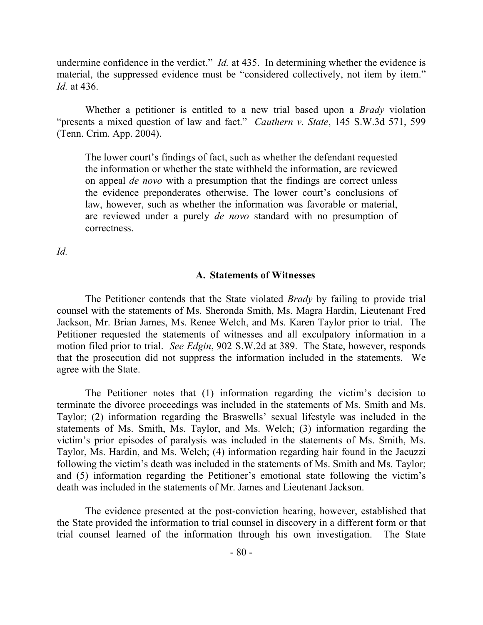undermine confidence in the verdict." *Id.* at 435. In determining whether the evidence is material, the suppressed evidence must be "considered collectively, not item by item." *Id.* at 436.

Whether a petitioner is entitled to a new trial based upon a *Brady* violation "presents a mixed question of law and fact." *Cauthern v. State*, 145 S.W.3d 571, 599 (Tenn. Crim. App. 2004).

The lower court's findings of fact, such as whether the defendant requested the information or whether the state withheld the information, are reviewed on appeal *de novo* with a presumption that the findings are correct unless the evidence preponderates otherwise. The lower court's conclusions of law, however, such as whether the information was favorable or material, are reviewed under a purely *de novo* standard with no presumption of correctness.

*Id.*

#### **A. Statements of Witnesses**

The Petitioner contends that the State violated *Brady* by failing to provide trial counsel with the statements of Ms. Sheronda Smith, Ms. Magra Hardin, Lieutenant Fred Jackson, Mr. Brian James, Ms. Renee Welch, and Ms. Karen Taylor prior to trial. The Petitioner requested the statements of witnesses and all exculpatory information in a motion filed prior to trial. *See Edgin*, 902 S.W.2d at 389. The State, however, responds that the prosecution did not suppress the information included in the statements. We agree with the State.

The Petitioner notes that (1) information regarding the victim's decision to terminate the divorce proceedings was included in the statements of Ms. Smith and Ms. Taylor; (2) information regarding the Braswells' sexual lifestyle was included in the statements of Ms. Smith, Ms. Taylor, and Ms. Welch; (3) information regarding the victim's prior episodes of paralysis was included in the statements of Ms. Smith, Ms. Taylor, Ms. Hardin, and Ms. Welch; (4) information regarding hair found in the Jacuzzi following the victim's death was included in the statements of Ms. Smith and Ms. Taylor; and (5) information regarding the Petitioner's emotional state following the victim's death was included in the statements of Mr. James and Lieutenant Jackson.

The evidence presented at the post-conviction hearing, however, established that the State provided the information to trial counsel in discovery in a different form or that trial counsel learned of the information through his own investigation. The State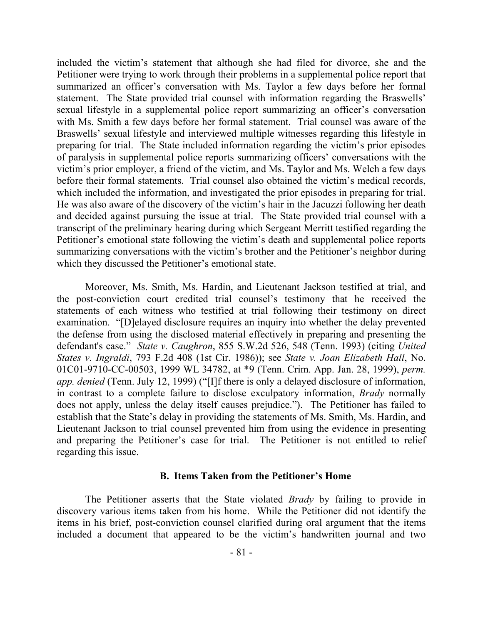included the victim's statement that although she had filed for divorce, she and the Petitioner were trying to work through their problems in a supplemental police report that summarized an officer's conversation with Ms. Taylor a few days before her formal statement. The State provided trial counsel with information regarding the Braswells' sexual lifestyle in a supplemental police report summarizing an officer's conversation with Ms. Smith a few days before her formal statement. Trial counsel was aware of the Braswells' sexual lifestyle and interviewed multiple witnesses regarding this lifestyle in preparing for trial. The State included information regarding the victim's prior episodes of paralysis in supplemental police reports summarizing officers' conversations with the victim's prior employer, a friend of the victim, and Ms. Taylor and Ms. Welch a few days before their formal statements. Trial counsel also obtained the victim's medical records, which included the information, and investigated the prior episodes in preparing for trial. He was also aware of the discovery of the victim's hair in the Jacuzzi following her death and decided against pursuing the issue at trial. The State provided trial counsel with a transcript of the preliminary hearing during which Sergeant Merritt testified regarding the Petitioner's emotional state following the victim's death and supplemental police reports summarizing conversations with the victim's brother and the Petitioner's neighbor during which they discussed the Petitioner's emotional state.

Moreover, Ms. Smith, Ms. Hardin, and Lieutenant Jackson testified at trial, and the post-conviction court credited trial counsel's testimony that he received the statements of each witness who testified at trial following their testimony on direct examination. "[D]elayed disclosure requires an inquiry into whether the delay prevented the defense from using the disclosed material effectively in preparing and presenting the defendant's case." *State v. Caughron*, 855 S.W.2d 526, 548 (Tenn. 1993) (citing *United States v. Ingraldi*, 793 F.2d 408 (1st Cir. 1986)); see *State v. Joan Elizabeth Hall*, No. 01C01-9710-CC-00503, 1999 WL 34782, at \*9 (Tenn. Crim. App. Jan. 28, 1999), *perm. app. denied* (Tenn. July 12, 1999) ("[I]f there is only a delayed disclosure of information, in contrast to a complete failure to disclose exculpatory information, *Brady* normally does not apply, unless the delay itself causes prejudice."). The Petitioner has failed to establish that the State's delay in providing the statements of Ms. Smith, Ms. Hardin, and Lieutenant Jackson to trial counsel prevented him from using the evidence in presenting and preparing the Petitioner's case for trial. The Petitioner is not entitled to relief regarding this issue.

#### **B. Items Taken from the Petitioner's Home**

The Petitioner asserts that the State violated *Brady* by failing to provide in discovery various items taken from his home. While the Petitioner did not identify the items in his brief, post-conviction counsel clarified during oral argument that the items included a document that appeared to be the victim's handwritten journal and two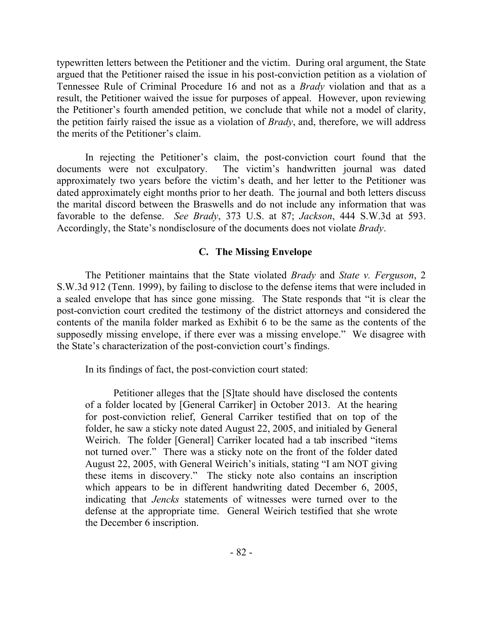typewritten letters between the Petitioner and the victim. During oral argument, the State argued that the Petitioner raised the issue in his post-conviction petition as a violation of Tennessee Rule of Criminal Procedure 16 and not as a *Brady* violation and that as a result, the Petitioner waived the issue for purposes of appeal. However, upon reviewing the Petitioner's fourth amended petition, we conclude that while not a model of clarity, the petition fairly raised the issue as a violation of *Brady*, and, therefore, we will address the merits of the Petitioner's claim.

In rejecting the Petitioner's claim, the post-conviction court found that the documents were not exculpatory. The victim's handwritten journal was dated approximately two years before the victim's death, and her letter to the Petitioner was dated approximately eight months prior to her death. The journal and both letters discuss the marital discord between the Braswells and do not include any information that was favorable to the defense. *See Brady*, 373 U.S. at 87; *Jackson*, 444 S.W.3d at 593. Accordingly, the State's nondisclosure of the documents does not violate *Brady*.

# **C. The Missing Envelope**

The Petitioner maintains that the State violated *Brady* and *State v. Ferguson*, 2 S.W.3d 912 (Tenn. 1999), by failing to disclose to the defense items that were included in a sealed envelope that has since gone missing. The State responds that "it is clear the post-conviction court credited the testimony of the district attorneys and considered the contents of the manila folder marked as Exhibit 6 to be the same as the contents of the supposedly missing envelope, if there ever was a missing envelope." We disagree with the State's characterization of the post-conviction court's findings.

In its findings of fact, the post-conviction court stated:

Petitioner alleges that the [S]tate should have disclosed the contents of a folder located by [General Carriker] in October 2013. At the hearing for post-conviction relief, General Carriker testified that on top of the folder, he saw a sticky note dated August 22, 2005, and initialed by General Weirich. The folder [General] Carriker located had a tab inscribed "items not turned over." There was a sticky note on the front of the folder dated August 22, 2005, with General Weirich's initials, stating "I am NOT giving these items in discovery." The sticky note also contains an inscription which appears to be in different handwriting dated December 6, 2005, indicating that *Jencks* statements of witnesses were turned over to the defense at the appropriate time. General Weirich testified that she wrote the December 6 inscription.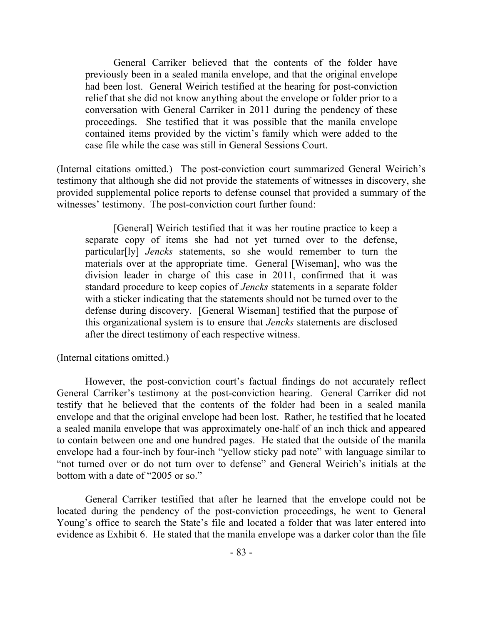General Carriker believed that the contents of the folder have previously been in a sealed manila envelope, and that the original envelope had been lost. General Weirich testified at the hearing for post-conviction relief that she did not know anything about the envelope or folder prior to a conversation with General Carriker in 2011 during the pendency of these proceedings. She testified that it was possible that the manila envelope contained items provided by the victim's family which were added to the case file while the case was still in General Sessions Court.

(Internal citations omitted.) The post-conviction court summarized General Weirich's testimony that although she did not provide the statements of witnesses in discovery, she provided supplemental police reports to defense counsel that provided a summary of the witnesses' testimony. The post-conviction court further found:

[General] Weirich testified that it was her routine practice to keep a separate copy of items she had not yet turned over to the defense, particular[ly] *Jencks* statements, so she would remember to turn the materials over at the appropriate time. General [Wiseman], who was the division leader in charge of this case in 2011, confirmed that it was standard procedure to keep copies of *Jencks* statements in a separate folder with a sticker indicating that the statements should not be turned over to the defense during discovery. [General Wiseman] testified that the purpose of this organizational system is to ensure that *Jencks* statements are disclosed after the direct testimony of each respective witness.

(Internal citations omitted.)

However, the post-conviction court's factual findings do not accurately reflect General Carriker's testimony at the post-conviction hearing. General Carriker did not testify that he believed that the contents of the folder had been in a sealed manila envelope and that the original envelope had been lost. Rather, he testified that he located a sealed manila envelope that was approximately one-half of an inch thick and appeared to contain between one and one hundred pages. He stated that the outside of the manila envelope had a four-inch by four-inch "yellow sticky pad note" with language similar to "not turned over or do not turn over to defense" and General Weirich's initials at the bottom with a date of "2005 or so."

General Carriker testified that after he learned that the envelope could not be located during the pendency of the post-conviction proceedings, he went to General Young's office to search the State's file and located a folder that was later entered into evidence as Exhibit 6. He stated that the manila envelope was a darker color than the file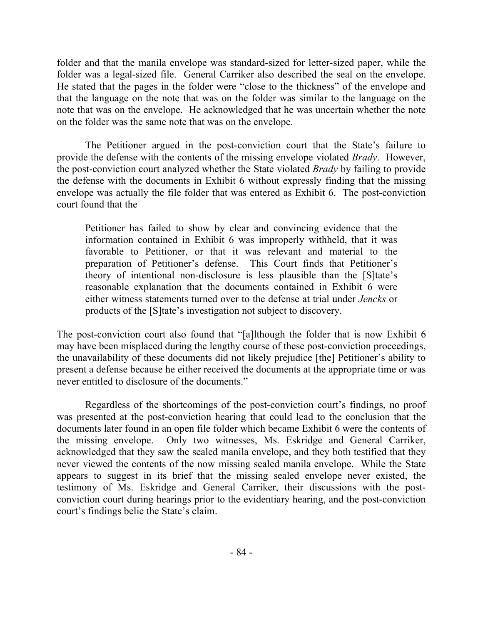folder and that the manila envelope was standard-sized for letter-sized paper, while the folder was a legal-sized file. General Carriker also described the seal on the envelope. He stated that the pages in the folder were "close to the thickness" of the envelope and that the language on the note that was on the folder was similar to the language on the note that was on the envelope. He acknowledged that he was uncertain whether the note on the folder was the same note that was on the envelope.

The Petitioner argued in the post-conviction court that the State's failure to provide the defense with the contents of the missing envelope violated *Brady*. However, the post-conviction court analyzed whether the State violated *Brady* by failing to provide the defense with the documents in Exhibit 6 without expressly finding that the missing envelope was actually the file folder that was entered as Exhibit 6. The post-conviction court found that the

Petitioner has failed to show by clear and convincing evidence that the information contained in Exhibit 6 was improperly withheld, that it was favorable to Petitioner, or that it was relevant and material to the preparation of Petitioner's defense. This Court finds that Petitioner's theory of intentional non-disclosure is less plausible than the [S]tate's reasonable explanation that the documents contained in Exhibit 6 were either witness statements turned over to the defense at trial under *Jencks* or products of the [S]tate's investigation not subject to discovery.

The post-conviction court also found that "[a]lthough the folder that is now Exhibit 6 may have been misplaced during the lengthy course of these post-conviction proceedings, the unavailability of these documents did not likely prejudice [the] Petitioner's ability to present a defense because he either received the documents at the appropriate time or was never entitled to disclosure of the documents."

Regardless of the shortcomings of the post-conviction court's findings, no proof was presented at the post-conviction hearing that could lead to the conclusion that the documents later found in an open file folder which became Exhibit 6 were the contents of the missing envelope. Only two witnesses, Ms. Eskridge and General Carriker, acknowledged that they saw the sealed manila envelope, and they both testified that they never viewed the contents of the now missing sealed manila envelope. While the State appears to suggest in its brief that the missing sealed envelope never existed, the testimony of Ms. Eskridge and General Carriker, their discussions with the postconviction court during hearings prior to the evidentiary hearing, and the post-conviction court's findings belie the State's claim.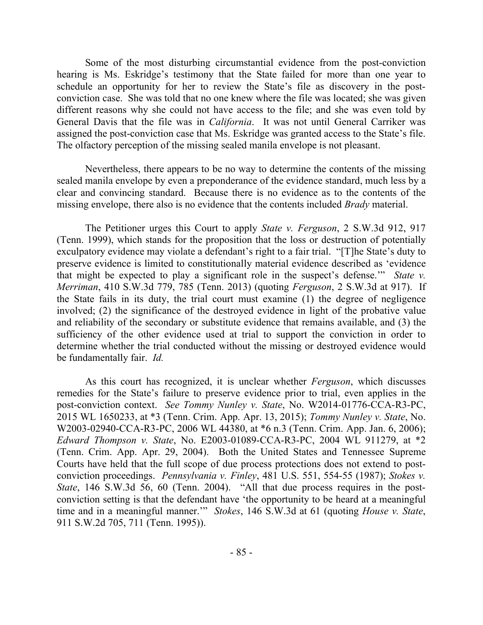Some of the most disturbing circumstantial evidence from the post-conviction hearing is Ms. Eskridge's testimony that the State failed for more than one year to schedule an opportunity for her to review the State's file as discovery in the postconviction case. She was told that no one knew where the file was located; she was given different reasons why she could not have access to the file; and she was even told by General Davis that the file was in *California*. It was not until General Carriker was assigned the post-conviction case that Ms. Eskridge was granted access to the State's file. The olfactory perception of the missing sealed manila envelope is not pleasant.

Nevertheless, there appears to be no way to determine the contents of the missing sealed manila envelope by even a preponderance of the evidence standard, much less by a clear and convincing standard. Because there is no evidence as to the contents of the missing envelope, there also is no evidence that the contents included *Brady* material.

The Petitioner urges this Court to apply *State v. Ferguson*, 2 S.W.3d 912, 917 (Tenn. 1999), which stands for the proposition that the loss or destruction of potentially exculpatory evidence may violate a defendant's right to a fair trial. "[T]he State's duty to preserve evidence is limited to constitutionally material evidence described as 'evidence that might be expected to play a significant role in the suspect's defense.'" *State v. Merriman*, 410 S.W.3d 779, 785 (Tenn. 2013) (quoting *Ferguson*, 2 S.W.3d at 917). If the State fails in its duty, the trial court must examine (1) the degree of negligence involved; (2) the significance of the destroyed evidence in light of the probative value and reliability of the secondary or substitute evidence that remains available, and (3) the sufficiency of the other evidence used at trial to support the conviction in order to determine whether the trial conducted without the missing or destroyed evidence would be fundamentally fair. *Id.*

As this court has recognized, it is unclear whether *Ferguson*, which discusses remedies for the State's failure to preserve evidence prior to trial, even applies in the post-conviction context. *See Tommy Nunley v. State*, No. W2014-01776-CCA-R3-PC, 2015 WL 1650233, at \*3 (Tenn. Crim. App. Apr. 13, 2015); *Tommy Nunley v. State*, No. W2003-02940-CCA-R3-PC, 2006 WL 44380, at \*6 n.3 (Tenn. Crim. App. Jan. 6, 2006); *Edward Thompson v. State*, No. E2003-01089-CCA-R3-PC, 2004 WL 911279, at \*2 (Tenn. Crim. App. Apr. 29, 2004). Both the United States and Tennessee Supreme Courts have held that the full scope of due process protections does not extend to postconviction proceedings. *Pennsylvania v. Finley*, 481 U.S. 551, 554-55 (1987); *Stokes v. State*, 146 S.W.3d 56, 60 (Tenn. 2004). "All that due process requires in the postconviction setting is that the defendant have 'the opportunity to be heard at a meaningful time and in a meaningful manner.'" *Stokes*, 146 S.W.3d at 61 (quoting *House v. State*, 911 S.W.2d 705, 711 (Tenn. 1995)).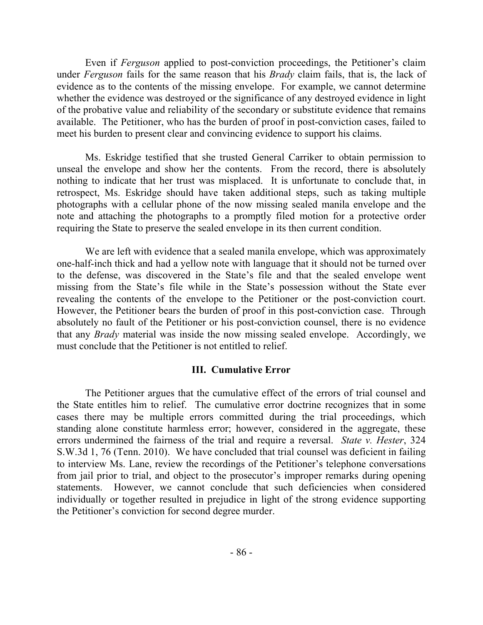Even if *Ferguson* applied to post-conviction proceedings, the Petitioner's claim under *Ferguson* fails for the same reason that his *Brady* claim fails, that is, the lack of evidence as to the contents of the missing envelope. For example, we cannot determine whether the evidence was destroyed or the significance of any destroyed evidence in light of the probative value and reliability of the secondary or substitute evidence that remains available. The Petitioner, who has the burden of proof in post-conviction cases, failed to meet his burden to present clear and convincing evidence to support his claims.

Ms. Eskridge testified that she trusted General Carriker to obtain permission to unseal the envelope and show her the contents. From the record, there is absolutely nothing to indicate that her trust was misplaced. It is unfortunate to conclude that, in retrospect, Ms. Eskridge should have taken additional steps, such as taking multiple photographs with a cellular phone of the now missing sealed manila envelope and the note and attaching the photographs to a promptly filed motion for a protective order requiring the State to preserve the sealed envelope in its then current condition.

We are left with evidence that a sealed manila envelope, which was approximately one-half-inch thick and had a yellow note with language that it should not be turned over to the defense, was discovered in the State's file and that the sealed envelope went missing from the State's file while in the State's possession without the State ever revealing the contents of the envelope to the Petitioner or the post-conviction court. However, the Petitioner bears the burden of proof in this post-conviction case. Through absolutely no fault of the Petitioner or his post-conviction counsel, there is no evidence that any *Brady* material was inside the now missing sealed envelope. Accordingly, we must conclude that the Petitioner is not entitled to relief.

# **III. Cumulative Error**

The Petitioner argues that the cumulative effect of the errors of trial counsel and the State entitles him to relief. The cumulative error doctrine recognizes that in some cases there may be multiple errors committed during the trial proceedings, which standing alone constitute harmless error; however, considered in the aggregate, these errors undermined the fairness of the trial and require a reversal. *State v. Hester*, 324 S.W.3d 1, 76 (Tenn. 2010). We have concluded that trial counsel was deficient in failing to interview Ms. Lane, review the recordings of the Petitioner's telephone conversations from jail prior to trial, and object to the prosecutor's improper remarks during opening statements. However, we cannot conclude that such deficiencies when considered individually or together resulted in prejudice in light of the strong evidence supporting the Petitioner's conviction for second degree murder.